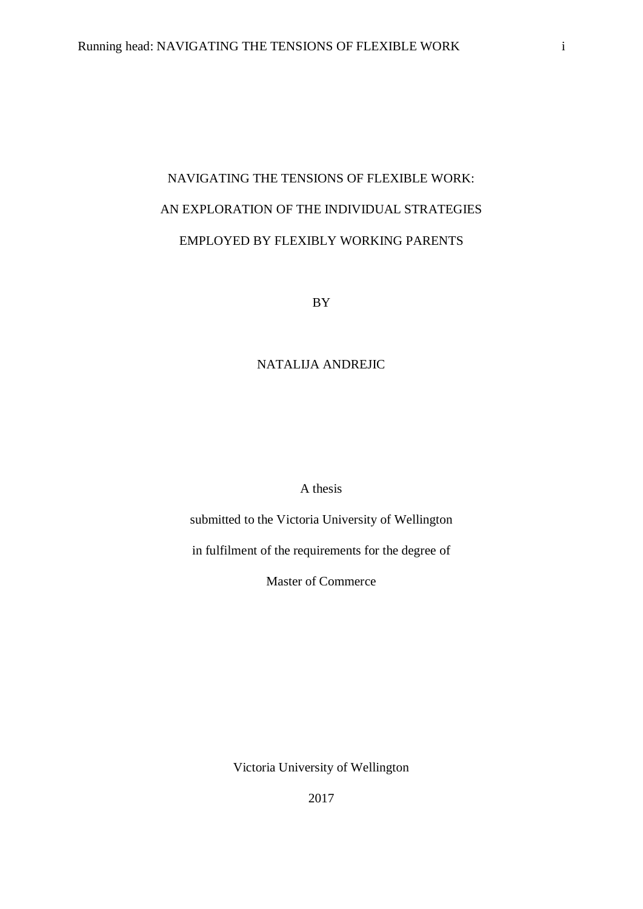# NAVIGATING THE TENSIONS OF FLEXIBLE WORK: AN EXPLORATION OF THE INDIVIDUAL STRATEGIES EMPLOYED BY FLEXIBLY WORKING PARENTS

BY

# NATALIJA ANDREJIC

A thesis

submitted to the Victoria University of Wellington

in fulfilment of the requirements for the degree of

Master of Commerce

Victoria University of Wellington

2017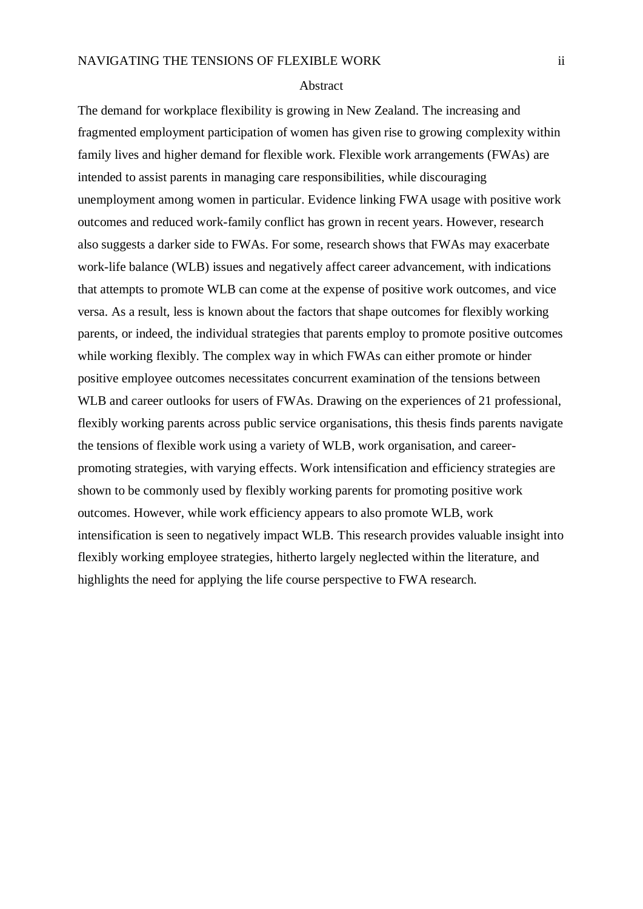#### Abstract

The demand for workplace flexibility is growing in New Zealand. The increasing and fragmented employment participation of women has given rise to growing complexity within family lives and higher demand for flexible work. Flexible work arrangements (FWAs) are intended to assist parents in managing care responsibilities, while discouraging unemployment among women in particular. Evidence linking FWA usage with positive work outcomes and reduced work-family conflict has grown in recent years. However, research also suggests a darker side to FWAs. For some, research shows that FWAs may exacerbate work-life balance (WLB) issues and negatively affect career advancement, with indications that attempts to promote WLB can come at the expense of positive work outcomes, and vice versa. As a result, less is known about the factors that shape outcomes for flexibly working parents, or indeed, the individual strategies that parents employ to promote positive outcomes while working flexibly. The complex way in which FWAs can either promote or hinder positive employee outcomes necessitates concurrent examination of the tensions between WLB and career outlooks for users of FWAs. Drawing on the experiences of 21 professional, flexibly working parents across public service organisations, this thesis finds parents navigate the tensions of flexible work using a variety of WLB, work organisation, and careerpromoting strategies, with varying effects. Work intensification and efficiency strategies are shown to be commonly used by flexibly working parents for promoting positive work outcomes. However, while work efficiency appears to also promote WLB, work intensification is seen to negatively impact WLB. This research provides valuable insight into flexibly working employee strategies, hitherto largely neglected within the literature, and highlights the need for applying the life course perspective to FWA research.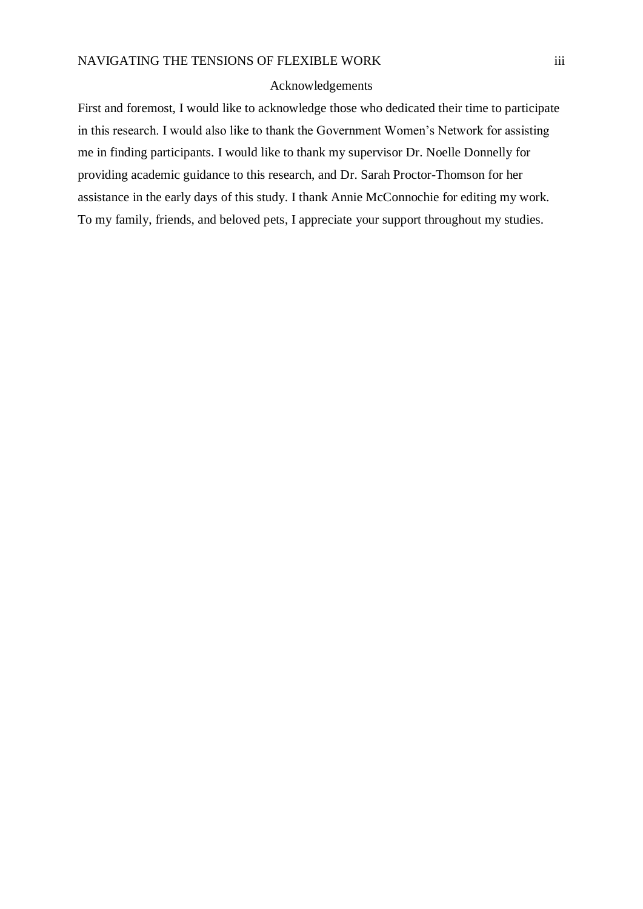#### Acknowledgements

First and foremost, I would like to acknowledge those who dedicated their time to participate in this research. I would also like to thank the Government Women's Network for assisting me in finding participants. I would like to thank my supervisor Dr. Noelle Donnelly for providing academic guidance to this research, and Dr. Sarah Proctor-Thomson for her assistance in the early days of this study. I thank Annie McConnochie for editing my work. To my family, friends, and beloved pets, I appreciate your support throughout my studies.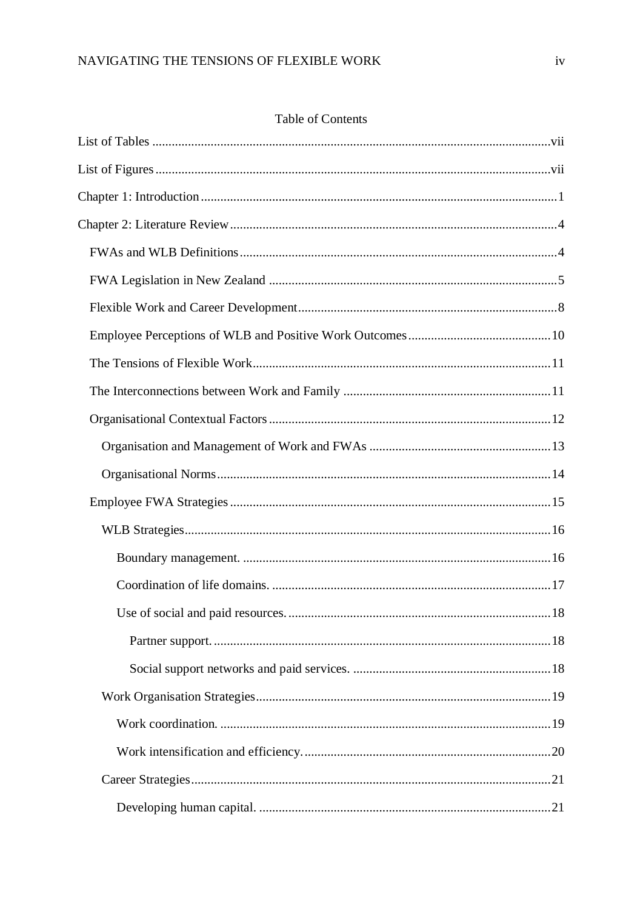# Table of Contents

| 18 |
|----|
|    |
|    |
|    |
|    |
|    |
|    |
|    |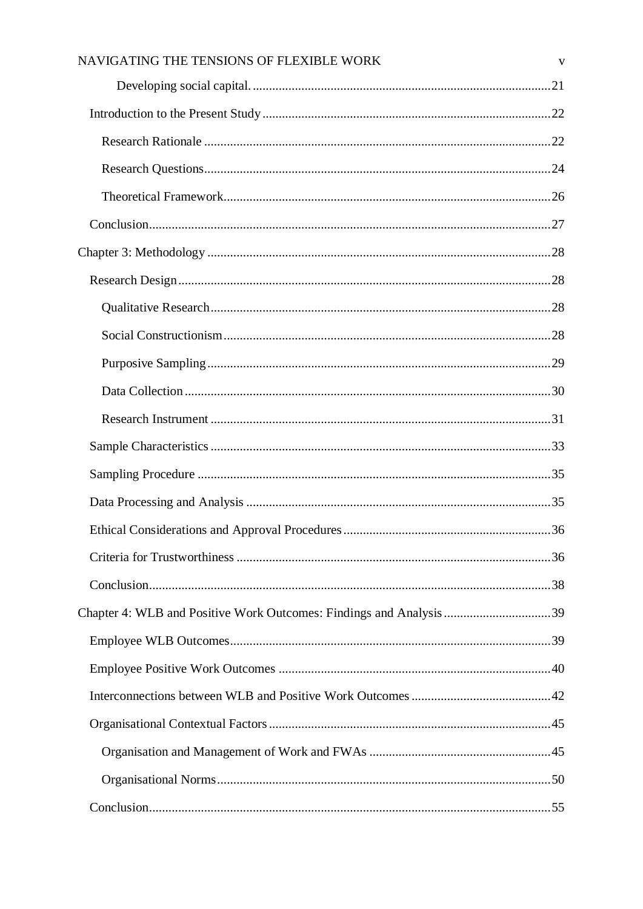| NAVIGATING THE TENSIONS OF FLEXIBLE WORK | V |
|------------------------------------------|---|
|                                          |   |
|                                          |   |
|                                          |   |
|                                          |   |
|                                          |   |
|                                          |   |
|                                          |   |
|                                          |   |
|                                          |   |
|                                          |   |
|                                          |   |
|                                          |   |
|                                          |   |
|                                          |   |
|                                          |   |
|                                          |   |
|                                          |   |
|                                          |   |
|                                          |   |
|                                          |   |
|                                          |   |
|                                          |   |
|                                          |   |
|                                          |   |
|                                          |   |
|                                          |   |
|                                          |   |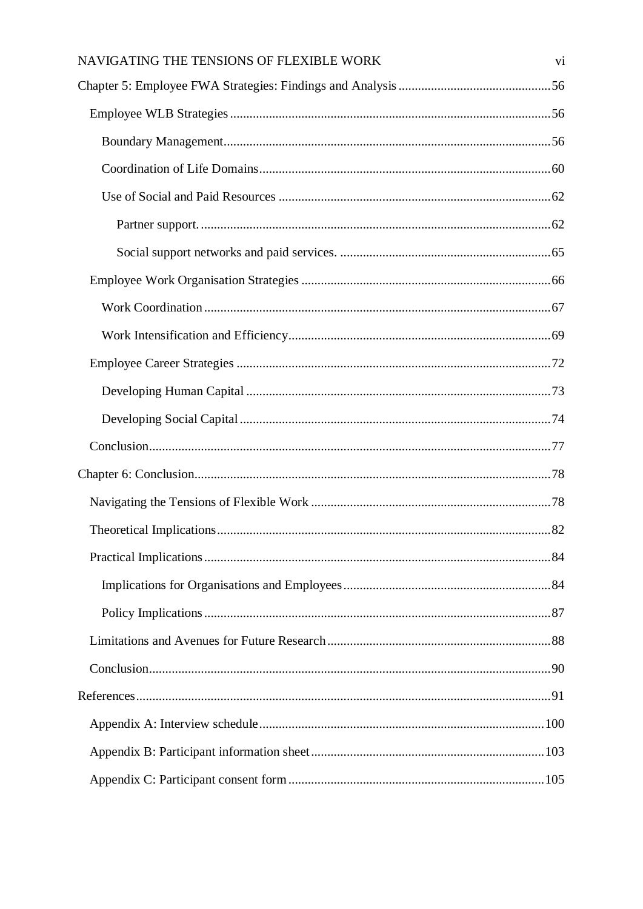| NAVIGATING THE TENSIONS OF FLEXIBLE WORK | V <sub>i</sub> |
|------------------------------------------|----------------|
|                                          |                |
|                                          |                |
|                                          |                |
|                                          |                |
|                                          |                |
|                                          |                |
|                                          |                |
|                                          |                |
|                                          |                |
|                                          |                |
|                                          |                |
|                                          |                |
|                                          |                |
|                                          |                |
|                                          |                |
|                                          |                |
|                                          |                |
|                                          |                |
|                                          |                |
|                                          |                |
|                                          |                |
|                                          |                |
|                                          |                |
|                                          |                |
|                                          |                |
|                                          |                |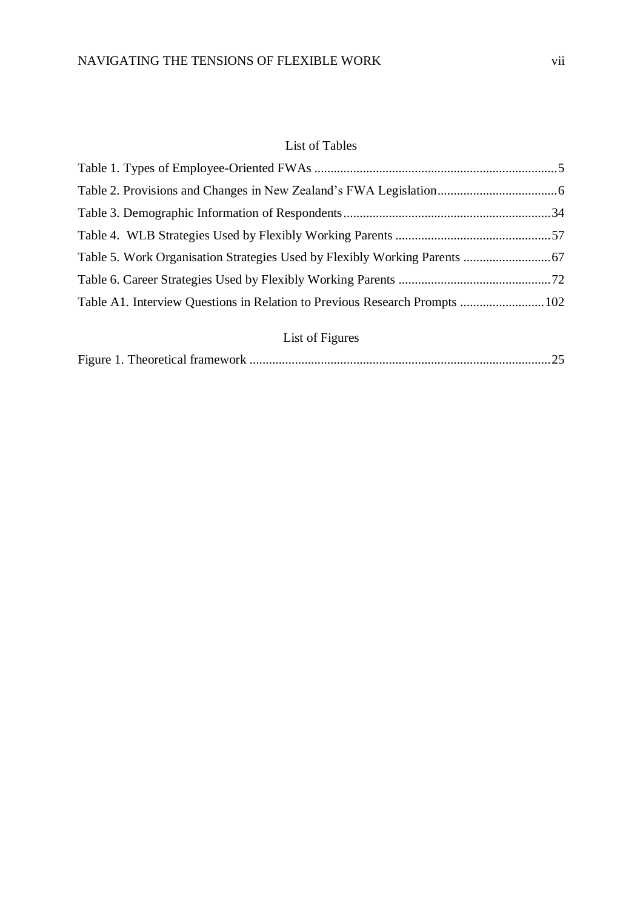# <span id="page-6-1"></span>List of Tables

<span id="page-6-0"></span>

| Table A1. Interview Questions in Relation to Previous Research Prompts 102 |  |
|----------------------------------------------------------------------------|--|
|                                                                            |  |
| List of Figures                                                            |  |

Figure 1. Theoretical framework [.............................................................................................25](#page-31-0)

| ٠ | ×<br>٠ |
|---|--------|
|   |        |
|   |        |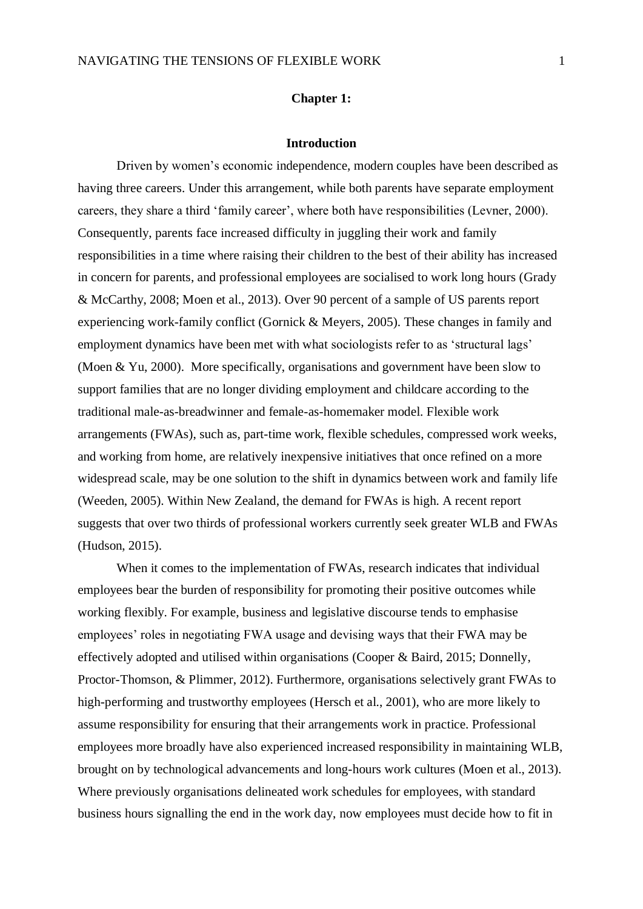#### **Chapter 1:**

#### **Introduction**

<span id="page-7-0"></span>Driven by women's economic independence, modern couples have been described as having three careers. Under this arrangement, while both parents have separate employment careers, they share a third 'family career', where both have responsibilities (Levner, 2000). Consequently, parents face increased difficulty in juggling their work and family responsibilities in a time where raising their children to the best of their ability has increased in concern for parents, and professional employees are socialised to work long hours (Grady & McCarthy, 2008; Moen et al., 2013). Over 90 percent of a sample of US parents report experiencing work-family conflict (Gornick & Meyers, 2005). These changes in family and employment dynamics have been met with what sociologists refer to as 'structural lags' (Moen & Yu, 2000). More specifically, organisations and government have been slow to support families that are no longer dividing employment and childcare according to the traditional male-as-breadwinner and female-as-homemaker model. Flexible work arrangements (FWAs), such as, part-time work, flexible schedules, compressed work weeks, and working from home, are relatively inexpensive initiatives that once refined on a more widespread scale, may be one solution to the shift in dynamics between work and family life (Weeden, 2005). Within New Zealand, the demand for FWAs is high. A recent report suggests that over two thirds of professional workers currently seek greater WLB and FWAs (Hudson, 2015).

When it comes to the implementation of FWAs, research indicates that individual employees bear the burden of responsibility for promoting their positive outcomes while working flexibly. For example, business and legislative discourse tends to emphasise employees' roles in negotiating FWA usage and devising ways that their FWA may be effectively adopted and utilised within organisations (Cooper & Baird, 2015; Donnelly, Proctor-Thomson, & Plimmer, 2012). Furthermore, organisations selectively grant FWAs to high-performing and trustworthy employees (Hersch et al., 2001), who are more likely to assume responsibility for ensuring that their arrangements work in practice. Professional employees more broadly have also experienced increased responsibility in maintaining WLB, brought on by technological advancements and long-hours work cultures (Moen et al., 2013). Where previously organisations delineated work schedules for employees, with standard business hours signalling the end in the work day, now employees must decide how to fit in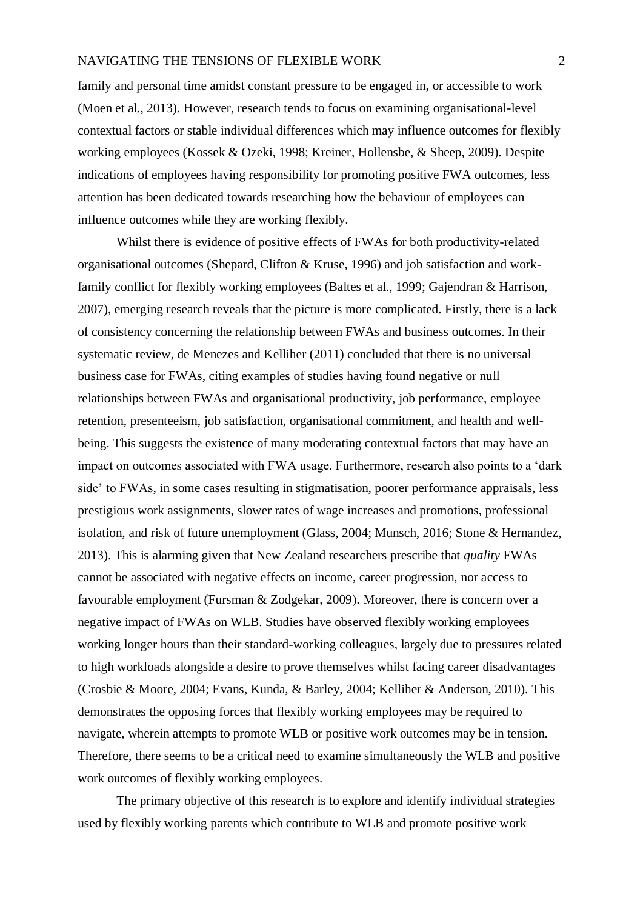family and personal time amidst constant pressure to be engaged in, or accessible to work (Moen et al., 2013). However, research tends to focus on examining organisational-level contextual factors or stable individual differences which may influence outcomes for flexibly working employees (Kossek & Ozeki, 1998; Kreiner, Hollensbe, & Sheep, 2009). Despite indications of employees having responsibility for promoting positive FWA outcomes, less attention has been dedicated towards researching how the behaviour of employees can influence outcomes while they are working flexibly.

Whilst there is evidence of positive effects of FWAs for both productivity-related organisational outcomes (Shepard, Clifton & Kruse, 1996) and job satisfaction and workfamily conflict for flexibly working employees (Baltes et al., 1999; Gajendran & Harrison, 2007), emerging research reveals that the picture is more complicated. Firstly, there is a lack of consistency concerning the relationship between FWAs and business outcomes. In their systematic review, de Menezes and Kelliher (2011) concluded that there is no universal business case for FWAs, citing examples of studies having found negative or null relationships between FWAs and organisational productivity, job performance, employee retention, presenteeism, job satisfaction, organisational commitment, and health and wellbeing. This suggests the existence of many moderating contextual factors that may have an impact on outcomes associated with FWA usage. Furthermore, research also points to a 'dark side' to FWAs, in some cases resulting in stigmatisation, poorer performance appraisals, less prestigious work assignments, slower rates of wage increases and promotions, professional isolation, and risk of future unemployment (Glass, 2004; Munsch, 2016; Stone & Hernandez, 2013). This is alarming given that New Zealand researchers prescribe that *quality* FWAs cannot be associated with negative effects on income, career progression, nor access to favourable employment (Fursman & Zodgekar, 2009). Moreover, there is concern over a negative impact of FWAs on WLB. Studies have observed flexibly working employees working longer hours than their standard-working colleagues, largely due to pressures related to high workloads alongside a desire to prove themselves whilst facing career disadvantages (Crosbie & Moore, 2004; Evans, Kunda, & Barley, 2004; Kelliher & Anderson, 2010). This demonstrates the opposing forces that flexibly working employees may be required to navigate, wherein attempts to promote WLB or positive work outcomes may be in tension. Therefore, there seems to be a critical need to examine simultaneously the WLB and positive work outcomes of flexibly working employees.

The primary objective of this research is to explore and identify individual strategies used by flexibly working parents which contribute to WLB and promote positive work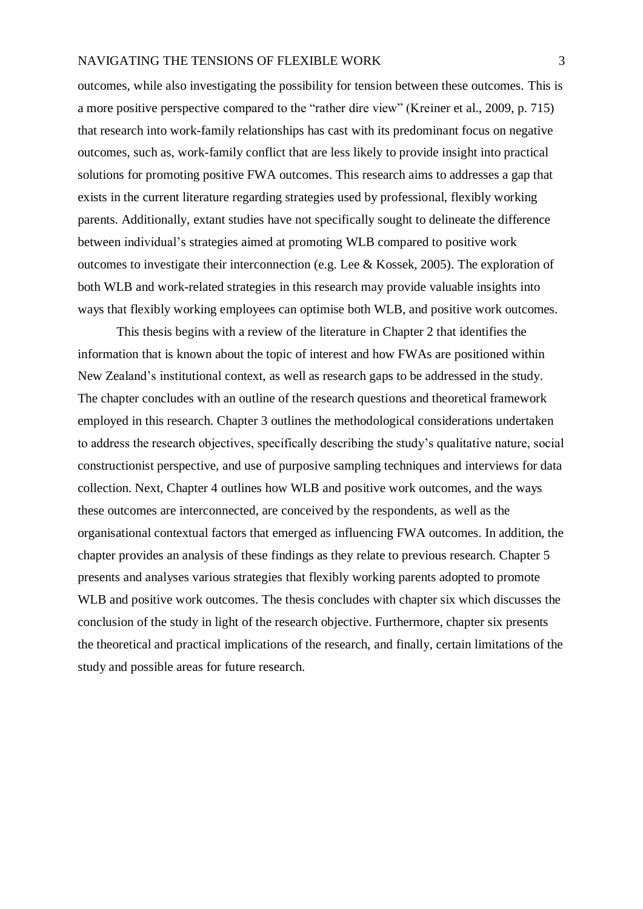outcomes, while also investigating the possibility for tension between these outcomes. This is a more positive perspective compared to the "rather dire view" (Kreiner et al., 2009, p. 715) that research into work-family relationships has cast with its predominant focus on negative outcomes, such as, work-family conflict that are less likely to provide insight into practical solutions for promoting positive FWA outcomes. This research aims to addresses a gap that exists in the current literature regarding strategies used by professional, flexibly working parents. Additionally, extant studies have not specifically sought to delineate the difference between individual's strategies aimed at promoting WLB compared to positive work outcomes to investigate their interconnection (e.g. Lee & Kossek, 2005). The exploration of both WLB and work-related strategies in this research may provide valuable insights into ways that flexibly working employees can optimise both WLB, and positive work outcomes.

This thesis begins with a review of the literature in Chapter 2 that identifies the information that is known about the topic of interest and how FWAs are positioned within New Zealand's institutional context, as well as research gaps to be addressed in the study. The chapter concludes with an outline of the research questions and theoretical framework employed in this research. Chapter 3 outlines the methodological considerations undertaken to address the research objectives, specifically describing the study's qualitative nature, social constructionist perspective, and use of purposive sampling techniques and interviews for data collection. Next, Chapter 4 outlines how WLB and positive work outcomes, and the ways these outcomes are interconnected, are conceived by the respondents, as well as the organisational contextual factors that emerged as influencing FWA outcomes. In addition, the chapter provides an analysis of these findings as they relate to previous research. Chapter 5 presents and analyses various strategies that flexibly working parents adopted to promote WLB and positive work outcomes. The thesis concludes with chapter six which discusses the conclusion of the study in light of the research objective. Furthermore, chapter six presents the theoretical and practical implications of the research, and finally, certain limitations of the study and possible areas for future research.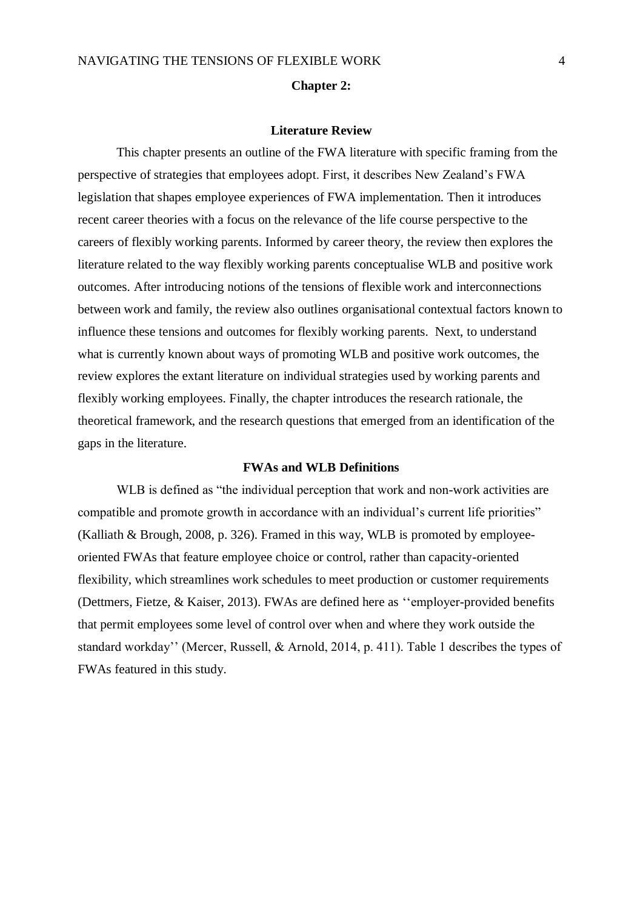#### **Chapter 2:**

#### **Literature Review**

<span id="page-10-0"></span>This chapter presents an outline of the FWA literature with specific framing from the perspective of strategies that employees adopt. First, it describes New Zealand's FWA legislation that shapes employee experiences of FWA implementation. Then it introduces recent career theories with a focus on the relevance of the life course perspective to the careers of flexibly working parents. Informed by career theory, the review then explores the literature related to the way flexibly working parents conceptualise WLB and positive work outcomes. After introducing notions of the tensions of flexible work and interconnections between work and family, the review also outlines organisational contextual factors known to influence these tensions and outcomes for flexibly working parents. Next, to understand what is currently known about ways of promoting WLB and positive work outcomes, the review explores the extant literature on individual strategies used by working parents and flexibly working employees. Finally, the chapter introduces the research rationale, the theoretical framework, and the research questions that emerged from an identification of the gaps in the literature.

# **FWAs and WLB Definitions**

<span id="page-10-1"></span>WLB is defined as "the individual perception that work and non-work activities are compatible and promote growth in accordance with an individual's current life priorities" (Kalliath & Brough, 2008, p. 326). Framed in this way, WLB is promoted by employeeoriented FWAs that feature employee choice or control, rather than capacity-oriented flexibility, which streamlines work schedules to meet production or customer requirements (Dettmers, Fietze, & Kaiser, 2013). FWAs are defined here as ''employer-provided benefits that permit employees some level of control over when and where they work outside the standard workday'' (Mercer, Russell, & Arnold, 2014, p. 411). Table 1 describes the types of FWAs featured in this study.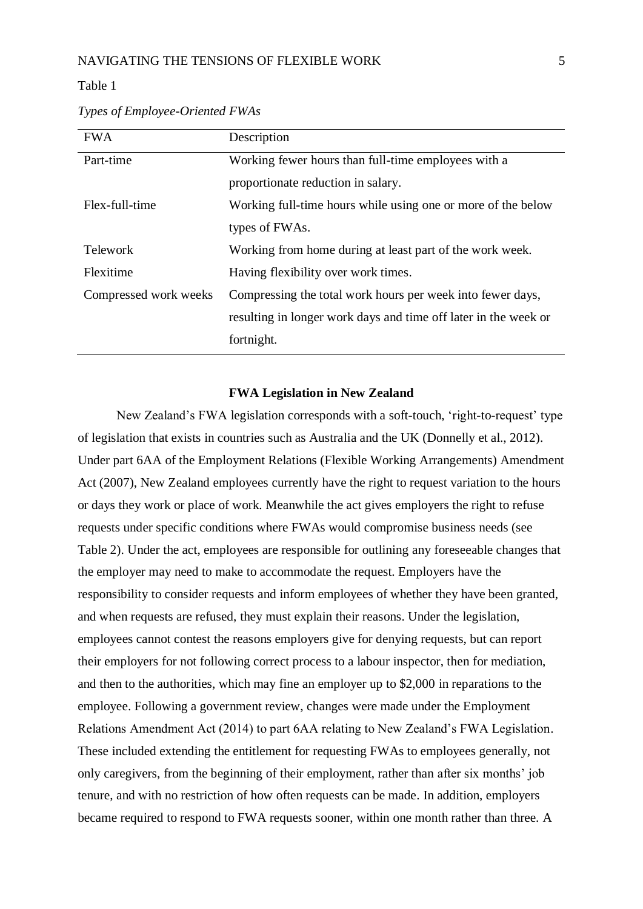#### <span id="page-11-1"></span>Table 1

| <b>FWA</b>            | Description                                                     |
|-----------------------|-----------------------------------------------------------------|
| Part-time             | Working fewer hours than full-time employees with a             |
|                       | proportionate reduction in salary.                              |
| Flex-full-time        | Working full-time hours while using one or more of the below    |
|                       | types of FWAs.                                                  |
| <b>Telework</b>       | Working from home during at least part of the work week.        |
| Flexitime             | Having flexibility over work times.                             |
| Compressed work weeks | Compressing the total work hours per week into fewer days,      |
|                       | resulting in longer work days and time off later in the week or |
|                       | fortnight.                                                      |

*Types of Employee-Oriented FWAs*

#### **FWA Legislation in New Zealand**

<span id="page-11-0"></span>New Zealand's FWA legislation corresponds with a soft-touch, 'right-to-request' type of legislation that exists in countries such as Australia and the UK (Donnelly et al., 2012). Under part 6AA of the Employment Relations (Flexible Working Arrangements) Amendment Act (2007), New Zealand employees currently have the right to request variation to the hours or days they work or place of work. Meanwhile the act gives employers the right to refuse requests under specific conditions where FWAs would compromise business needs (see Table 2). Under the act, employees are responsible for outlining any foreseeable changes that the employer may need to make to accommodate the request. Employers have the responsibility to consider requests and inform employees of whether they have been granted, and when requests are refused, they must explain their reasons. Under the legislation, employees cannot contest the reasons employers give for denying requests, but can report their employers for not following correct process to a labour inspector, then for mediation, and then to the authorities, which may fine an employer up to \$2,000 in reparations to the employee. Following a government review, changes were made under the Employment Relations Amendment Act (2014) to part 6AA relating to New Zealand's FWA Legislation. These included extending the entitlement for requesting FWAs to employees generally, not only caregivers, from the beginning of their employment, rather than after six months' job tenure, and with no restriction of how often requests can be made. In addition, employers became required to respond to FWA requests sooner, within one month rather than three. A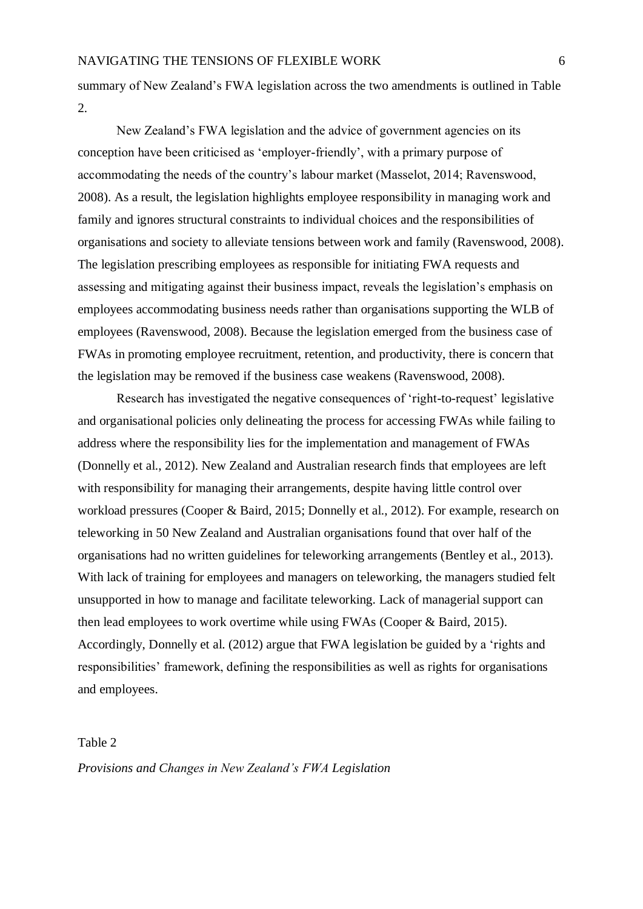summary of New Zealand's FWA legislation across the two amendments is outlined in Table 2.

New Zealand's FWA legislation and the advice of government agencies on its conception have been criticised as 'employer-friendly', with a primary purpose of accommodating the needs of the country's labour market (Masselot, 2014; Ravenswood, 2008). As a result, the legislation highlights employee responsibility in managing work and family and ignores structural constraints to individual choices and the responsibilities of organisations and society to alleviate tensions between work and family (Ravenswood, 2008). The legislation prescribing employees as responsible for initiating FWA requests and assessing and mitigating against their business impact, reveals the legislation's emphasis on employees accommodating business needs rather than organisations supporting the WLB of employees (Ravenswood, 2008). Because the legislation emerged from the business case of FWAs in promoting employee recruitment, retention, and productivity, there is concern that the legislation may be removed if the business case weakens (Ravenswood, 2008).

Research has investigated the negative consequences of 'right-to-request' legislative and organisational policies only delineating the process for accessing FWAs while failing to address where the responsibility lies for the implementation and management of FWAs (Donnelly et al., 2012). New Zealand and Australian research finds that employees are left with responsibility for managing their arrangements, despite having little control over workload pressures (Cooper & Baird, 2015; Donnelly et al., 2012). For example, research on teleworking in 50 New Zealand and Australian organisations found that over half of the organisations had no written guidelines for teleworking arrangements (Bentley et al., 2013). With lack of training for employees and managers on teleworking, the managers studied felt unsupported in how to manage and facilitate teleworking. Lack of managerial support can then lead employees to work overtime while using FWAs (Cooper & Baird, 2015). Accordingly, Donnelly et al. (2012) argue that FWA legislation be guided by a 'rights and responsibilities' framework, defining the responsibilities as well as rights for organisations and employees.

#### <span id="page-12-0"></span>Table 2

*Provisions and Changes in New Zealand's FWA Legislation*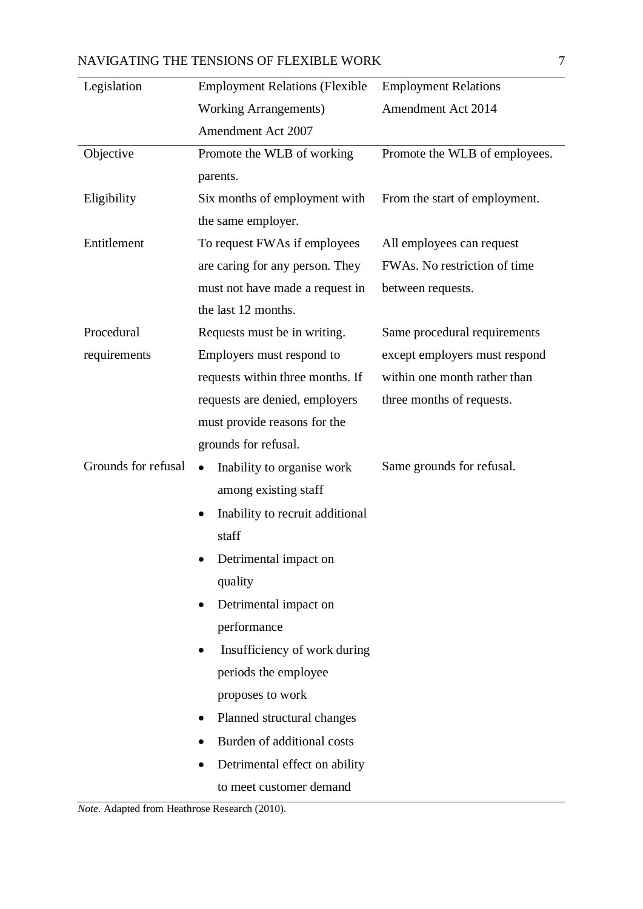| NAVIGATING THE TENSIONS OF FLEXIBLE WORK |  |
|------------------------------------------|--|
|                                          |  |

| Legislation         | <b>Employment Relations (Flexible</b>     | <b>Employment Relations</b>   |
|---------------------|-------------------------------------------|-------------------------------|
|                     | <b>Working Arrangements)</b>              | <b>Amendment Act 2014</b>     |
|                     | Amendment Act 2007                        |                               |
| Objective           | Promote the WLB of working                | Promote the WLB of employees. |
|                     | parents.                                  |                               |
| Eligibility         | Six months of employment with             | From the start of employment. |
|                     | the same employer.                        |                               |
| Entitlement         | To request FWAs if employees              | All employees can request     |
|                     | are caring for any person. They           | FWAs. No restriction of time  |
|                     | must not have made a request in           | between requests.             |
|                     | the last 12 months.                       |                               |
| Procedural          | Requests must be in writing.              | Same procedural requirements  |
| requirements        | Employers must respond to                 | except employers must respond |
|                     | requests within three months. If          | within one month rather than  |
|                     | requests are denied, employers            | three months of requests.     |
|                     | must provide reasons for the              |                               |
|                     | grounds for refusal.                      |                               |
| Grounds for refusal | Inability to organise work<br>$\bullet$   | Same grounds for refusal.     |
|                     | among existing staff                      |                               |
|                     | Inability to recruit additional           |                               |
|                     | staff                                     |                               |
|                     | • Detrimental impact on                   |                               |
|                     | quality                                   |                               |
|                     | Detrimental impact on<br>$\bullet$        |                               |
|                     | performance                               |                               |
|                     | Insufficiency of work during<br>$\bullet$ |                               |
|                     | periods the employee                      |                               |
|                     | proposes to work                          |                               |
|                     | Planned structural changes                |                               |
|                     | Burden of additional costs                |                               |
|                     | Detrimental effect on ability             |                               |
|                     | to meet customer demand                   |                               |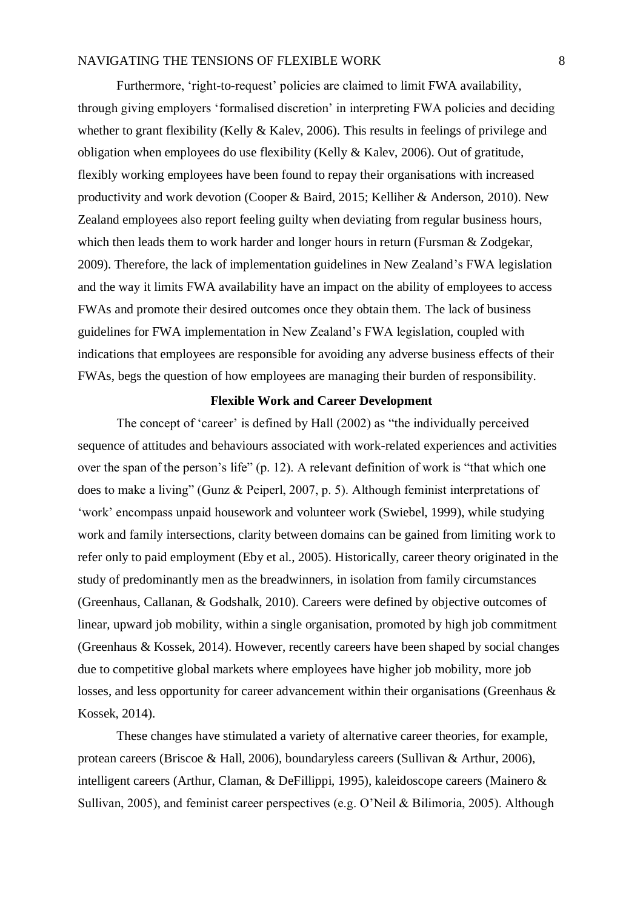Furthermore, 'right-to-request' policies are claimed to limit FWA availability, through giving employers 'formalised discretion' in interpreting FWA policies and deciding whether to grant flexibility (Kelly & Kalev, 2006). This results in feelings of privilege and obligation when employees do use flexibility (Kelly & Kalev, 2006). Out of gratitude, flexibly working employees have been found to repay their organisations with increased productivity and work devotion (Cooper & Baird, 2015; Kelliher & Anderson, 2010). New Zealand employees also report feeling guilty when deviating from regular business hours, which then leads them to work harder and longer hours in return (Fursman & Zodgekar, 2009). Therefore, the lack of implementation guidelines in New Zealand's FWA legislation and the way it limits FWA availability have an impact on the ability of employees to access FWAs and promote their desired outcomes once they obtain them. The lack of business guidelines for FWA implementation in New Zealand's FWA legislation, coupled with indications that employees are responsible for avoiding any adverse business effects of their FWAs, begs the question of how employees are managing their burden of responsibility.

# **Flexible Work and Career Development**

<span id="page-14-0"></span>The concept of 'career' is defined by Hall (2002) as "the individually perceived sequence of attitudes and behaviours associated with work-related experiences and activities over the span of the person's life" (p. 12). A relevant definition of work is "that which one does to make a living" (Gunz & Peiperl, 2007, p. 5). Although feminist interpretations of 'work' encompass unpaid housework and volunteer work (Swiebel, 1999), while studying work and family intersections, clarity between domains can be gained from limiting work to refer only to paid employment (Eby et al., 2005). Historically, career theory originated in the study of predominantly men as the breadwinners, in isolation from family circumstances (Greenhaus, Callanan, & Godshalk, 2010). Careers were defined by objective outcomes of linear, upward job mobility, within a single organisation, promoted by high job commitment (Greenhaus & Kossek, 2014). However, recently careers have been shaped by social changes due to competitive global markets where employees have higher job mobility, more job losses, and less opportunity for career advancement within their organisations (Greenhaus & Kossek, 2014).

These changes have stimulated a variety of alternative career theories, for example, protean careers (Briscoe & Hall, 2006), boundaryless careers (Sullivan & Arthur, 2006), intelligent careers (Arthur, Claman, & DeFillippi, 1995), kaleidoscope careers (Mainero & Sullivan, 2005), and feminist career perspectives (e.g. O'Neil & Bilimoria, 2005). Although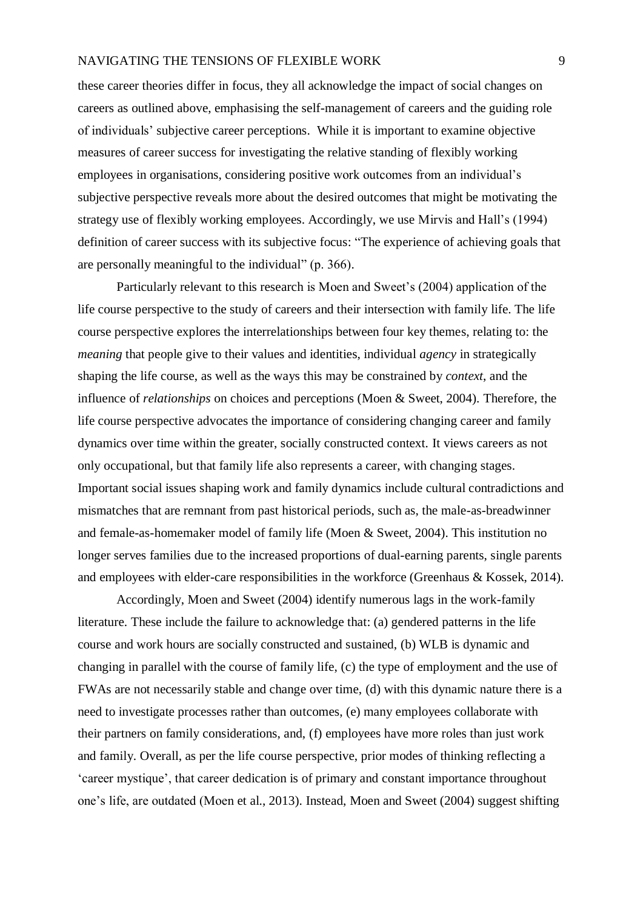these career theories differ in focus, they all acknowledge the impact of social changes on careers as outlined above, emphasising the self-management of careers and the guiding role of individuals' subjective career perceptions. While it is important to examine objective measures of career success for investigating the relative standing of flexibly working employees in organisations, considering positive work outcomes from an individual's subjective perspective reveals more about the desired outcomes that might be motivating the strategy use of flexibly working employees. Accordingly, we use Mirvis and Hall's (1994) definition of career success with its subjective focus: "The experience of achieving goals that are personally meaningful to the individual" (p. 366).

Particularly relevant to this research is Moen and Sweet's (2004) application of the life course perspective to the study of careers and their intersection with family life. The life course perspective explores the interrelationships between four key themes, relating to: the *meaning* that people give to their values and identities, individual *agency* in strategically shaping the life course, as well as the ways this may be constrained by *context*, and the influence of *relationships* on choices and perceptions (Moen & Sweet, 2004). Therefore, the life course perspective advocates the importance of considering changing career and family dynamics over time within the greater, socially constructed context*.* It views careers as not only occupational, but that family life also represents a career, with changing stages. Important social issues shaping work and family dynamics include cultural contradictions and mismatches that are remnant from past historical periods, such as, the male-as-breadwinner and female-as-homemaker model of family life (Moen & Sweet, 2004). This institution no longer serves families due to the increased proportions of dual-earning parents, single parents and employees with elder-care responsibilities in the workforce (Greenhaus & Kossek, 2014).

Accordingly, Moen and Sweet (2004) identify numerous lags in the work-family literature. These include the failure to acknowledge that: (a) gendered patterns in the life course and work hours are socially constructed and sustained, (b) WLB is dynamic and changing in parallel with the course of family life, (c) the type of employment and the use of FWAs are not necessarily stable and change over time, (d) with this dynamic nature there is a need to investigate processes rather than outcomes, (e) many employees collaborate with their partners on family considerations, and, (f) employees have more roles than just work and family. Overall, as per the life course perspective, prior modes of thinking reflecting a 'career mystique', that career dedication is of primary and constant importance throughout one's life, are outdated (Moen et al., 2013). Instead, Moen and Sweet (2004) suggest shifting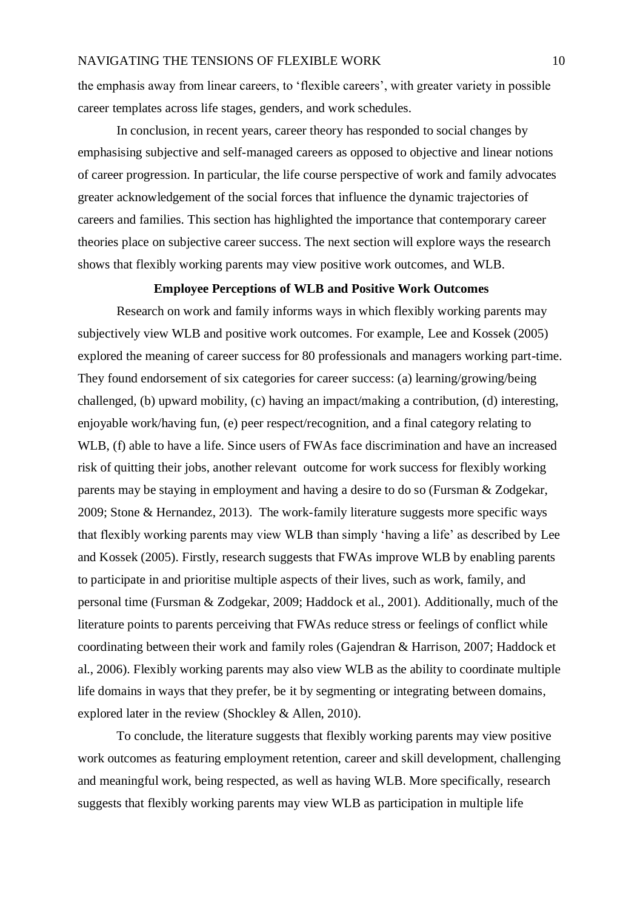the emphasis away from linear careers, to 'flexible careers', with greater variety in possible career templates across life stages, genders, and work schedules.

In conclusion, in recent years, career theory has responded to social changes by emphasising subjective and self-managed careers as opposed to objective and linear notions of career progression. In particular, the life course perspective of work and family advocates greater acknowledgement of the social forces that influence the dynamic trajectories of careers and families. This section has highlighted the importance that contemporary career theories place on subjective career success. The next section will explore ways the research shows that flexibly working parents may view positive work outcomes, and WLB.

# **Employee Perceptions of WLB and Positive Work Outcomes**

<span id="page-16-0"></span>Research on work and family informs ways in which flexibly working parents may subjectively view WLB and positive work outcomes. For example, Lee and Kossek (2005) explored the meaning of career success for 80 professionals and managers working part-time. They found endorsement of six categories for career success: (a) learning/growing/being challenged, (b) upward mobility, (c) having an impact/making a contribution, (d) interesting, enjoyable work/having fun, (e) peer respect/recognition, and a final category relating to WLB, (f) able to have a life. Since users of FWAs face discrimination and have an increased risk of quitting their jobs, another relevant outcome for work success for flexibly working parents may be staying in employment and having a desire to do so (Fursman & Zodgekar, 2009; Stone & Hernandez, 2013). The work-family literature suggests more specific ways that flexibly working parents may view WLB than simply 'having a life' as described by Lee and Kossek (2005). Firstly, research suggests that FWAs improve WLB by enabling parents to participate in and prioritise multiple aspects of their lives, such as work, family, and personal time (Fursman & Zodgekar, 2009; Haddock et al., 2001). Additionally, much of the literature points to parents perceiving that FWAs reduce stress or feelings of conflict while coordinating between their work and family roles (Gajendran & Harrison, 2007; Haddock et al., 2006). Flexibly working parents may also view WLB as the ability to coordinate multiple life domains in ways that they prefer, be it by segmenting or integrating between domains, explored later in the review (Shockley & Allen, 2010).

To conclude, the literature suggests that flexibly working parents may view positive work outcomes as featuring employment retention, career and skill development, challenging and meaningful work, being respected, as well as having WLB. More specifically, research suggests that flexibly working parents may view WLB as participation in multiple life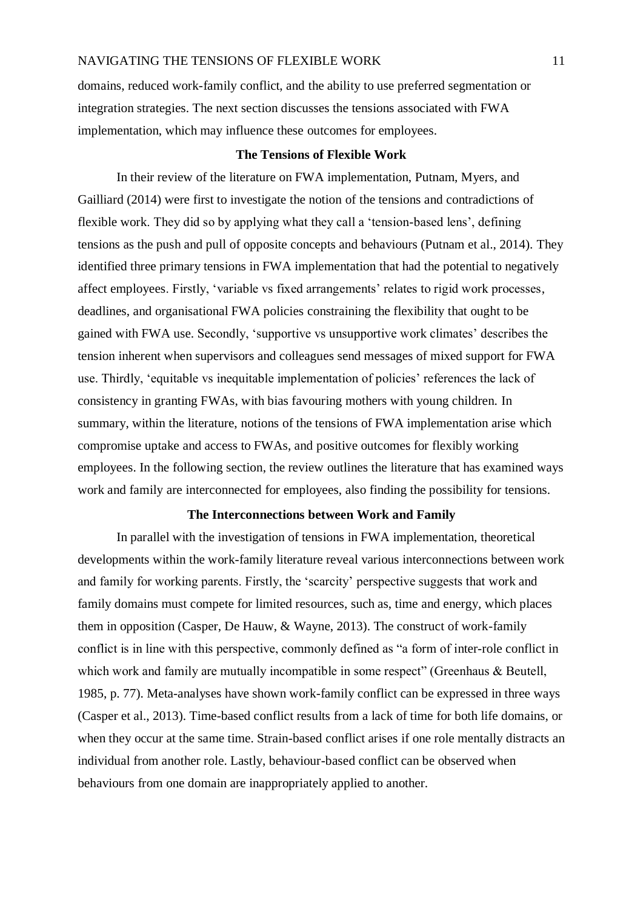domains, reduced work-family conflict, and the ability to use preferred segmentation or integration strategies. The next section discusses the tensions associated with FWA implementation, which may influence these outcomes for employees.

# **The Tensions of Flexible Work**

<span id="page-17-0"></span>In their review of the literature on FWA implementation, Putnam, Myers, and Gailliard (2014) were first to investigate the notion of the tensions and contradictions of flexible work. They did so by applying what they call a 'tension-based lens', defining tensions as the push and pull of opposite concepts and behaviours (Putnam et al., 2014). They identified three primary tensions in FWA implementation that had the potential to negatively affect employees. Firstly, 'variable vs fixed arrangements' relates to rigid work processes, deadlines, and organisational FWA policies constraining the flexibility that ought to be gained with FWA use. Secondly, 'supportive vs unsupportive work climates' describes the tension inherent when supervisors and colleagues send messages of mixed support for FWA use. Thirdly, 'equitable vs inequitable implementation of policies' references the lack of consistency in granting FWAs, with bias favouring mothers with young children. In summary, within the literature, notions of the tensions of FWA implementation arise which compromise uptake and access to FWAs, and positive outcomes for flexibly working employees. In the following section, the review outlines the literature that has examined ways work and family are interconnected for employees, also finding the possibility for tensions.

# **The Interconnections between Work and Family**

<span id="page-17-1"></span>In parallel with the investigation of tensions in FWA implementation, theoretical developments within the work-family literature reveal various interconnections between work and family for working parents. Firstly, the 'scarcity' perspective suggests that work and family domains must compete for limited resources, such as, time and energy, which places them in opposition (Casper, De Hauw, & Wayne, 2013). The construct of work-family conflict is in line with this perspective, commonly defined as "a form of inter-role conflict in which work and family are mutually incompatible in some respect" (Greenhaus & Beutell, 1985, p. 77). Meta-analyses have shown work-family conflict can be expressed in three ways (Casper et al., 2013). Time-based conflict results from a lack of time for both life domains, or when they occur at the same time. Strain-based conflict arises if one role mentally distracts an individual from another role. Lastly, behaviour-based conflict can be observed when behaviours from one domain are inappropriately applied to another.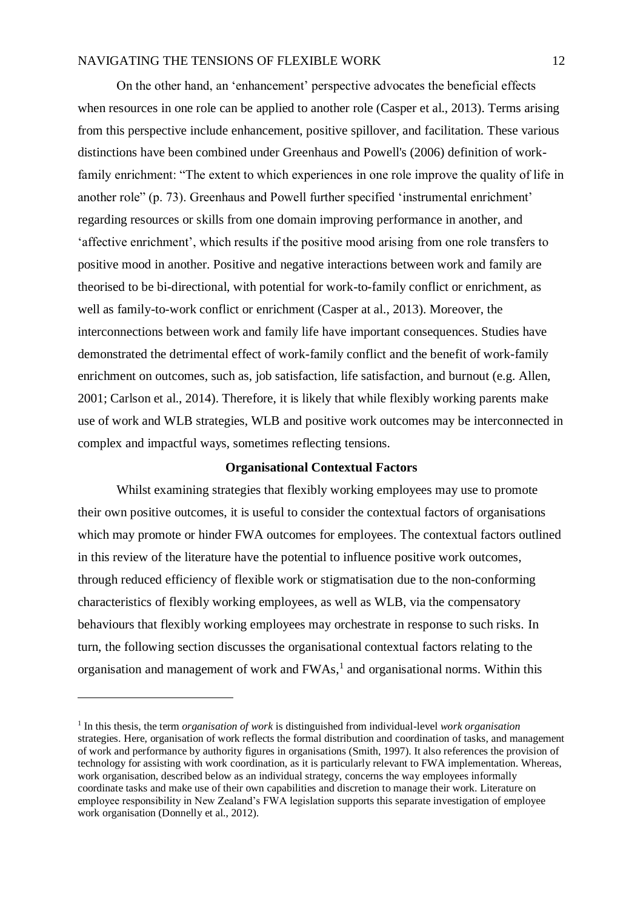On the other hand, an 'enhancement' perspective advocates the beneficial effects when resources in one role can be applied to another role (Casper et al., 2013). Terms arising from this perspective include enhancement, positive spillover, and facilitation. These various distinctions have been combined under Greenhaus and Powell's (2006) definition of workfamily enrichment: "The extent to which experiences in one role improve the quality of life in another role" (p. 73). Greenhaus and Powell further specified 'instrumental enrichment' regarding resources or skills from one domain improving performance in another, and 'affective enrichment', which results if the positive mood arising from one role transfers to positive mood in another. Positive and negative interactions between work and family are theorised to be bi-directional, with potential for work-to-family conflict or enrichment, as well as family-to-work conflict or enrichment (Casper at al., 2013). Moreover, the interconnections between work and family life have important consequences. Studies have demonstrated the detrimental effect of work-family conflict and the benefit of work-family enrichment on outcomes, such as, job satisfaction, life satisfaction, and burnout (e.g. Allen, 2001; Carlson et al., 2014). Therefore, it is likely that while flexibly working parents make use of work and WLB strategies, WLB and positive work outcomes may be interconnected in complex and impactful ways, sometimes reflecting tensions.

# **Organisational Contextual Factors**

<span id="page-18-0"></span>Whilst examining strategies that flexibly working employees may use to promote their own positive outcomes, it is useful to consider the contextual factors of organisations which may promote or hinder FWA outcomes for employees. The contextual factors outlined in this review of the literature have the potential to influence positive work outcomes, through reduced efficiency of flexible work or stigmatisation due to the non-conforming characteristics of flexibly working employees, as well as WLB, via the compensatory behaviours that flexibly working employees may orchestrate in response to such risks. In turn, the following section discusses the organisational contextual factors relating to the organisation and management of work and FWAs, 1 and organisational norms. Within this

1

<sup>1</sup> In this thesis, the term *organisation of work* is distinguished from individual-level *work organisation* strategies. Here, organisation of work reflects the formal distribution and coordination of tasks, and management of work and performance by authority figures in organisations (Smith, 1997). It also references the provision of technology for assisting with work coordination, as it is particularly relevant to FWA implementation. Whereas, work organisation, described below as an individual strategy, concerns the way employees informally coordinate tasks and make use of their own capabilities and discretion to manage their work. Literature on employee responsibility in New Zealand's FWA legislation supports this separate investigation of employee work organisation (Donnelly et al., 2012).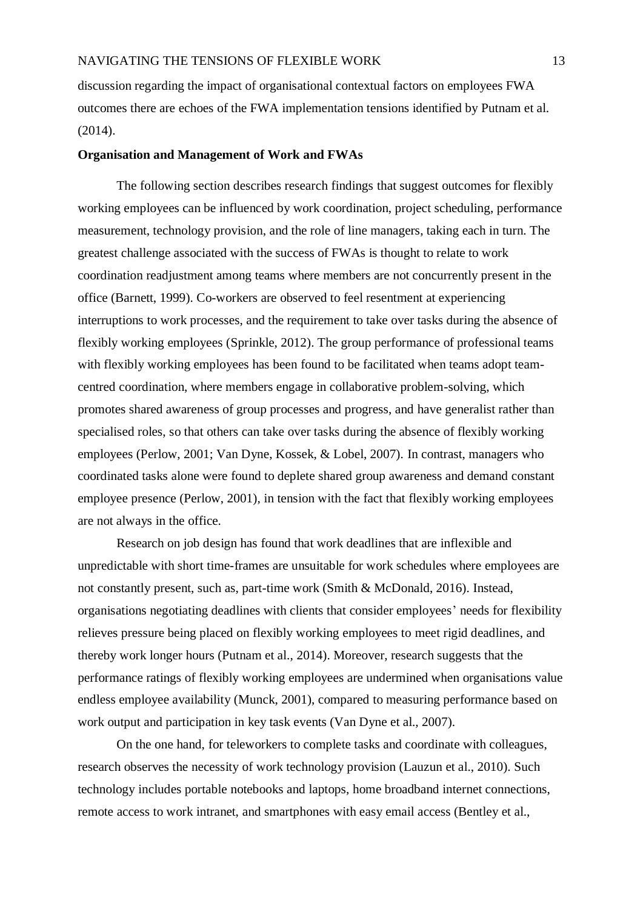discussion regarding the impact of organisational contextual factors on employees FWA outcomes there are echoes of the FWA implementation tensions identified by Putnam et al. (2014).

#### <span id="page-19-0"></span>**Organisation and Management of Work and FWAs**

The following section describes research findings that suggest outcomes for flexibly working employees can be influenced by work coordination, project scheduling, performance measurement, technology provision, and the role of line managers, taking each in turn. The greatest challenge associated with the success of FWAs is thought to relate to work coordination readjustment among teams where members are not concurrently present in the office (Barnett, 1999). Co-workers are observed to feel resentment at experiencing interruptions to work processes, and the requirement to take over tasks during the absence of flexibly working employees (Sprinkle, 2012). The group performance of professional teams with flexibly working employees has been found to be facilitated when teams adopt teamcentred coordination, where members engage in collaborative problem-solving, which promotes shared awareness of group processes and progress, and have generalist rather than specialised roles, so that others can take over tasks during the absence of flexibly working employees (Perlow, 2001; Van Dyne, Kossek, & Lobel, 2007). In contrast, managers who coordinated tasks alone were found to deplete shared group awareness and demand constant employee presence (Perlow, 2001), in tension with the fact that flexibly working employees are not always in the office.

Research on job design has found that work deadlines that are inflexible and unpredictable with short time-frames are unsuitable for work schedules where employees are not constantly present, such as, part-time work (Smith & McDonald, 2016). Instead, organisations negotiating deadlines with clients that consider employees' needs for flexibility relieves pressure being placed on flexibly working employees to meet rigid deadlines, and thereby work longer hours (Putnam et al., 2014). Moreover, research suggests that the performance ratings of flexibly working employees are undermined when organisations value endless employee availability (Munck, 2001), compared to measuring performance based on work output and participation in key task events (Van Dyne et al., 2007).

On the one hand, for teleworkers to complete tasks and coordinate with colleagues, research observes the necessity of work technology provision (Lauzun et al., 2010). Such technology includes portable notebooks and laptops, home broadband internet connections, remote access to work intranet, and smartphones with easy email access (Bentley et al.,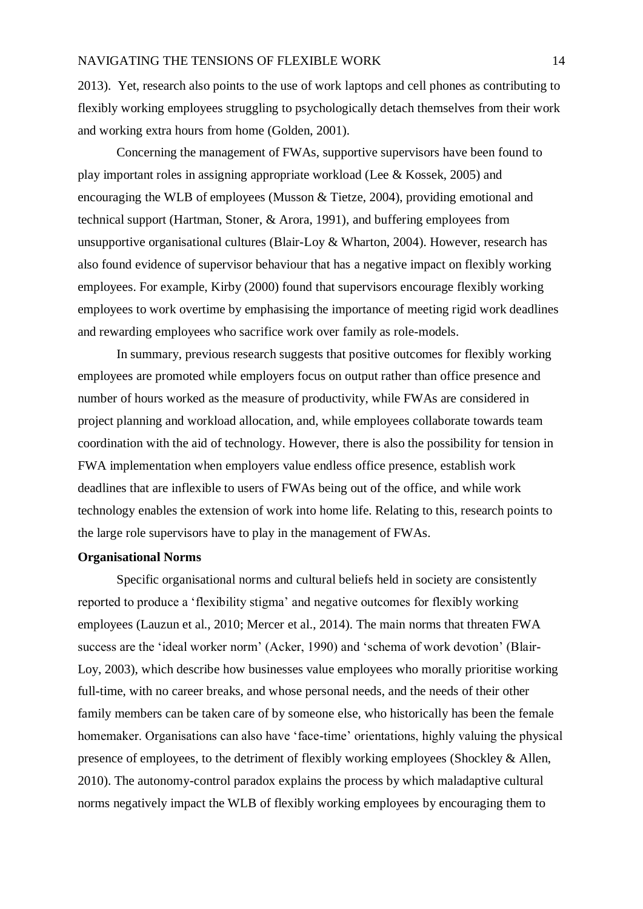2013). Yet, research also points to the use of work laptops and cell phones as contributing to flexibly working employees struggling to psychologically detach themselves from their work and working extra hours from home (Golden, 2001).

Concerning the management of FWAs, supportive supervisors have been found to play important roles in assigning appropriate workload (Lee & Kossek, 2005) and encouraging the WLB of employees (Musson & Tietze, 2004), providing emotional and technical support (Hartman, Stoner, & Arora, 1991), and buffering employees from unsupportive organisational cultures (Blair-Loy & Wharton, 2004). However, research has also found evidence of supervisor behaviour that has a negative impact on flexibly working employees. For example, Kirby (2000) found that supervisors encourage flexibly working employees to work overtime by emphasising the importance of meeting rigid work deadlines and rewarding employees who sacrifice work over family as role-models.

In summary, previous research suggests that positive outcomes for flexibly working employees are promoted while employers focus on output rather than office presence and number of hours worked as the measure of productivity, while FWAs are considered in project planning and workload allocation, and, while employees collaborate towards team coordination with the aid of technology. However, there is also the possibility for tension in FWA implementation when employers value endless office presence, establish work deadlines that are inflexible to users of FWAs being out of the office, and while work technology enables the extension of work into home life. Relating to this, research points to the large role supervisors have to play in the management of FWAs.

#### <span id="page-20-0"></span>**Organisational Norms**

Specific organisational norms and cultural beliefs held in society are consistently reported to produce a 'flexibility stigma' and negative outcomes for flexibly working employees (Lauzun et al., 2010; Mercer et al., 2014). The main norms that threaten FWA success are the 'ideal worker norm' (Acker, 1990) and 'schema of work devotion' (Blair-Loy, 2003), which describe how businesses value employees who morally prioritise working full-time, with no career breaks, and whose personal needs, and the needs of their other family members can be taken care of by someone else, who historically has been the female homemaker. Organisations can also have 'face-time' orientations, highly valuing the physical presence of employees, to the detriment of flexibly working employees (Shockley & Allen, 2010). The autonomy-control paradox explains the process by which maladaptive cultural norms negatively impact the WLB of flexibly working employees by encouraging them to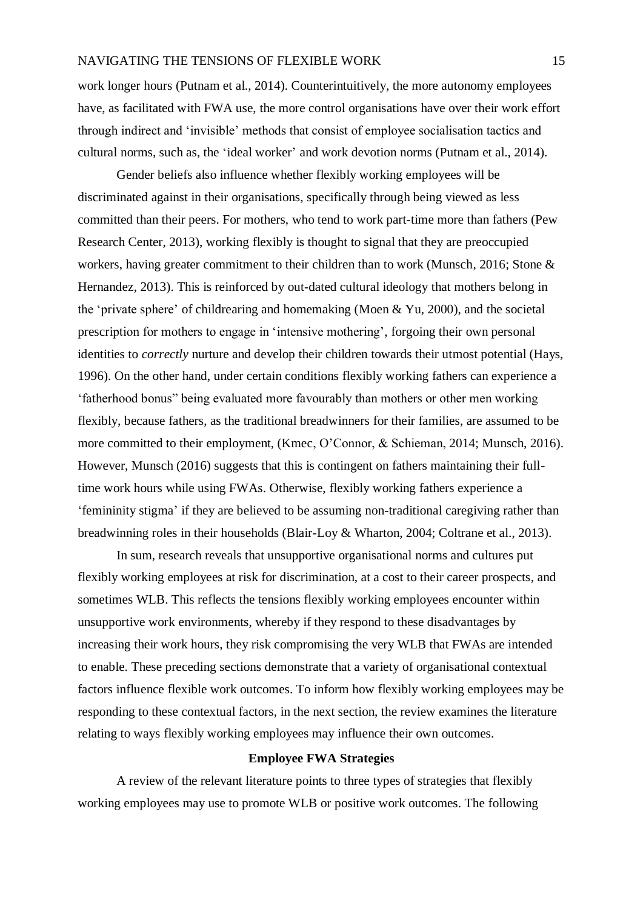work longer hours (Putnam et al., 2014). Counterintuitively, the more autonomy employees have, as facilitated with FWA use, the more control organisations have over their work effort through indirect and 'invisible' methods that consist of employee socialisation tactics and cultural norms, such as, the 'ideal worker' and work devotion norms (Putnam et al., 2014).

Gender beliefs also influence whether flexibly working employees will be discriminated against in their organisations, specifically through being viewed as less committed than their peers. For mothers, who tend to work part-time more than fathers (Pew Research Center, 2013), working flexibly is thought to signal that they are preoccupied workers, having greater commitment to their children than to work (Munsch, 2016; Stone & Hernandez, 2013). This is reinforced by out-dated cultural ideology that mothers belong in the 'private sphere' of childrearing and homemaking (Moen & Yu, 2000), and the societal prescription for mothers to engage in 'intensive mothering', forgoing their own personal identities to *correctly* nurture and develop their children towards their utmost potential (Hays, 1996). On the other hand, under certain conditions flexibly working fathers can experience a 'fatherhood bonus" being evaluated more favourably than mothers or other men working flexibly, because fathers, as the traditional breadwinners for their families, are assumed to be more committed to their employment, (Kmec, O'Connor, & Schieman, 2014; Munsch, 2016). However, Munsch (2016) suggests that this is contingent on fathers maintaining their fulltime work hours while using FWAs. Otherwise, flexibly working fathers experience a 'femininity stigma' if they are believed to be assuming non-traditional caregiving rather than breadwinning roles in their households (Blair-Loy & Wharton, 2004; Coltrane et al., 2013).

In sum, research reveals that unsupportive organisational norms and cultures put flexibly working employees at risk for discrimination, at a cost to their career prospects, and sometimes WLB. This reflects the tensions flexibly working employees encounter within unsupportive work environments, whereby if they respond to these disadvantages by increasing their work hours, they risk compromising the very WLB that FWAs are intended to enable. These preceding sections demonstrate that a variety of organisational contextual factors influence flexible work outcomes. To inform how flexibly working employees may be responding to these contextual factors, in the next section, the review examines the literature relating to ways flexibly working employees may influence their own outcomes.

#### **Employee FWA Strategies**

<span id="page-21-0"></span>A review of the relevant literature points to three types of strategies that flexibly working employees may use to promote WLB or positive work outcomes. The following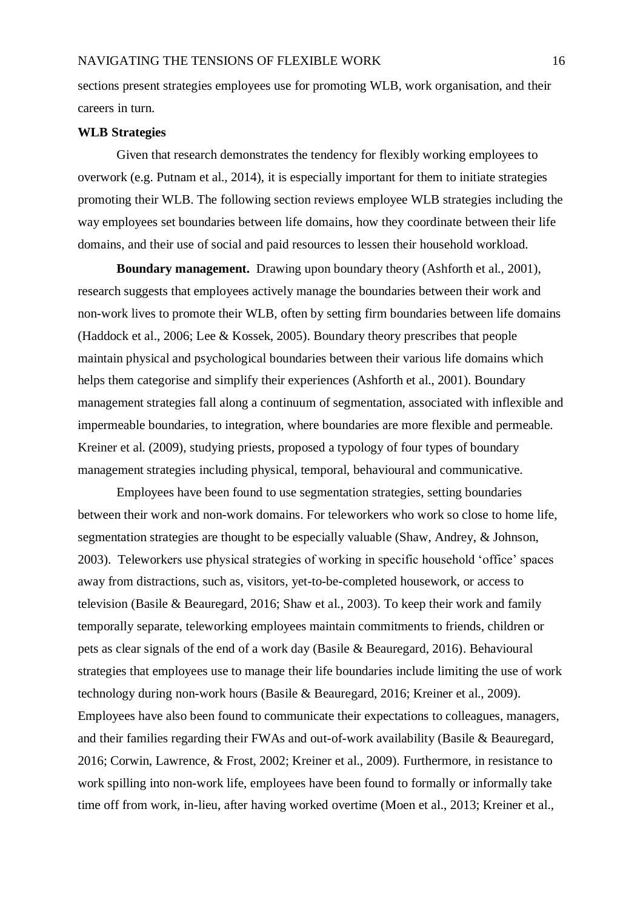sections present strategies employees use for promoting WLB, work organisation, and their careers in turn.

#### <span id="page-22-0"></span>**WLB Strategies**

Given that research demonstrates the tendency for flexibly working employees to overwork (e.g. Putnam et al., 2014), it is especially important for them to initiate strategies promoting their WLB. The following section reviews employee WLB strategies including the way employees set boundaries between life domains, how they coordinate between their life domains, and their use of social and paid resources to lessen their household workload.

<span id="page-22-1"></span>**Boundary management.** Drawing upon boundary theory (Ashforth et al., 2001), research suggests that employees actively manage the boundaries between their work and non-work lives to promote their WLB, often by setting firm boundaries between life domains (Haddock et al., 2006; Lee & Kossek, 2005). Boundary theory prescribes that people maintain physical and psychological boundaries between their various life domains which helps them categorise and simplify their experiences (Ashforth et al., 2001). Boundary management strategies fall along a continuum of segmentation, associated with inflexible and impermeable boundaries, to integration, where boundaries are more flexible and permeable. Kreiner et al. (2009), studying priests, proposed a typology of four types of boundary management strategies including physical, temporal, behavioural and communicative.

Employees have been found to use segmentation strategies, setting boundaries between their work and non-work domains. For teleworkers who work so close to home life, segmentation strategies are thought to be especially valuable (Shaw, Andrey, & Johnson, 2003). Teleworkers use physical strategies of working in specific household 'office' spaces away from distractions, such as, visitors, yet-to-be-completed housework, or access to television (Basile & Beauregard, 2016; Shaw et al., 2003). To keep their work and family temporally separate, teleworking employees maintain commitments to friends, children or pets as clear signals of the end of a work day (Basile & Beauregard, 2016). Behavioural strategies that employees use to manage their life boundaries include limiting the use of work technology during non-work hours (Basile & Beauregard, 2016; Kreiner et al., 2009). Employees have also been found to communicate their expectations to colleagues, managers, and their families regarding their FWAs and out-of-work availability (Basile & Beauregard, 2016; Corwin, Lawrence, & Frost, 2002; Kreiner et al., 2009). Furthermore, in resistance to work spilling into non-work life, employees have been found to formally or informally take time off from work, in-lieu, after having worked overtime (Moen et al., 2013; Kreiner et al.,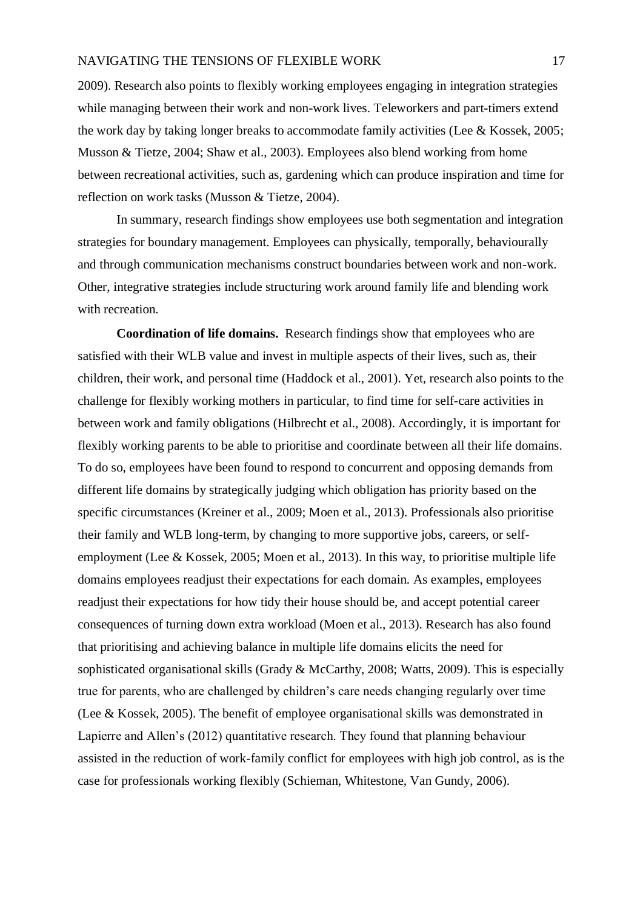2009). Research also points to flexibly working employees engaging in integration strategies while managing between their work and non-work lives. Teleworkers and part-timers extend the work day by taking longer breaks to accommodate family activities (Lee & Kossek, 2005; Musson & Tietze, 2004; Shaw et al., 2003). Employees also blend working from home between recreational activities, such as, gardening which can produce inspiration and time for reflection on work tasks (Musson & Tietze, 2004).

In summary, research findings show employees use both segmentation and integration strategies for boundary management. Employees can physically, temporally, behaviourally and through communication mechanisms construct boundaries between work and non-work. Other, integrative strategies include structuring work around family life and blending work with recreation.

<span id="page-23-0"></span>**Coordination of life domains.** Research findings show that employees who are satisfied with their WLB value and invest in multiple aspects of their lives, such as, their children, their work, and personal time (Haddock et al., 2001). Yet, research also points to the challenge for flexibly working mothers in particular, to find time for self-care activities in between work and family obligations (Hilbrecht et al., 2008). Accordingly, it is important for flexibly working parents to be able to prioritise and coordinate between all their life domains. To do so, employees have been found to respond to concurrent and opposing demands from different life domains by strategically judging which obligation has priority based on the specific circumstances (Kreiner et al., 2009; Moen et al., 2013). Professionals also prioritise their family and WLB long-term, by changing to more supportive jobs, careers, or selfemployment (Lee & Kossek, 2005; Moen et al., 2013). In this way, to prioritise multiple life domains employees readjust their expectations for each domain. As examples, employees readjust their expectations for how tidy their house should be, and accept potential career consequences of turning down extra workload (Moen et al., 2013). Research has also found that prioritising and achieving balance in multiple life domains elicits the need for sophisticated organisational skills (Grady & McCarthy, 2008; Watts, 2009). This is especially true for parents, who are challenged by children's care needs changing regularly over time (Lee & Kossek, 2005). The benefit of employee organisational skills was demonstrated in Lapierre and Allen's (2012) quantitative research. They found that planning behaviour assisted in the reduction of work-family conflict for employees with high job control, as is the case for professionals working flexibly (Schieman, Whitestone, Van Gundy, 2006).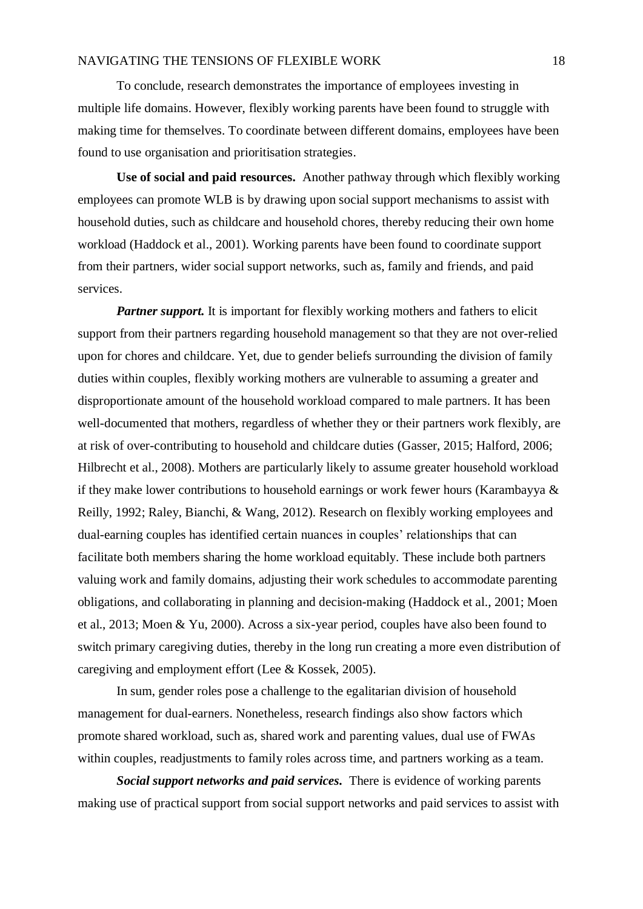To conclude, research demonstrates the importance of employees investing in multiple life domains. However, flexibly working parents have been found to struggle with making time for themselves. To coordinate between different domains, employees have been found to use organisation and prioritisation strategies.

<span id="page-24-0"></span>**Use of social and paid resources.** Another pathway through which flexibly working employees can promote WLB is by drawing upon social support mechanisms to assist with household duties, such as childcare and household chores, thereby reducing their own home workload (Haddock et al., 2001). Working parents have been found to coordinate support from their partners, wider social support networks, such as, family and friends, and paid services.

<span id="page-24-1"></span>**Partner support.** It is important for flexibly working mothers and fathers to elicit support from their partners regarding household management so that they are not over-relied upon for chores and childcare. Yet, due to gender beliefs surrounding the division of family duties within couples, flexibly working mothers are vulnerable to assuming a greater and disproportionate amount of the household workload compared to male partners. It has been well-documented that mothers, regardless of whether they or their partners work flexibly, are at risk of over-contributing to household and childcare duties (Gasser, 2015; Halford, 2006; Hilbrecht et al., 2008). Mothers are particularly likely to assume greater household workload if they make lower contributions to household earnings or work fewer hours (Karambayya & Reilly, 1992; Raley, Bianchi, & Wang, 2012). Research on flexibly working employees and dual-earning couples has identified certain nuances in couples' relationships that can facilitate both members sharing the home workload equitably. These include both partners valuing work and family domains, adjusting their work schedules to accommodate parenting obligations, and collaborating in planning and decision-making (Haddock et al., 2001; Moen et al., 2013; Moen & Yu, 2000). Across a six-year period, couples have also been found to switch primary caregiving duties, thereby in the long run creating a more even distribution of caregiving and employment effort (Lee & Kossek, 2005).

In sum, gender roles pose a challenge to the egalitarian division of household management for dual-earners. Nonetheless, research findings also show factors which promote shared workload, such as, shared work and parenting values, dual use of FWAs within couples, readjustments to family roles across time, and partners working as a team.

<span id="page-24-2"></span>*Social support networks and paid services.* There is evidence of working parents making use of practical support from social support networks and paid services to assist with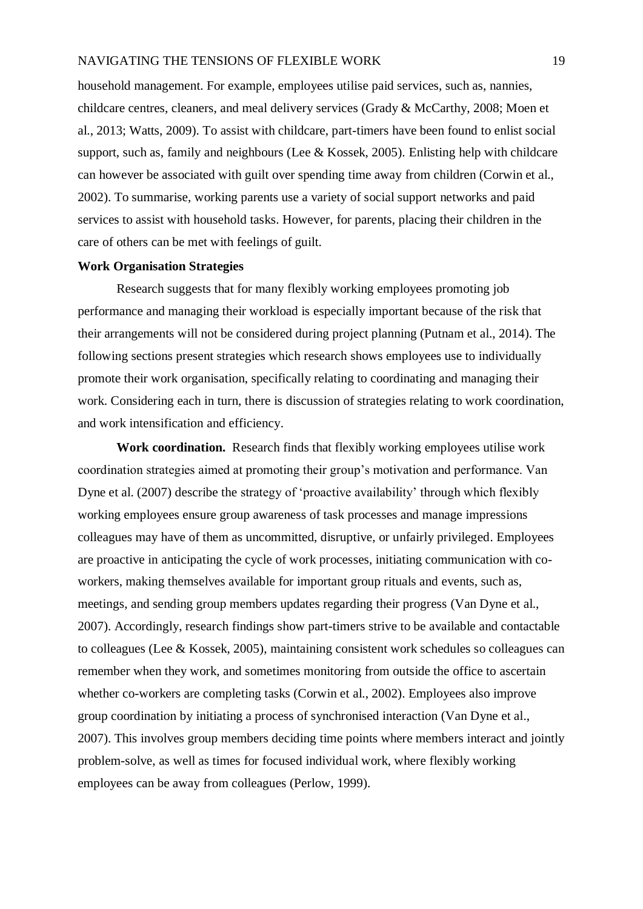household management. For example, employees utilise paid services, such as, nannies, childcare centres, cleaners, and meal delivery services (Grady & McCarthy, 2008; Moen et al., 2013; Watts, 2009). To assist with childcare, part-timers have been found to enlist social support, such as, family and neighbours (Lee & Kossek, 2005). Enlisting help with childcare can however be associated with guilt over spending time away from children (Corwin et al., 2002). To summarise, working parents use a variety of social support networks and paid services to assist with household tasks. However, for parents, placing their children in the care of others can be met with feelings of guilt.

# <span id="page-25-0"></span>**Work Organisation Strategies**

Research suggests that for many flexibly working employees promoting job performance and managing their workload is especially important because of the risk that their arrangements will not be considered during project planning (Putnam et al., 2014). The following sections present strategies which research shows employees use to individually promote their work organisation, specifically relating to coordinating and managing their work. Considering each in turn, there is discussion of strategies relating to work coordination, and work intensification and efficiency.

<span id="page-25-1"></span>**Work coordination.** Research finds that flexibly working employees utilise work coordination strategies aimed at promoting their group's motivation and performance. Van Dyne et al. (2007) describe the strategy of 'proactive availability' through which flexibly working employees ensure group awareness of task processes and manage impressions colleagues may have of them as uncommitted, disruptive, or unfairly privileged. Employees are proactive in anticipating the cycle of work processes, initiating communication with coworkers, making themselves available for important group rituals and events, such as, meetings, and sending group members updates regarding their progress (Van Dyne et al., 2007). Accordingly, research findings show part-timers strive to be available and contactable to colleagues (Lee & Kossek, 2005), maintaining consistent work schedules so colleagues can remember when they work, and sometimes monitoring from outside the office to ascertain whether co-workers are completing tasks (Corwin et al., 2002). Employees also improve group coordination by initiating a process of synchronised interaction (Van Dyne et al., 2007). This involves group members deciding time points where members interact and jointly problem-solve, as well as times for focused individual work, where flexibly working employees can be away from colleagues (Perlow, 1999).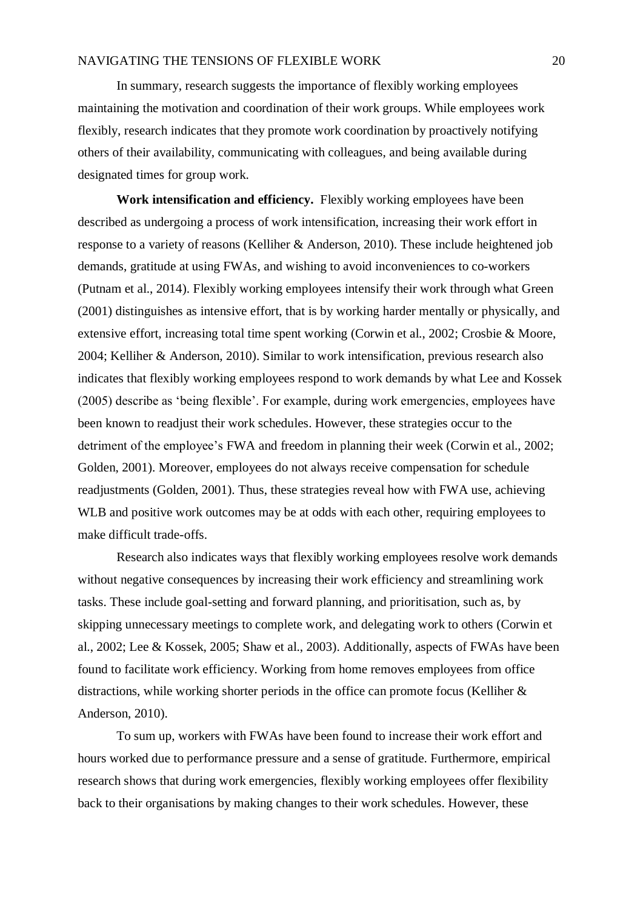In summary, research suggests the importance of flexibly working employees maintaining the motivation and coordination of their work groups. While employees work flexibly, research indicates that they promote work coordination by proactively notifying others of their availability, communicating with colleagues, and being available during designated times for group work.

<span id="page-26-0"></span>**Work intensification and efficiency.** Flexibly working employees have been described as undergoing a process of work intensification, increasing their work effort in response to a variety of reasons (Kelliher & Anderson, 2010). These include heightened job demands, gratitude at using FWAs, and wishing to avoid inconveniences to co-workers (Putnam et al., 2014). Flexibly working employees intensify their work through what Green (2001) distinguishes as intensive effort, that is by working harder mentally or physically, and extensive effort, increasing total time spent working (Corwin et al., 2002; Crosbie & Moore, 2004; Kelliher & Anderson, 2010). Similar to work intensification, previous research also indicates that flexibly working employees respond to work demands by what Lee and Kossek (2005) describe as 'being flexible'. For example, during work emergencies, employees have been known to readjust their work schedules. However, these strategies occur to the detriment of the employee's FWA and freedom in planning their week (Corwin et al., 2002; Golden, 2001). Moreover, employees do not always receive compensation for schedule readjustments (Golden, 2001). Thus, these strategies reveal how with FWA use, achieving WLB and positive work outcomes may be at odds with each other, requiring employees to make difficult trade-offs.

Research also indicates ways that flexibly working employees resolve work demands without negative consequences by increasing their work efficiency and streamlining work tasks. These include goal-setting and forward planning, and prioritisation, such as, by skipping unnecessary meetings to complete work, and delegating work to others (Corwin et al., 2002; Lee & Kossek, 2005; Shaw et al., 2003). Additionally, aspects of FWAs have been found to facilitate work efficiency. Working from home removes employees from office distractions, while working shorter periods in the office can promote focus (Kelliher & Anderson, 2010).

To sum up, workers with FWAs have been found to increase their work effort and hours worked due to performance pressure and a sense of gratitude. Furthermore, empirical research shows that during work emergencies, flexibly working employees offer flexibility back to their organisations by making changes to their work schedules. However, these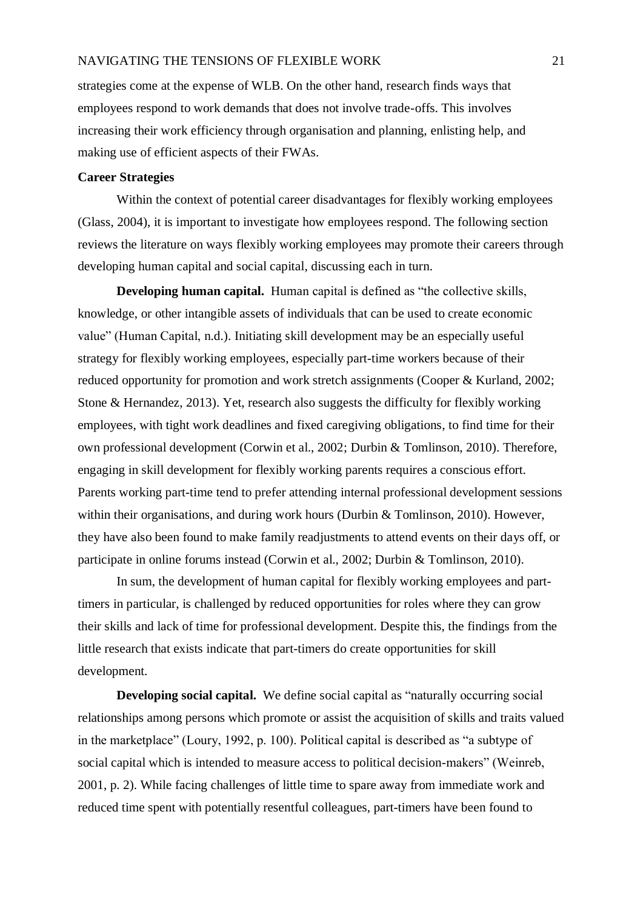strategies come at the expense of WLB. On the other hand, research finds ways that employees respond to work demands that does not involve trade-offs. This involves increasing their work efficiency through organisation and planning, enlisting help, and making use of efficient aspects of their FWAs.

# <span id="page-27-0"></span>**Career Strategies**

Within the context of potential career disadvantages for flexibly working employees (Glass, 2004), it is important to investigate how employees respond. The following section reviews the literature on ways flexibly working employees may promote their careers through developing human capital and social capital, discussing each in turn.

<span id="page-27-1"></span>**Developing human capital.** Human capital is defined as "the collective skills, knowledge, or other intangible assets of individuals that can be used to create economic value" (Human Capital, n.d.). Initiating skill development may be an especially useful strategy for flexibly working employees, especially part-time workers because of their reduced opportunity for promotion and work stretch assignments (Cooper & Kurland, 2002; Stone & Hernandez, 2013). Yet, research also suggests the difficulty for flexibly working employees, with tight work deadlines and fixed caregiving obligations, to find time for their own professional development (Corwin et al., 2002; Durbin & Tomlinson, 2010). Therefore, engaging in skill development for flexibly working parents requires a conscious effort. Parents working part-time tend to prefer attending internal professional development sessions within their organisations, and during work hours (Durbin & Tomlinson, 2010). However, they have also been found to make family readjustments to attend events on their days off, or participate in online forums instead (Corwin et al., 2002; Durbin & Tomlinson, 2010).

In sum, the development of human capital for flexibly working employees and parttimers in particular, is challenged by reduced opportunities for roles where they can grow their skills and lack of time for professional development. Despite this, the findings from the little research that exists indicate that part-timers do create opportunities for skill development.

<span id="page-27-2"></span>**Developing social capital.** We define social capital as "naturally occurring social relationships among persons which promote or assist the acquisition of skills and traits valued in the marketplace" (Loury, 1992, p. 100). Political capital is described as "a subtype of social capital which is intended to measure access to political decision-makers" (Weinreb, 2001, p. 2). While facing challenges of little time to spare away from immediate work and reduced time spent with potentially resentful colleagues, part-timers have been found to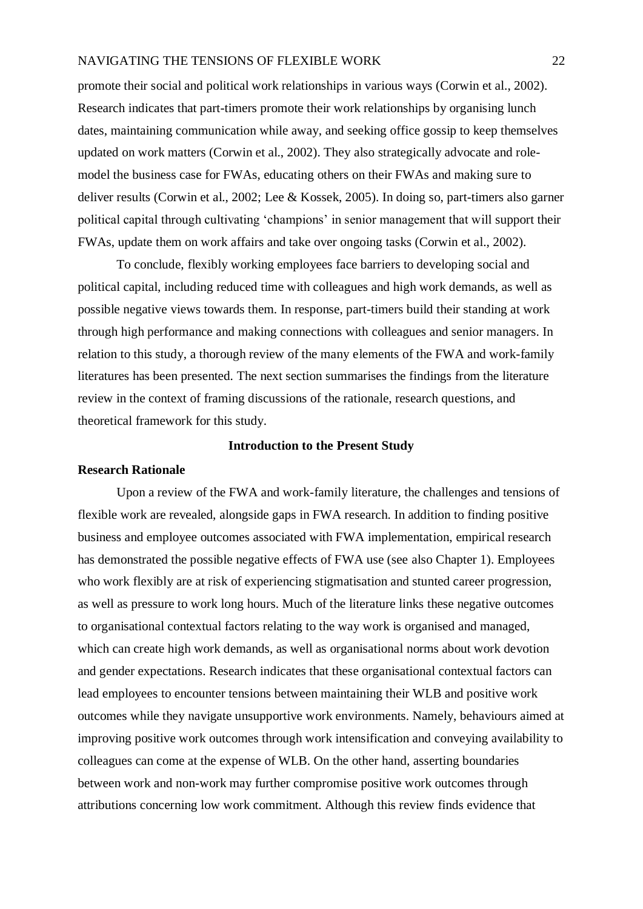promote their social and political work relationships in various ways (Corwin et al., 2002). Research indicates that part-timers promote their work relationships by organising lunch dates, maintaining communication while away, and seeking office gossip to keep themselves updated on work matters (Corwin et al., 2002). They also strategically advocate and rolemodel the business case for FWAs, educating others on their FWAs and making sure to deliver results (Corwin et al., 2002; Lee & Kossek, 2005). In doing so, part-timers also garner political capital through cultivating 'champions' in senior management that will support their FWAs, update them on work affairs and take over ongoing tasks (Corwin et al., 2002).

To conclude, flexibly working employees face barriers to developing social and political capital, including reduced time with colleagues and high work demands, as well as possible negative views towards them. In response, part-timers build their standing at work through high performance and making connections with colleagues and senior managers. In relation to this study, a thorough review of the many elements of the FWA and work-family literatures has been presented. The next section summarises the findings from the literature review in the context of framing discussions of the rationale, research questions, and theoretical framework for this study.

# **Introduction to the Present Study**

#### <span id="page-28-1"></span><span id="page-28-0"></span>**Research Rationale**

Upon a review of the FWA and work-family literature, the challenges and tensions of flexible work are revealed, alongside gaps in FWA research. In addition to finding positive business and employee outcomes associated with FWA implementation, empirical research has demonstrated the possible negative effects of FWA use (see also Chapter 1). Employees who work flexibly are at risk of experiencing stigmatisation and stunted career progression, as well as pressure to work long hours. Much of the literature links these negative outcomes to organisational contextual factors relating to the way work is organised and managed, which can create high work demands, as well as organisational norms about work devotion and gender expectations. Research indicates that these organisational contextual factors can lead employees to encounter tensions between maintaining their WLB and positive work outcomes while they navigate unsupportive work environments. Namely, behaviours aimed at improving positive work outcomes through work intensification and conveying availability to colleagues can come at the expense of WLB. On the other hand, asserting boundaries between work and non-work may further compromise positive work outcomes through attributions concerning low work commitment. Although this review finds evidence that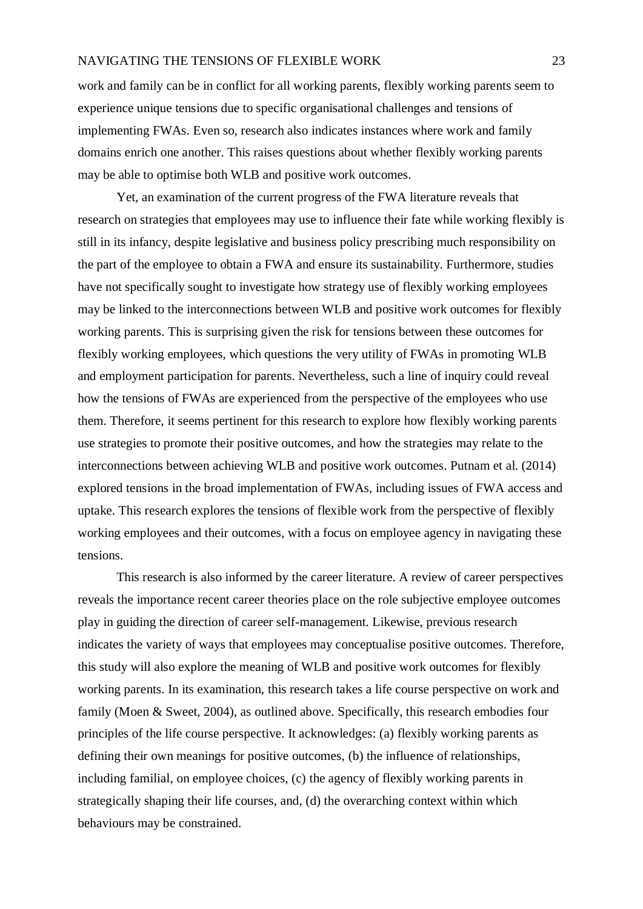work and family can be in conflict for all working parents, flexibly working parents seem to experience unique tensions due to specific organisational challenges and tensions of implementing FWAs. Even so, research also indicates instances where work and family domains enrich one another. This raises questions about whether flexibly working parents may be able to optimise both WLB and positive work outcomes.

Yet, an examination of the current progress of the FWA literature reveals that research on strategies that employees may use to influence their fate while working flexibly is still in its infancy, despite legislative and business policy prescribing much responsibility on the part of the employee to obtain a FWA and ensure its sustainability. Furthermore, studies have not specifically sought to investigate how strategy use of flexibly working employees may be linked to the interconnections between WLB and positive work outcomes for flexibly working parents. This is surprising given the risk for tensions between these outcomes for flexibly working employees, which questions the very utility of FWAs in promoting WLB and employment participation for parents. Nevertheless, such a line of inquiry could reveal how the tensions of FWAs are experienced from the perspective of the employees who use them. Therefore, it seems pertinent for this research to explore how flexibly working parents use strategies to promote their positive outcomes, and how the strategies may relate to the interconnections between achieving WLB and positive work outcomes. Putnam et al. (2014) explored tensions in the broad implementation of FWAs, including issues of FWA access and uptake. This research explores the tensions of flexible work from the perspective of flexibly working employees and their outcomes, with a focus on employee agency in navigating these tensions.

This research is also informed by the career literature. A review of career perspectives reveals the importance recent career theories place on the role subjective employee outcomes play in guiding the direction of career self-management. Likewise, previous research indicates the variety of ways that employees may conceptualise positive outcomes. Therefore, this study will also explore the meaning of WLB and positive work outcomes for flexibly working parents. In its examination, this research takes a life course perspective on work and family (Moen & Sweet, 2004), as outlined above. Specifically, this research embodies four principles of the life course perspective. It acknowledges: (a) flexibly working parents as defining their own meanings for positive outcomes, (b) the influence of relationships, including familial, on employee choices, (c) the agency of flexibly working parents in strategically shaping their life courses, and, (d) the overarching context within which behaviours may be constrained.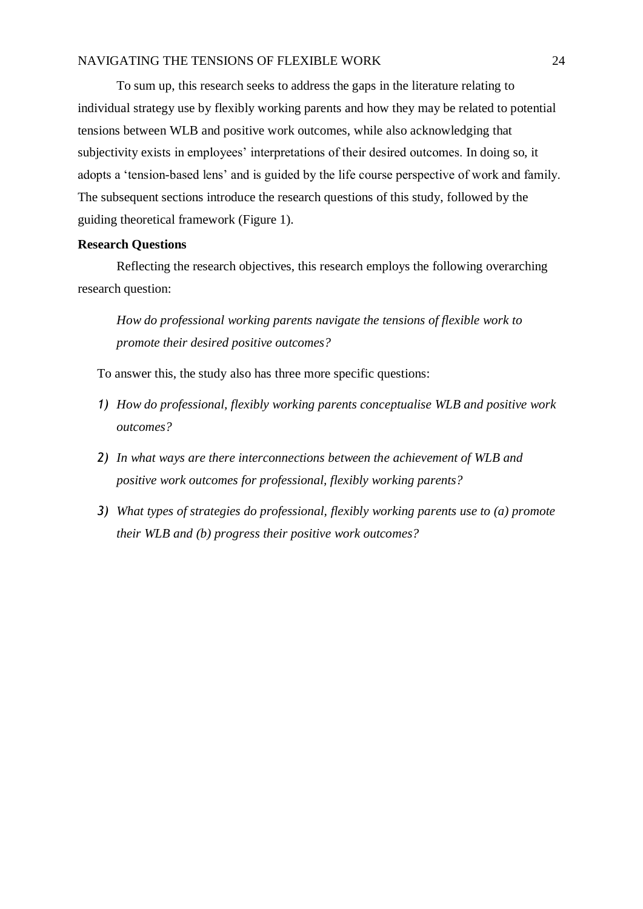To sum up, this research seeks to address the gaps in the literature relating to individual strategy use by flexibly working parents and how they may be related to potential tensions between WLB and positive work outcomes, while also acknowledging that subjectivity exists in employees' interpretations of their desired outcomes. In doing so, it adopts a 'tension-based lens' and is guided by the life course perspective of work and family. The subsequent sections introduce the research questions of this study, followed by the guiding theoretical framework (Figure 1).

# <span id="page-30-0"></span>**Research Questions**

Reflecting the research objectives, this research employs the following overarching research question:

*How do professional working parents navigate the tensions of flexible work to promote their desired positive outcomes?*

To answer this, the study also has three more specific questions:

- *1) How do professional, flexibly working parents conceptualise WLB and positive work outcomes?*
- *2) In what ways are there interconnections between the achievement of WLB and positive work outcomes for professional, flexibly working parents?*
- *3) What types of strategies do professional, flexibly working parents use to (a) promote their WLB and (b) progress their positive work outcomes?*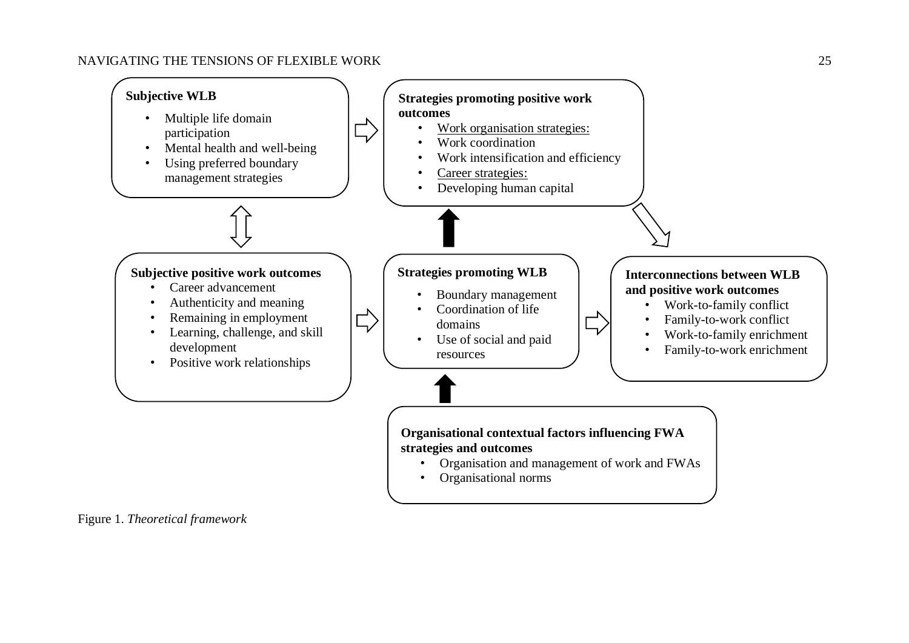

<span id="page-31-0"></span>Figure 1. *Theoretical framework*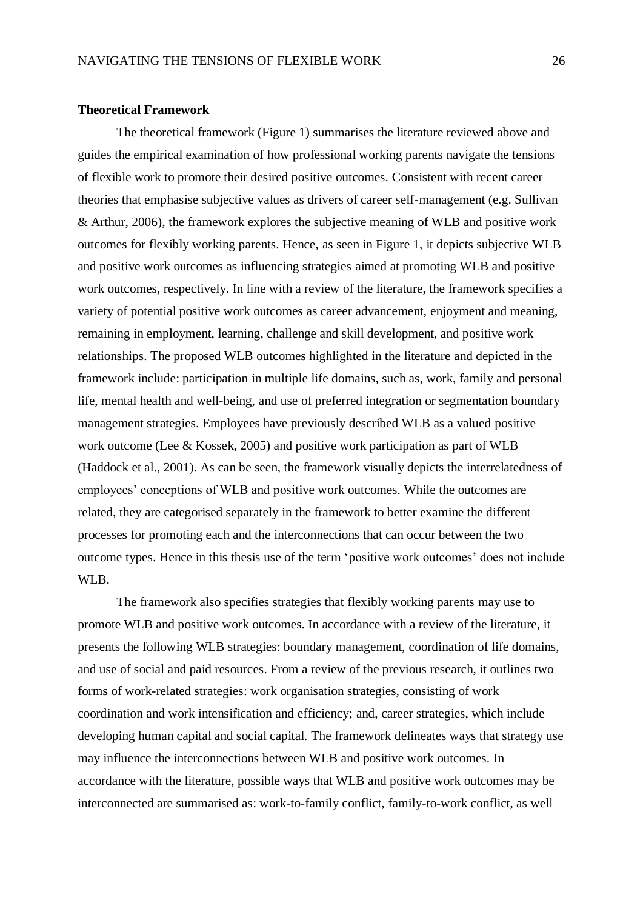#### <span id="page-32-0"></span>**Theoretical Framework**

The theoretical framework (Figure 1) summarises the literature reviewed above and guides the empirical examination of how professional working parents navigate the tensions of flexible work to promote their desired positive outcomes. Consistent with recent career theories that emphasise subjective values as drivers of career self-management (e.g. Sullivan & Arthur, 2006), the framework explores the subjective meaning of WLB and positive work outcomes for flexibly working parents. Hence, as seen in Figure 1, it depicts subjective WLB and positive work outcomes as influencing strategies aimed at promoting WLB and positive work outcomes, respectively. In line with a review of the literature, the framework specifies a variety of potential positive work outcomes as career advancement, enjoyment and meaning, remaining in employment, learning, challenge and skill development, and positive work relationships. The proposed WLB outcomes highlighted in the literature and depicted in the framework include: participation in multiple life domains, such as, work, family and personal life, mental health and well-being, and use of preferred integration or segmentation boundary management strategies. Employees have previously described WLB as a valued positive work outcome (Lee & Kossek, 2005) and positive work participation as part of WLB (Haddock et al., 2001). As can be seen, the framework visually depicts the interrelatedness of employees' conceptions of WLB and positive work outcomes. While the outcomes are related, they are categorised separately in the framework to better examine the different processes for promoting each and the interconnections that can occur between the two outcome types. Hence in this thesis use of the term 'positive work outcomes' does not include WLB.

The framework also specifies strategies that flexibly working parents may use to promote WLB and positive work outcomes. In accordance with a review of the literature, it presents the following WLB strategies: boundary management, coordination of life domains, and use of social and paid resources. From a review of the previous research, it outlines two forms of work-related strategies: work organisation strategies, consisting of work coordination and work intensification and efficiency; and, career strategies, which include developing human capital and social capital. The framework delineates ways that strategy use may influence the interconnections between WLB and positive work outcomes. In accordance with the literature, possible ways that WLB and positive work outcomes may be interconnected are summarised as: work-to-family conflict, family-to-work conflict, as well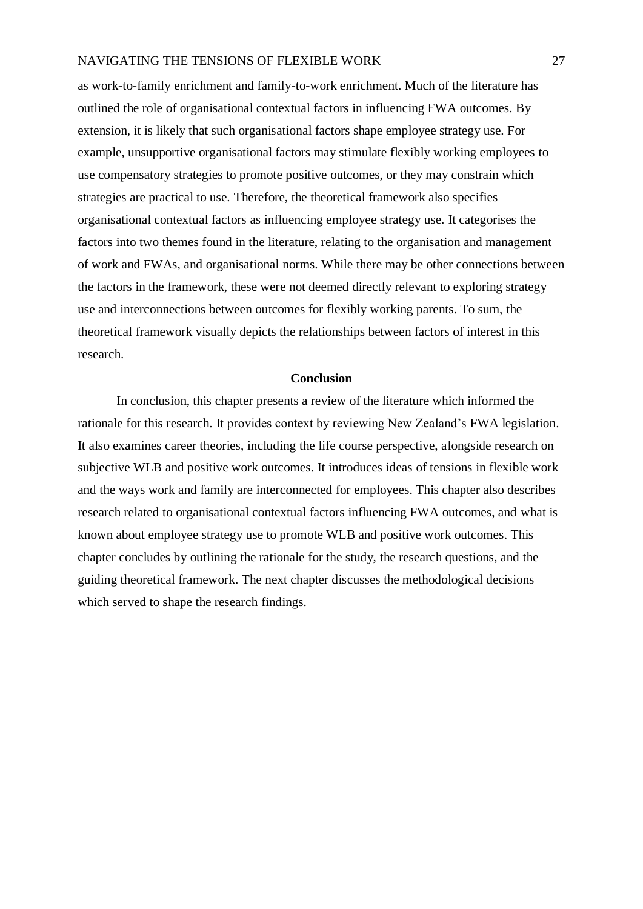as work-to-family enrichment and family-to-work enrichment. Much of the literature has outlined the role of organisational contextual factors in influencing FWA outcomes. By extension, it is likely that such organisational factors shape employee strategy use. For example, unsupportive organisational factors may stimulate flexibly working employees to use compensatory strategies to promote positive outcomes, or they may constrain which strategies are practical to use. Therefore, the theoretical framework also specifies organisational contextual factors as influencing employee strategy use. It categorises the factors into two themes found in the literature, relating to the organisation and management of work and FWAs, and organisational norms. While there may be other connections between the factors in the framework, these were not deemed directly relevant to exploring strategy use and interconnections between outcomes for flexibly working parents. To sum, the theoretical framework visually depicts the relationships between factors of interest in this research.

#### **Conclusion**

<span id="page-33-0"></span>In conclusion, this chapter presents a review of the literature which informed the rationale for this research. It provides context by reviewing New Zealand's FWA legislation. It also examines career theories, including the life course perspective, alongside research on subjective WLB and positive work outcomes. It introduces ideas of tensions in flexible work and the ways work and family are interconnected for employees. This chapter also describes research related to organisational contextual factors influencing FWA outcomes, and what is known about employee strategy use to promote WLB and positive work outcomes. This chapter concludes by outlining the rationale for the study, the research questions, and the guiding theoretical framework. The next chapter discusses the methodological decisions which served to shape the research findings.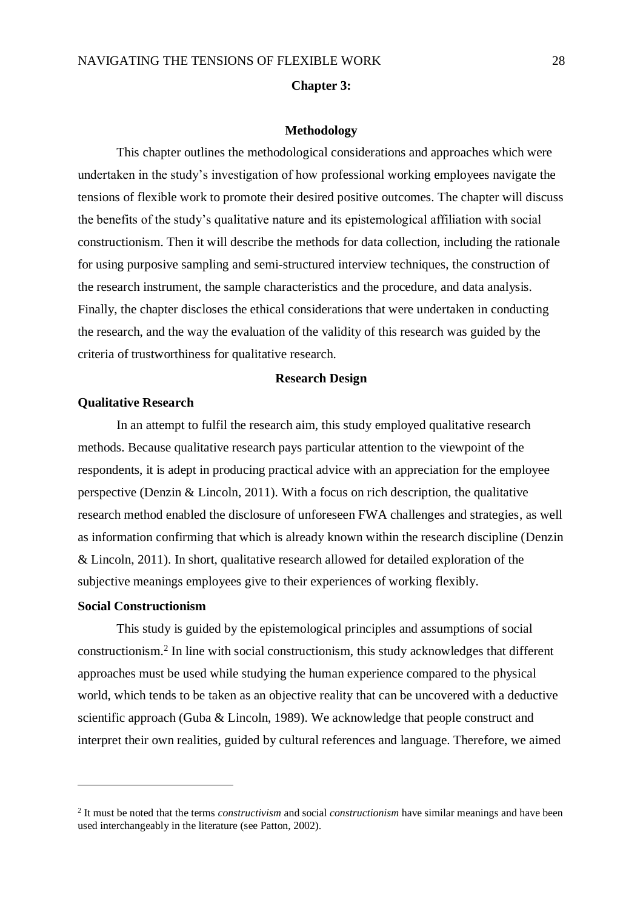#### **Chapter 3:**

#### **Methodology**

<span id="page-34-0"></span>This chapter outlines the methodological considerations and approaches which were undertaken in the study's investigation of how professional working employees navigate the tensions of flexible work to promote their desired positive outcomes. The chapter will discuss the benefits of the study's qualitative nature and its epistemological affiliation with social constructionism. Then it will describe the methods for data collection, including the rationale for using purposive sampling and semi-structured interview techniques, the construction of the research instrument, the sample characteristics and the procedure, and data analysis. Finally, the chapter discloses the ethical considerations that were undertaken in conducting the research, and the way the evaluation of the validity of this research was guided by the criteria of trustworthiness for qualitative research.

#### **Research Design**

#### <span id="page-34-2"></span><span id="page-34-1"></span>**Qualitative Research**

In an attempt to fulfil the research aim, this study employed qualitative research methods. Because qualitative research pays particular attention to the viewpoint of the respondents, it is adept in producing practical advice with an appreciation for the employee perspective (Denzin & Lincoln, 2011). With a focus on rich description, the qualitative research method enabled the disclosure of unforeseen FWA challenges and strategies, as well as information confirming that which is already known within the research discipline (Denzin & Lincoln, 2011). In short, qualitative research allowed for detailed exploration of the subjective meanings employees give to their experiences of working flexibly.

#### <span id="page-34-3"></span>**Social Constructionism**

1

This study is guided by the epistemological principles and assumptions of social constructionism.<sup>2</sup> In line with social constructionism, this study acknowledges that different approaches must be used while studying the human experience compared to the physical world, which tends to be taken as an objective reality that can be uncovered with a deductive scientific approach (Guba & Lincoln, 1989). We acknowledge that people construct and interpret their own realities, guided by cultural references and language. Therefore, we aimed

<sup>2</sup> It must be noted that the terms *constructivism* and social *constructionism* have similar meanings and have been used interchangeably in the literature (see Patton, 2002).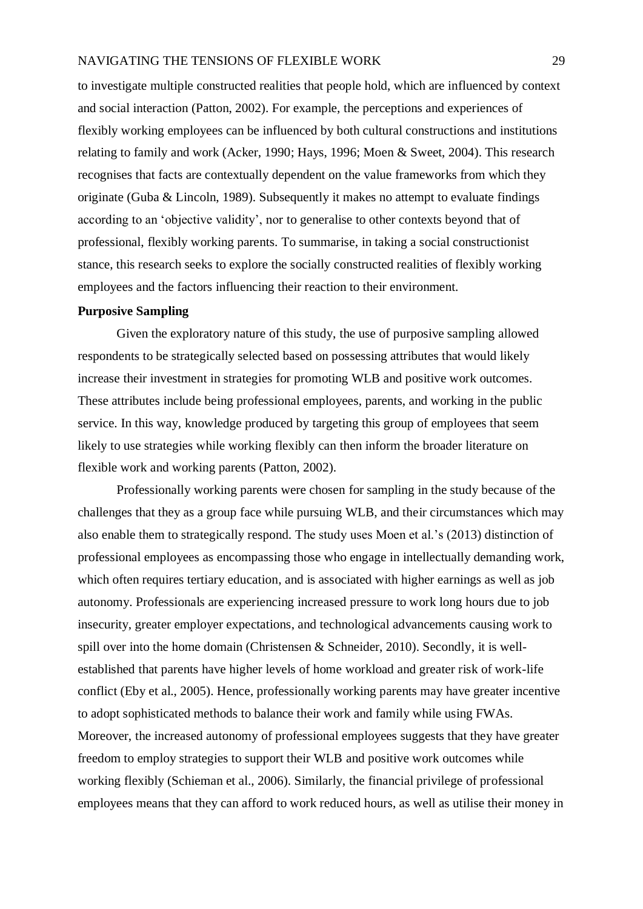to investigate multiple constructed realities that people hold, which are influenced by context and social interaction (Patton, 2002). For example, the perceptions and experiences of flexibly working employees can be influenced by both cultural constructions and institutions relating to family and work (Acker, 1990; Hays, 1996; Moen & Sweet, 2004). This research recognises that facts are contextually dependent on the value frameworks from which they originate (Guba & Lincoln, 1989). Subsequently it makes no attempt to evaluate findings according to an 'objective validity', nor to generalise to other contexts beyond that of professional, flexibly working parents. To summarise, in taking a social constructionist stance, this research seeks to explore the socially constructed realities of flexibly working employees and the factors influencing their reaction to their environment.

# <span id="page-35-0"></span>**Purposive Sampling**

Given the exploratory nature of this study, the use of purposive sampling allowed respondents to be strategically selected based on possessing attributes that would likely increase their investment in strategies for promoting WLB and positive work outcomes. These attributes include being professional employees, parents, and working in the public service. In this way, knowledge produced by targeting this group of employees that seem likely to use strategies while working flexibly can then inform the broader literature on flexible work and working parents (Patton, 2002).

Professionally working parents were chosen for sampling in the study because of the challenges that they as a group face while pursuing WLB, and their circumstances which may also enable them to strategically respond. The study uses Moen et al.'s (2013) distinction of professional employees as encompassing those who engage in intellectually demanding work, which often requires tertiary education, and is associated with higher earnings as well as job autonomy. Professionals are experiencing increased pressure to work long hours due to job insecurity, greater employer expectations, and technological advancements causing work to spill over into the home domain (Christensen & Schneider, 2010). Secondly, it is wellestablished that parents have higher levels of home workload and greater risk of work-life conflict (Eby et al., 2005). Hence, professionally working parents may have greater incentive to adopt sophisticated methods to balance their work and family while using FWAs. Moreover, the increased autonomy of professional employees suggests that they have greater freedom to employ strategies to support their WLB and positive work outcomes while working flexibly (Schieman et al., 2006). Similarly, the financial privilege of professional employees means that they can afford to work reduced hours, as well as utilise their money in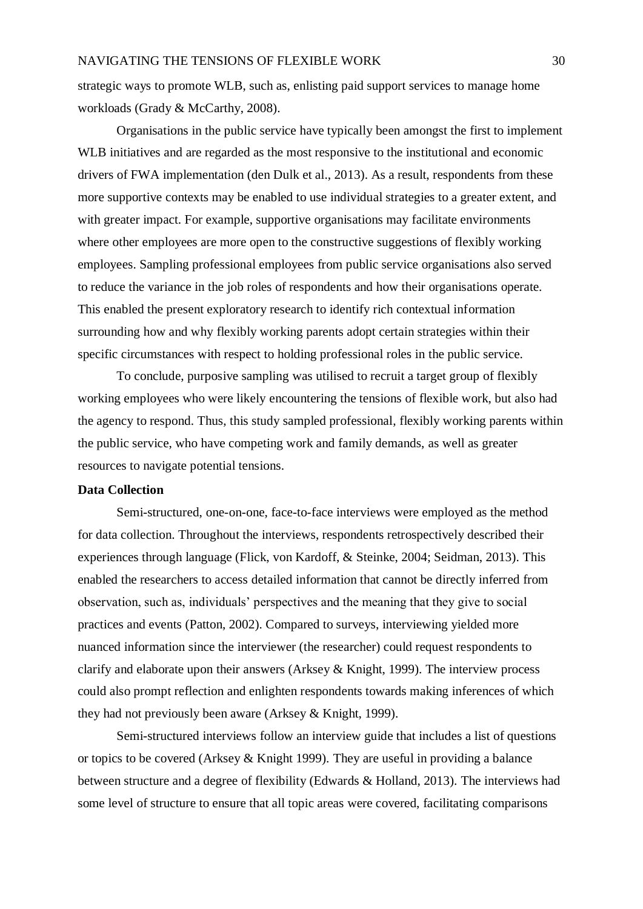strategic ways to promote WLB, such as, enlisting paid support services to manage home workloads (Grady & McCarthy, 2008).

Organisations in the public service have typically been amongst the first to implement WLB initiatives and are regarded as the most responsive to the institutional and economic drivers of FWA implementation (den Dulk et al., 2013). As a result, respondents from these more supportive contexts may be enabled to use individual strategies to a greater extent, and with greater impact. For example, supportive organisations may facilitate environments where other employees are more open to the constructive suggestions of flexibly working employees. Sampling professional employees from public service organisations also served to reduce the variance in the job roles of respondents and how their organisations operate. This enabled the present exploratory research to identify rich contextual information surrounding how and why flexibly working parents adopt certain strategies within their specific circumstances with respect to holding professional roles in the public service.

To conclude, purposive sampling was utilised to recruit a target group of flexibly working employees who were likely encountering the tensions of flexible work, but also had the agency to respond. Thus, this study sampled professional, flexibly working parents within the public service, who have competing work and family demands, as well as greater resources to navigate potential tensions.

# **Data Collection**

Semi-structured, one-on-one, face-to-face interviews were employed as the method for data collection. Throughout the interviews, respondents retrospectively described their experiences through language (Flick, von Kardoff, & Steinke, 2004; Seidman, 2013). This enabled the researchers to access detailed information that cannot be directly inferred from observation, such as, individuals' perspectives and the meaning that they give to social practices and events (Patton, 2002). Compared to surveys, interviewing yielded more nuanced information since the interviewer (the researcher) could request respondents to clarify and elaborate upon their answers (Arksey & Knight, 1999). The interview process could also prompt reflection and enlighten respondents towards making inferences of which they had not previously been aware (Arksey & Knight, 1999).

Semi-structured interviews follow an interview guide that includes a list of questions or topics to be covered (Arksey & Knight 1999). They are useful in providing a balance between structure and a degree of flexibility (Edwards & Holland, 2013). The interviews had some level of structure to ensure that all topic areas were covered, facilitating comparisons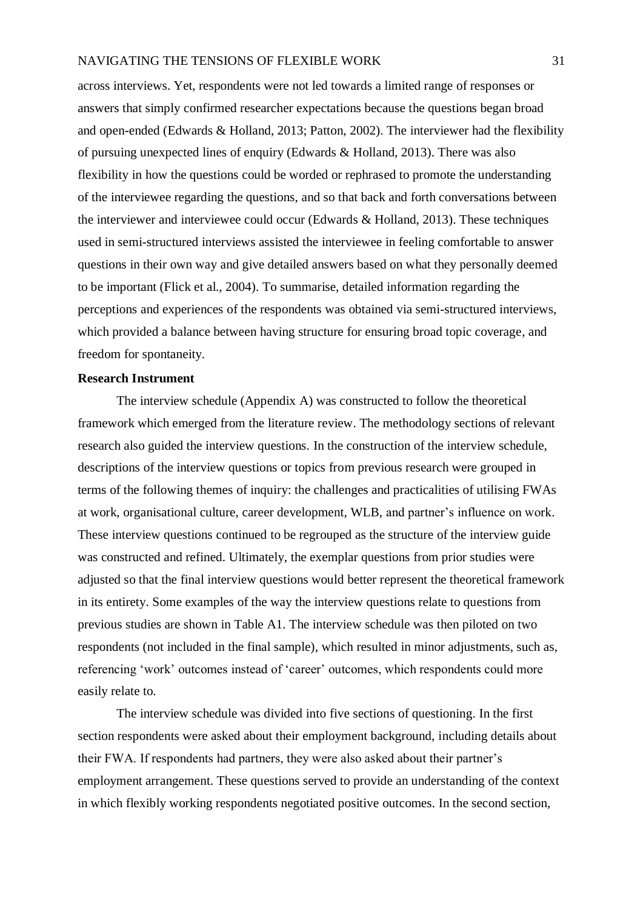across interviews. Yet, respondents were not led towards a limited range of responses or answers that simply confirmed researcher expectations because the questions began broad and open-ended (Edwards & Holland, 2013; Patton, 2002). The interviewer had the flexibility of pursuing unexpected lines of enquiry (Edwards & Holland, 2013). There was also flexibility in how the questions could be worded or rephrased to promote the understanding of the interviewee regarding the questions, and so that back and forth conversations between the interviewer and interviewee could occur (Edwards & Holland, 2013). These techniques used in semi-structured interviews assisted the interviewee in feeling comfortable to answer questions in their own way and give detailed answers based on what they personally deemed to be important (Flick et al., 2004). To summarise, detailed information regarding the perceptions and experiences of the respondents was obtained via semi-structured interviews, which provided a balance between having structure for ensuring broad topic coverage, and freedom for spontaneity.

## **Research Instrument**

The interview schedule (Appendix A) was constructed to follow the theoretical framework which emerged from the literature review. The methodology sections of relevant research also guided the interview questions. In the construction of the interview schedule, descriptions of the interview questions or topics from previous research were grouped in terms of the following themes of inquiry: the challenges and practicalities of utilising FWAs at work, organisational culture, career development, WLB, and partner's influence on work. These interview questions continued to be regrouped as the structure of the interview guide was constructed and refined. Ultimately, the exemplar questions from prior studies were adjusted so that the final interview questions would better represent the theoretical framework in its entirety. Some examples of the way the interview questions relate to questions from previous studies are shown in Table A1. The interview schedule was then piloted on two respondents (not included in the final sample), which resulted in minor adjustments, such as, referencing 'work' outcomes instead of 'career' outcomes, which respondents could more easily relate to.

The interview schedule was divided into five sections of questioning. In the first section respondents were asked about their employment background, including details about their FWA. If respondents had partners, they were also asked about their partner's employment arrangement. These questions served to provide an understanding of the context in which flexibly working respondents negotiated positive outcomes. In the second section,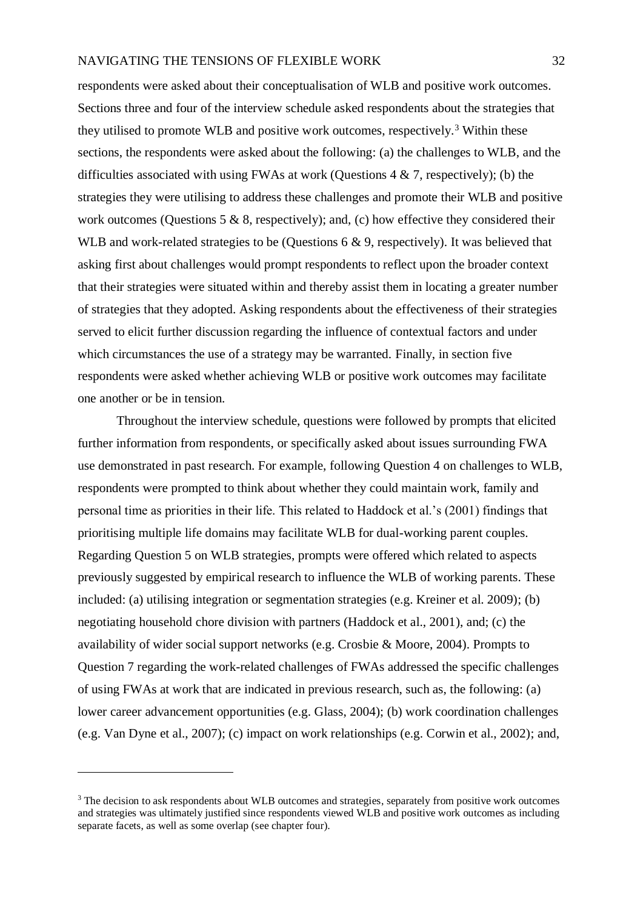respondents were asked about their conceptualisation of WLB and positive work outcomes. Sections three and four of the interview schedule asked respondents about the strategies that they utilised to promote WLB and positive work outcomes, respectively.<sup>3</sup> Within these sections, the respondents were asked about the following: (a) the challenges to WLB, and the difficulties associated with using FWAs at work (Questions  $4 \& 7$ , respectively); (b) the strategies they were utilising to address these challenges and promote their WLB and positive work outcomes (Questions 5  $\&$  8, respectively); and, (c) how effective they considered their WLB and work-related strategies to be (Questions 6 & 9, respectively). It was believed that asking first about challenges would prompt respondents to reflect upon the broader context that their strategies were situated within and thereby assist them in locating a greater number of strategies that they adopted. Asking respondents about the effectiveness of their strategies served to elicit further discussion regarding the influence of contextual factors and under which circumstances the use of a strategy may be warranted. Finally, in section five respondents were asked whether achieving WLB or positive work outcomes may facilitate one another or be in tension.

Throughout the interview schedule, questions were followed by prompts that elicited further information from respondents, or specifically asked about issues surrounding FWA use demonstrated in past research. For example, following Question 4 on challenges to WLB, respondents were prompted to think about whether they could maintain work, family and personal time as priorities in their life. This related to Haddock et al.'s (2001) findings that prioritising multiple life domains may facilitate WLB for dual-working parent couples. Regarding Question 5 on WLB strategies, prompts were offered which related to aspects previously suggested by empirical research to influence the WLB of working parents. These included: (a) utilising integration or segmentation strategies (e.g. Kreiner et al. 2009); (b) negotiating household chore division with partners (Haddock et al., 2001), and; (c) the availability of wider social support networks (e.g. Crosbie & Moore, 2004). Prompts to Question 7 regarding the work-related challenges of FWAs addressed the specific challenges of using FWAs at work that are indicated in previous research, such as, the following: (a) lower career advancement opportunities (e.g. Glass, 2004); (b) work coordination challenges (e.g. Van Dyne et al., 2007); (c) impact on work relationships (e.g. Corwin et al., 2002); and,

<u>.</u>

<sup>&</sup>lt;sup>3</sup> The decision to ask respondents about WLB outcomes and strategies, separately from positive work outcomes and strategies was ultimately justified since respondents viewed WLB and positive work outcomes as including separate facets, as well as some overlap (see chapter four).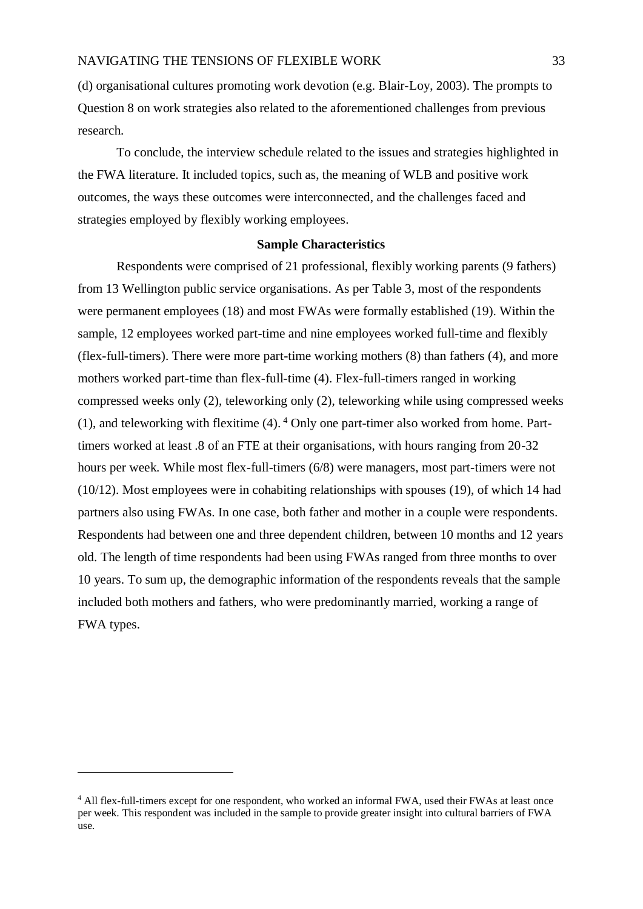(d) organisational cultures promoting work devotion (e.g. Blair-Loy, 2003). The prompts to Question 8 on work strategies also related to the aforementioned challenges from previous research.

To conclude, the interview schedule related to the issues and strategies highlighted in the FWA literature. It included topics, such as, the meaning of WLB and positive work outcomes, the ways these outcomes were interconnected, and the challenges faced and strategies employed by flexibly working employees.

## **Sample Characteristics**

Respondents were comprised of 21 professional, flexibly working parents (9 fathers) from 13 Wellington public service organisations. As per Table 3, most of the respondents were permanent employees (18) and most FWAs were formally established (19). Within the sample, 12 employees worked part-time and nine employees worked full-time and flexibly (flex-full-timers). There were more part-time working mothers (8) than fathers (4), and more mothers worked part-time than flex-full-time (4). Flex-full-timers ranged in working compressed weeks only (2), teleworking only (2), teleworking while using compressed weeks (1), and teleworking with flexitime  $(4)$ .  $^4$  Only one part-timer also worked from home. Parttimers worked at least .8 of an FTE at their organisations, with hours ranging from 20-32 hours per week. While most flex-full-timers (6/8) were managers, most part-timers were not (10/12). Most employees were in cohabiting relationships with spouses (19), of which 14 had partners also using FWAs. In one case, both father and mother in a couple were respondents. Respondents had between one and three dependent children, between 10 months and 12 years old. The length of time respondents had been using FWAs ranged from three months to over 10 years. To sum up, the demographic information of the respondents reveals that the sample included both mothers and fathers, who were predominantly married, working a range of FWA types.

<u>.</u>

<sup>4</sup> All flex-full-timers except for one respondent, who worked an informal FWA, used their FWAs at least once per week. This respondent was included in the sample to provide greater insight into cultural barriers of FWA use.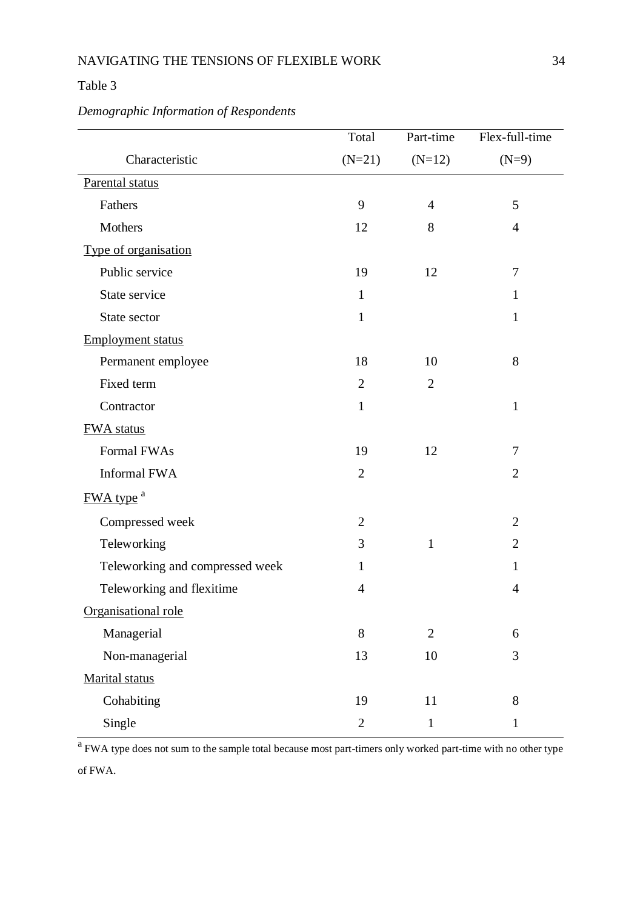# Table 3

# *Demographic Information of Respondents*

|                                 | Total          | Part-time      | Flex-full-time |
|---------------------------------|----------------|----------------|----------------|
| Characteristic                  | $(N=21)$       | $(N=12)$       | $(N=9)$        |
| Parental status                 |                |                |                |
| Fathers                         | 9              | 4              | 5              |
| Mothers                         | 12             | 8              | $\overline{4}$ |
| Type of organisation            |                |                |                |
| Public service                  | 19             | 12             | 7              |
| State service                   | $\mathbf{1}$   |                | $\mathbf{1}$   |
| State sector                    | $\mathbf{1}$   |                | $\mathbf{1}$   |
| <b>Employment status</b>        |                |                |                |
| Permanent employee              | 18             | 10             | 8              |
| Fixed term                      | $\overline{2}$ | $\mathbf{2}$   |                |
| Contractor                      | $\mathbf{1}$   |                | $\mathbf{1}$   |
| <b>FWA</b> status               |                |                |                |
| Formal FWAs                     | 19             | 12             | 7              |
| Informal FWA                    | $\overline{2}$ |                | $\overline{2}$ |
| FWA type <sup>a</sup>           |                |                |                |
| Compressed week                 | $\overline{2}$ |                | $\overline{2}$ |
| Teleworking                     | 3              | $\mathbf{1}$   | $\overline{2}$ |
| Teleworking and compressed week | $\mathbf{1}$   |                | $\mathbf{1}$   |
| Teleworking and flexitime       | $\overline{4}$ |                | 4              |
| Organisational role             |                |                |                |
| Managerial                      | 8              | $\overline{2}$ | 6              |
| Non-managerial                  | 13             | $10\,$         | 3              |
| Marital status                  |                |                |                |
| Cohabiting                      | 19             | 11             | 8              |
| Single                          | $\overline{2}$ | $\mathbf{1}$   | $\mathbf{1}$   |

<sup>a</sup> FWA type does not sum to the sample total because most part-timers only worked part-time with no other type of FWA.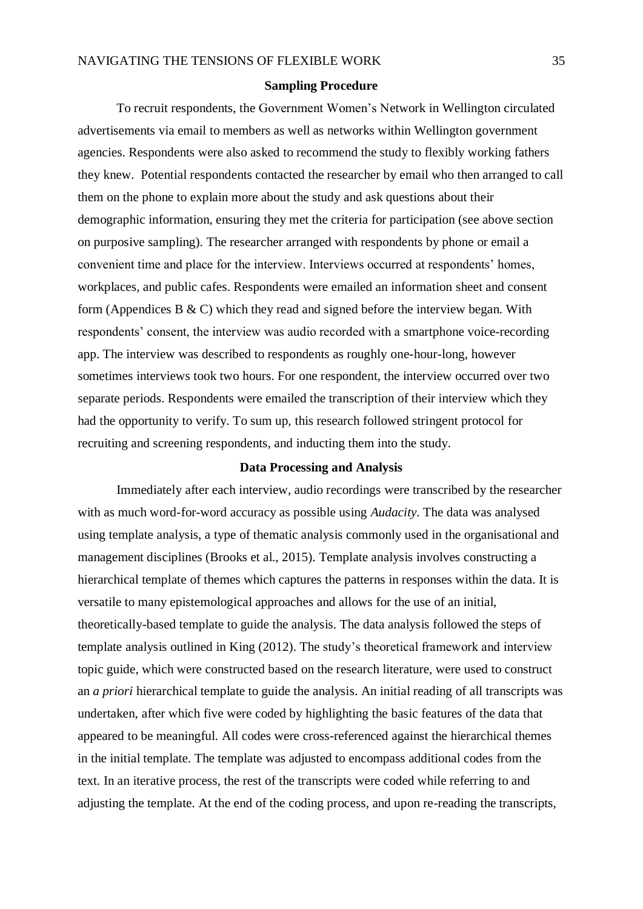#### **Sampling Procedure**

To recruit respondents, the Government Women's Network in Wellington circulated advertisements via email to members as well as networks within Wellington government agencies. Respondents were also asked to recommend the study to flexibly working fathers they knew. Potential respondents contacted the researcher by email who then arranged to call them on the phone to explain more about the study and ask questions about their demographic information, ensuring they met the criteria for participation (see above section on purposive sampling). The researcher arranged with respondents by phone or email a convenient time and place for the interview. Interviews occurred at respondents' homes, workplaces, and public cafes. Respondents were emailed an information sheet and consent form (Appendices B  $\&$  C) which they read and signed before the interview began. With respondents' consent, the interview was audio recorded with a smartphone voice-recording app. The interview was described to respondents as roughly one-hour-long, however sometimes interviews took two hours. For one respondent, the interview occurred over two separate periods. Respondents were emailed the transcription of their interview which they had the opportunity to verify. To sum up, this research followed stringent protocol for recruiting and screening respondents, and inducting them into the study.

## **Data Processing and Analysis**

Immediately after each interview, audio recordings were transcribed by the researcher with as much word-for-word accuracy as possible using *Audacity*. The data was analysed using template analysis, a type of thematic analysis commonly used in the organisational and management disciplines (Brooks et al., 2015). Template analysis involves constructing a hierarchical template of themes which captures the patterns in responses within the data. It is versatile to many epistemological approaches and allows for the use of an initial, theoretically-based template to guide the analysis. The data analysis followed the steps of template analysis outlined in King (2012). The study's theoretical framework and interview topic guide, which were constructed based on the research literature, were used to construct an *a priori* hierarchical template to guide the analysis. An initial reading of all transcripts was undertaken, after which five were coded by highlighting the basic features of the data that appeared to be meaningful. All codes were cross-referenced against the hierarchical themes in the initial template. The template was adjusted to encompass additional codes from the text. In an iterative process, the rest of the transcripts were coded while referring to and adjusting the template. At the end of the coding process, and upon re-reading the transcripts,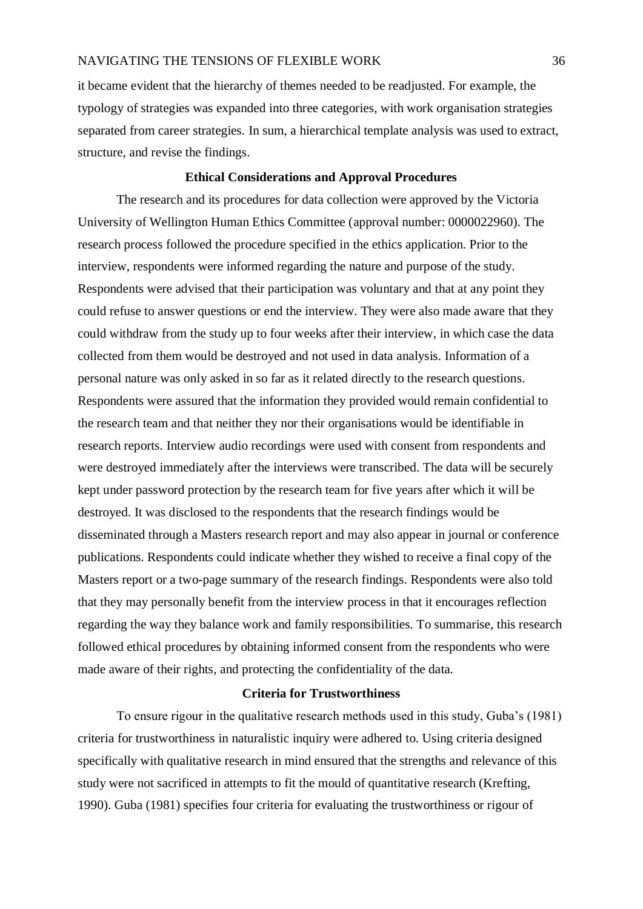it became evident that the hierarchy of themes needed to be readjusted. For example, the typology of strategies was expanded into three categories, with work organisation strategies separated from career strategies. In sum, a hierarchical template analysis was used to extract, structure, and revise the findings.

## **Ethical Considerations and Approval Procedures**

The research and its procedures for data collection were approved by the Victoria University of Wellington Human Ethics Committee (approval number: 0000022960). The research process followed the procedure specified in the ethics application. Prior to the interview, respondents were informed regarding the nature and purpose of the study. Respondents were advised that their participation was voluntary and that at any point they could refuse to answer questions or end the interview. They were also made aware that they could withdraw from the study up to four weeks after their interview, in which case the data collected from them would be destroyed and not used in data analysis. Information of a personal nature was only asked in so far as it related directly to the research questions. Respondents were assured that the information they provided would remain confidential to the research team and that neither they nor their organisations would be identifiable in research reports. Interview audio recordings were used with consent from respondents and were destroyed immediately after the interviews were transcribed. The data will be securely kept under password protection by the research team for five years after which it will be destroyed. It was disclosed to the respondents that the research findings would be disseminated through a Masters research report and may also appear in journal or conference publications. Respondents could indicate whether they wished to receive a final copy of the Masters report or a two-page summary of the research findings. Respondents were also told that they may personally benefit from the interview process in that it encourages reflection regarding the way they balance work and family responsibilities. To summarise, this research followed ethical procedures by obtaining informed consent from the respondents who were made aware of their rights, and protecting the confidentiality of the data.

## **Criteria for Trustworthiness**

To ensure rigour in the qualitative research methods used in this study, Guba's (1981) criteria for trustworthiness in naturalistic inquiry were adhered to. Using criteria designed specifically with qualitative research in mind ensured that the strengths and relevance of this study were not sacrificed in attempts to fit the mould of quantitative research (Krefting, 1990). Guba (1981) specifies four criteria for evaluating the trustworthiness or rigour of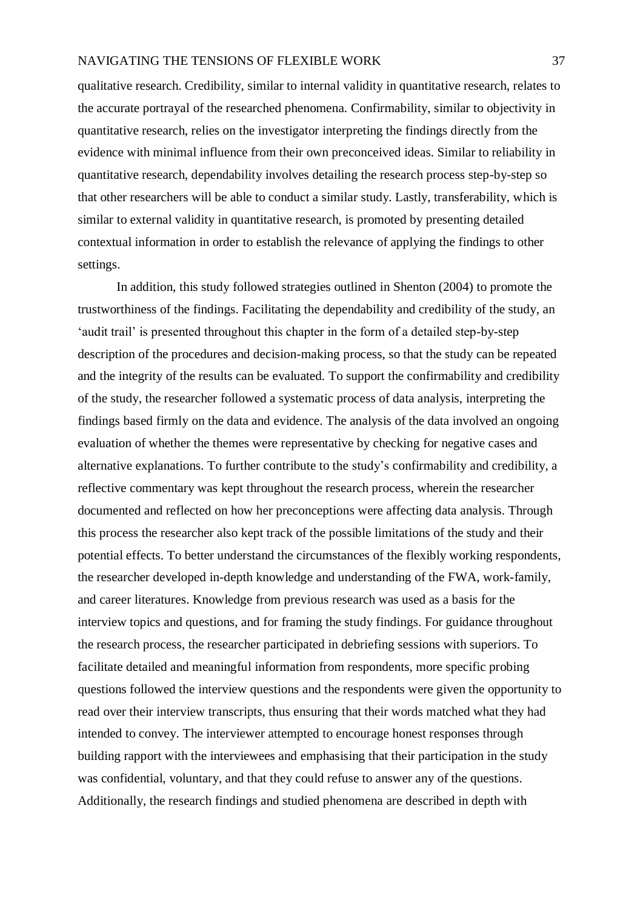qualitative research. Credibility, similar to internal validity in quantitative research, relates to the accurate portrayal of the researched phenomena. Confirmability, similar to objectivity in quantitative research, relies on the investigator interpreting the findings directly from the evidence with minimal influence from their own preconceived ideas. Similar to reliability in quantitative research, dependability involves detailing the research process step-by-step so that other researchers will be able to conduct a similar study. Lastly, transferability, which is similar to external validity in quantitative research, is promoted by presenting detailed contextual information in order to establish the relevance of applying the findings to other settings.

In addition, this study followed strategies outlined in Shenton (2004) to promote the trustworthiness of the findings. Facilitating the dependability and credibility of the study, an 'audit trail' is presented throughout this chapter in the form of a detailed step-by-step description of the procedures and decision-making process, so that the study can be repeated and the integrity of the results can be evaluated. To support the confirmability and credibility of the study, the researcher followed a systematic process of data analysis, interpreting the findings based firmly on the data and evidence. The analysis of the data involved an ongoing evaluation of whether the themes were representative by checking for negative cases and alternative explanations. To further contribute to the study's confirmability and credibility, a reflective commentary was kept throughout the research process, wherein the researcher documented and reflected on how her preconceptions were affecting data analysis. Through this process the researcher also kept track of the possible limitations of the study and their potential effects. To better understand the circumstances of the flexibly working respondents, the researcher developed in-depth knowledge and understanding of the FWA, work-family, and career literatures. Knowledge from previous research was used as a basis for the interview topics and questions, and for framing the study findings. For guidance throughout the research process, the researcher participated in debriefing sessions with superiors. To facilitate detailed and meaningful information from respondents, more specific probing questions followed the interview questions and the respondents were given the opportunity to read over their interview transcripts, thus ensuring that their words matched what they had intended to convey. The interviewer attempted to encourage honest responses through building rapport with the interviewees and emphasising that their participation in the study was confidential, voluntary, and that they could refuse to answer any of the questions. Additionally, the research findings and studied phenomena are described in depth with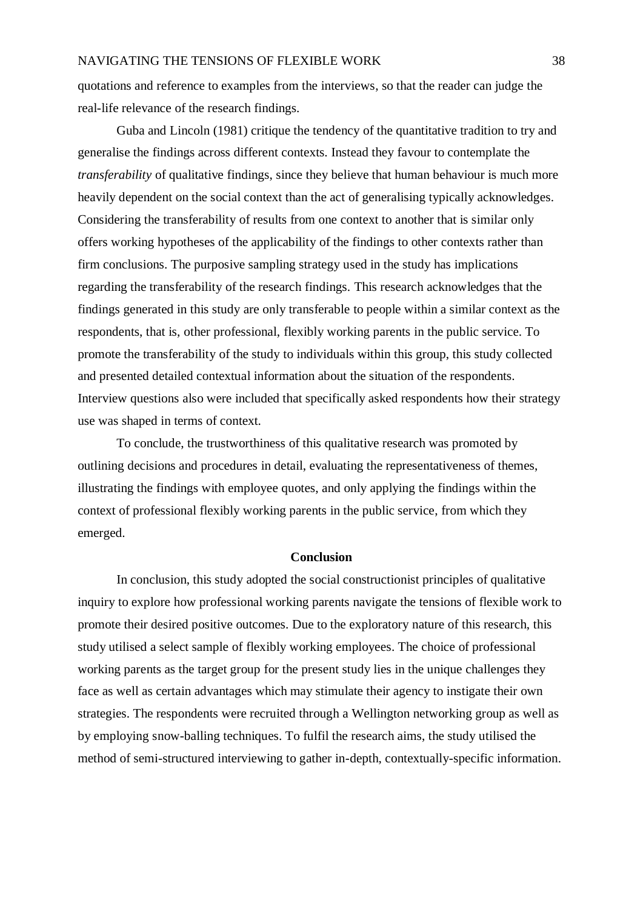quotations and reference to examples from the interviews, so that the reader can judge the real-life relevance of the research findings.

Guba and Lincoln (1981) critique the tendency of the quantitative tradition to try and generalise the findings across different contexts. Instead they favour to contemplate the *transferability* of qualitative findings, since they believe that human behaviour is much more heavily dependent on the social context than the act of generalising typically acknowledges. Considering the transferability of results from one context to another that is similar only offers working hypotheses of the applicability of the findings to other contexts rather than firm conclusions. The purposive sampling strategy used in the study has implications regarding the transferability of the research findings. This research acknowledges that the findings generated in this study are only transferable to people within a similar context as the respondents, that is, other professional, flexibly working parents in the public service. To promote the transferability of the study to individuals within this group, this study collected and presented detailed contextual information about the situation of the respondents. Interview questions also were included that specifically asked respondents how their strategy use was shaped in terms of context.

To conclude, the trustworthiness of this qualitative research was promoted by outlining decisions and procedures in detail, evaluating the representativeness of themes, illustrating the findings with employee quotes, and only applying the findings within the context of professional flexibly working parents in the public service, from which they emerged.

#### **Conclusion**

In conclusion, this study adopted the social constructionist principles of qualitative inquiry to explore how professional working parents navigate the tensions of flexible work to promote their desired positive outcomes. Due to the exploratory nature of this research, this study utilised a select sample of flexibly working employees. The choice of professional working parents as the target group for the present study lies in the unique challenges they face as well as certain advantages which may stimulate their agency to instigate their own strategies. The respondents were recruited through a Wellington networking group as well as by employing snow-balling techniques. To fulfil the research aims, the study utilised the method of semi-structured interviewing to gather in-depth, contextually-specific information.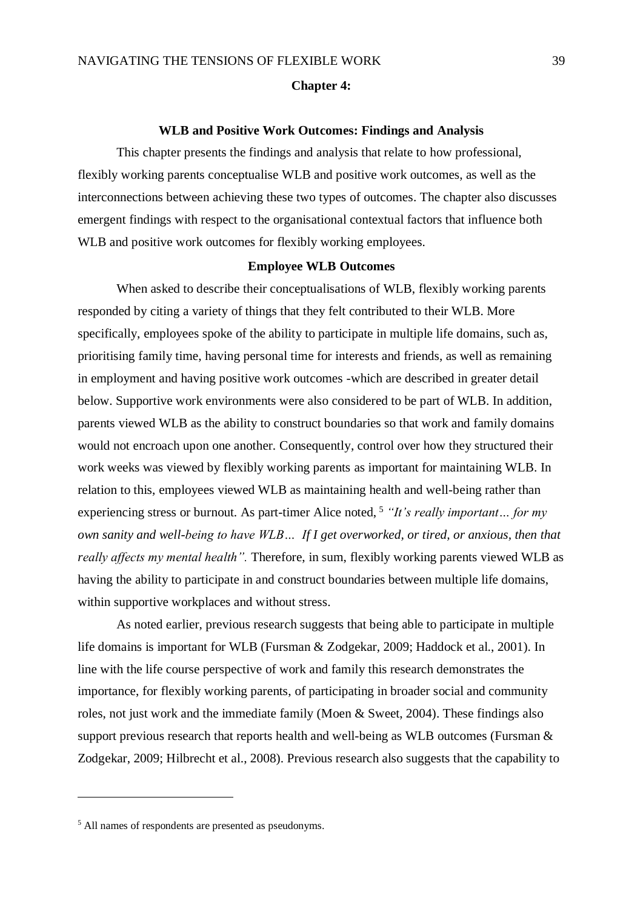#### **Chapter 4:**

#### **WLB and Positive Work Outcomes: Findings and Analysis**

This chapter presents the findings and analysis that relate to how professional, flexibly working parents conceptualise WLB and positive work outcomes, as well as the interconnections between achieving these two types of outcomes. The chapter also discusses emergent findings with respect to the organisational contextual factors that influence both WLB and positive work outcomes for flexibly working employees.

## **Employee WLB Outcomes**

When asked to describe their conceptualisations of WLB, flexibly working parents responded by citing a variety of things that they felt contributed to their WLB. More specifically, employees spoke of the ability to participate in multiple life domains, such as, prioritising family time, having personal time for interests and friends, as well as remaining in employment and having positive work outcomes -which are described in greater detail below. Supportive work environments were also considered to be part of WLB. In addition, parents viewed WLB as the ability to construct boundaries so that work and family domains would not encroach upon one another. Consequently, control over how they structured their work weeks was viewed by flexibly working parents as important for maintaining WLB. In relation to this, employees viewed WLB as maintaining health and well-being rather than experiencing stress or burnout. As part-timer Alice noted, <sup>5</sup> *"It's really important... for my own sanity and well-being to have WLB… If I get overworked, or tired, or anxious, then that really affects my mental health".* Therefore, in sum, flexibly working parents viewed WLB as having the ability to participate in and construct boundaries between multiple life domains, within supportive workplaces and without stress.

As noted earlier, previous research suggests that being able to participate in multiple life domains is important for WLB (Fursman & Zodgekar, 2009; Haddock et al., 2001). In line with the life course perspective of work and family this research demonstrates the importance, for flexibly working parents, of participating in broader social and community roles, not just work and the immediate family (Moen & Sweet, 2004). These findings also support previous research that reports health and well-being as WLB outcomes (Fursman & Zodgekar, 2009; Hilbrecht et al., 2008). Previous research also suggests that the capability to

1

<sup>5</sup> All names of respondents are presented as pseudonyms.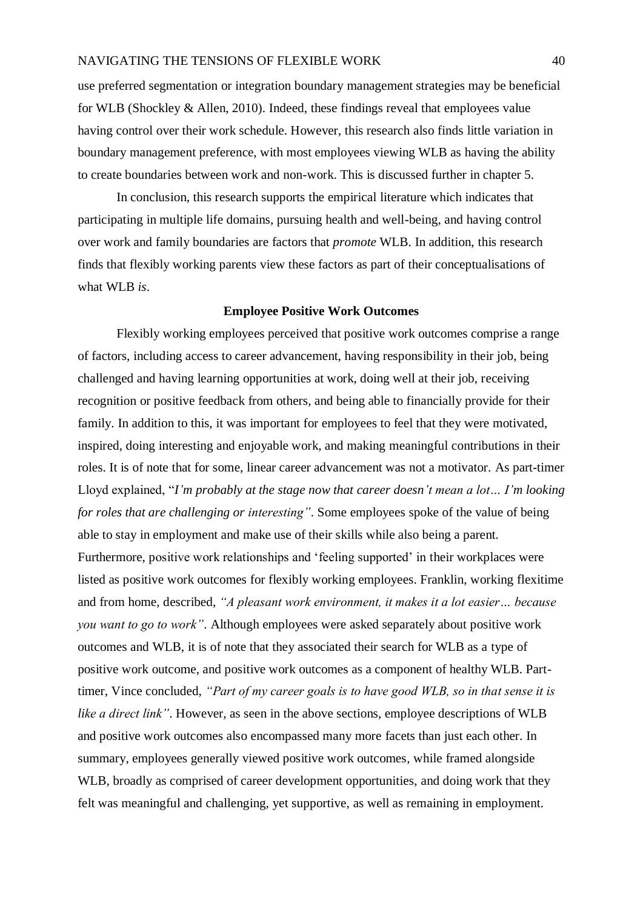use preferred segmentation or integration boundary management strategies may be beneficial for WLB (Shockley & Allen, 2010). Indeed, these findings reveal that employees value having control over their work schedule. However, this research also finds little variation in boundary management preference, with most employees viewing WLB as having the ability to create boundaries between work and non-work. This is discussed further in chapter 5.

In conclusion, this research supports the empirical literature which indicates that participating in multiple life domains, pursuing health and well-being, and having control over work and family boundaries are factors that *promote* WLB. In addition, this research finds that flexibly working parents view these factors as part of their conceptualisations of what WLB *is*.

#### **Employee Positive Work Outcomes**

Flexibly working employees perceived that positive work outcomes comprise a range of factors, including access to career advancement, having responsibility in their job, being challenged and having learning opportunities at work, doing well at their job, receiving recognition or positive feedback from others, and being able to financially provide for their family. In addition to this, it was important for employees to feel that they were motivated, inspired, doing interesting and enjoyable work, and making meaningful contributions in their roles. It is of note that for some, linear career advancement was not a motivator. As part-timer Lloyd explained, "*I'm probably at the stage now that career doesn't mean a lot… I'm looking for roles that are challenging or interesting"*. Some employees spoke of the value of being able to stay in employment and make use of their skills while also being a parent. Furthermore, positive work relationships and 'feeling supported' in their workplaces were listed as positive work outcomes for flexibly working employees. Franklin, working flexitime and from home, described, *"A pleasant work environment, it makes it a lot easier… because you want to go to work"*. Although employees were asked separately about positive work outcomes and WLB, it is of note that they associated their search for WLB as a type of positive work outcome, and positive work outcomes as a component of healthy WLB. Parttimer, Vince concluded, *"Part of my career goals is to have good WLB, so in that sense it is like a direct link"*. However, as seen in the above sections, employee descriptions of WLB and positive work outcomes also encompassed many more facets than just each other. In summary, employees generally viewed positive work outcomes, while framed alongside WLB, broadly as comprised of career development opportunities, and doing work that they felt was meaningful and challenging, yet supportive, as well as remaining in employment.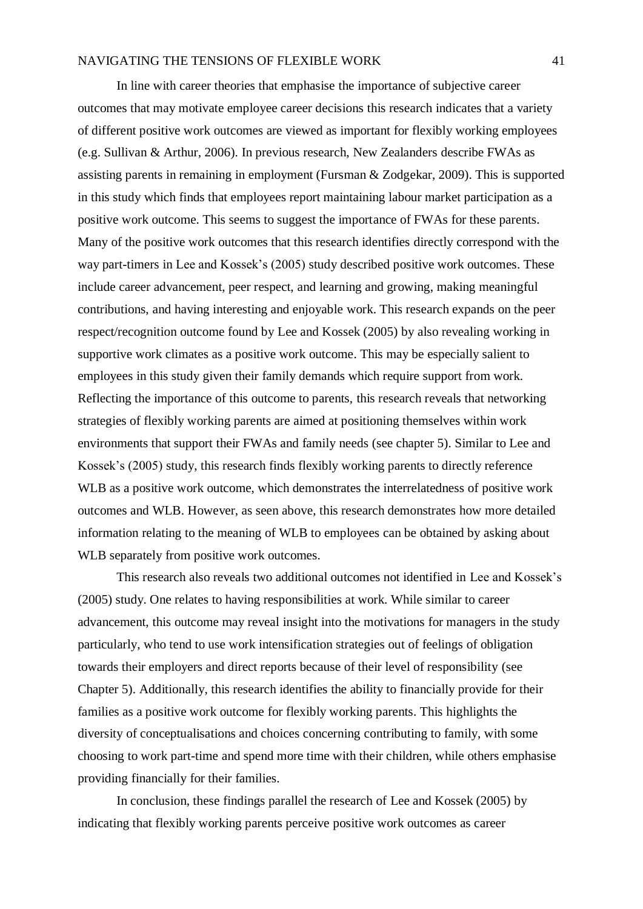In line with career theories that emphasise the importance of subjective career outcomes that may motivate employee career decisions this research indicates that a variety of different positive work outcomes are viewed as important for flexibly working employees (e.g. Sullivan & Arthur, 2006). In previous research, New Zealanders describe FWAs as assisting parents in remaining in employment (Fursman & Zodgekar, 2009). This is supported in this study which finds that employees report maintaining labour market participation as a positive work outcome. This seems to suggest the importance of FWAs for these parents. Many of the positive work outcomes that this research identifies directly correspond with the way part-timers in Lee and Kossek's (2005) study described positive work outcomes. These include career advancement, peer respect, and learning and growing, making meaningful contributions, and having interesting and enjoyable work. This research expands on the peer respect/recognition outcome found by Lee and Kossek (2005) by also revealing working in supportive work climates as a positive work outcome. This may be especially salient to employees in this study given their family demands which require support from work. Reflecting the importance of this outcome to parents, this research reveals that networking strategies of flexibly working parents are aimed at positioning themselves within work environments that support their FWAs and family needs (see chapter 5). Similar to Lee and Kossek's (2005) study, this research finds flexibly working parents to directly reference WLB as a positive work outcome, which demonstrates the interrelatedness of positive work outcomes and WLB. However, as seen above, this research demonstrates how more detailed information relating to the meaning of WLB to employees can be obtained by asking about WLB separately from positive work outcomes.

This research also reveals two additional outcomes not identified in Lee and Kossek's (2005) study. One relates to having responsibilities at work. While similar to career advancement, this outcome may reveal insight into the motivations for managers in the study particularly, who tend to use work intensification strategies out of feelings of obligation towards their employers and direct reports because of their level of responsibility (see Chapter 5). Additionally, this research identifies the ability to financially provide for their families as a positive work outcome for flexibly working parents. This highlights the diversity of conceptualisations and choices concerning contributing to family, with some choosing to work part-time and spend more time with their children, while others emphasise providing financially for their families.

In conclusion, these findings parallel the research of Lee and Kossek (2005) by indicating that flexibly working parents perceive positive work outcomes as career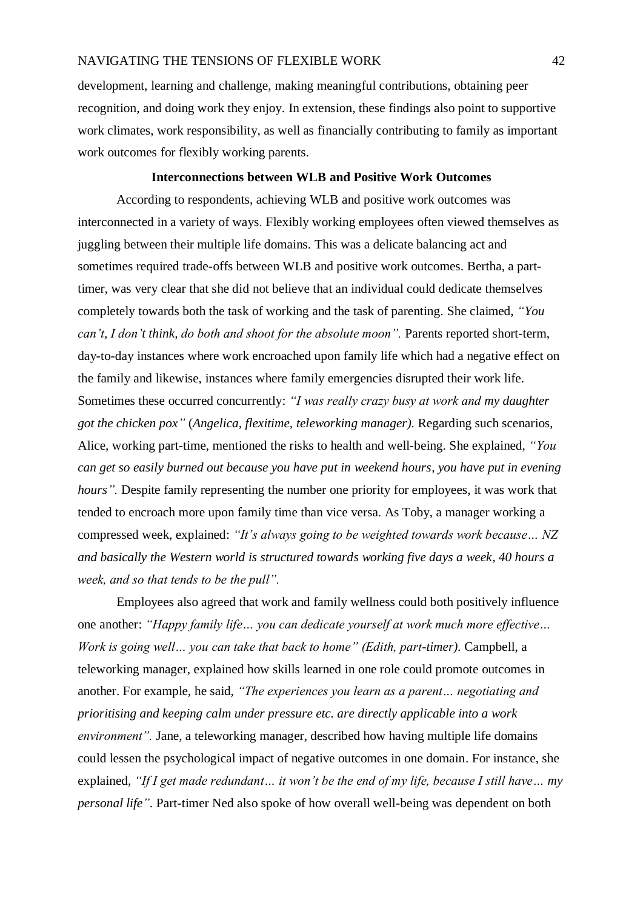development, learning and challenge, making meaningful contributions, obtaining peer recognition, and doing work they enjoy. In extension, these findings also point to supportive work climates, work responsibility, as well as financially contributing to family as important work outcomes for flexibly working parents.

## **Interconnections between WLB and Positive Work Outcomes**

According to respondents, achieving WLB and positive work outcomes was interconnected in a variety of ways. Flexibly working employees often viewed themselves as juggling between their multiple life domains. This was a delicate balancing act and sometimes required trade-offs between WLB and positive work outcomes. Bertha, a parttimer, was very clear that she did not believe that an individual could dedicate themselves completely towards both the task of working and the task of parenting. She claimed, *"You can't, I don't think, do both and shoot for the absolute moon".* Parents reported short-term, day-to-day instances where work encroached upon family life which had a negative effect on the family and likewise, instances where family emergencies disrupted their work life. Sometimes these occurred concurrently: *"I was really crazy busy at work and my daughter got the chicken pox"* (*Angelica, flexitime, teleworking manager).* Regarding such scenarios, Alice, working part-time, mentioned the risks to health and well-being. She explained, *"You can get so easily burned out because you have put in weekend hours, you have put in evening hours*". Despite family representing the number one priority for employees, it was work that tended to encroach more upon family time than vice versa. As Toby, a manager working a compressed week, explained: *"It's always going to be weighted towards work because… NZ and basically the Western world is structured towards working five days a week, 40 hours a week, and so that tends to be the pull".* 

Employees also agreed that work and family wellness could both positively influence one another: *"Happy family life… you can dedicate yourself at work much more effective… Work is going well… you can take that back to home" (Edith, part-timer).* Campbell, a teleworking manager, explained how skills learned in one role could promote outcomes in another. For example, he said, *"The experiences you learn as a parent… negotiating and prioritising and keeping calm under pressure etc. are directly applicable into a work environment".* Jane, a teleworking manager, described how having multiple life domains could lessen the psychological impact of negative outcomes in one domain. For instance, she explained, *"If I get made redundant… it won't be the end of my life, because I still have… my personal life".* Part-timer Ned also spoke of how overall well-being was dependent on both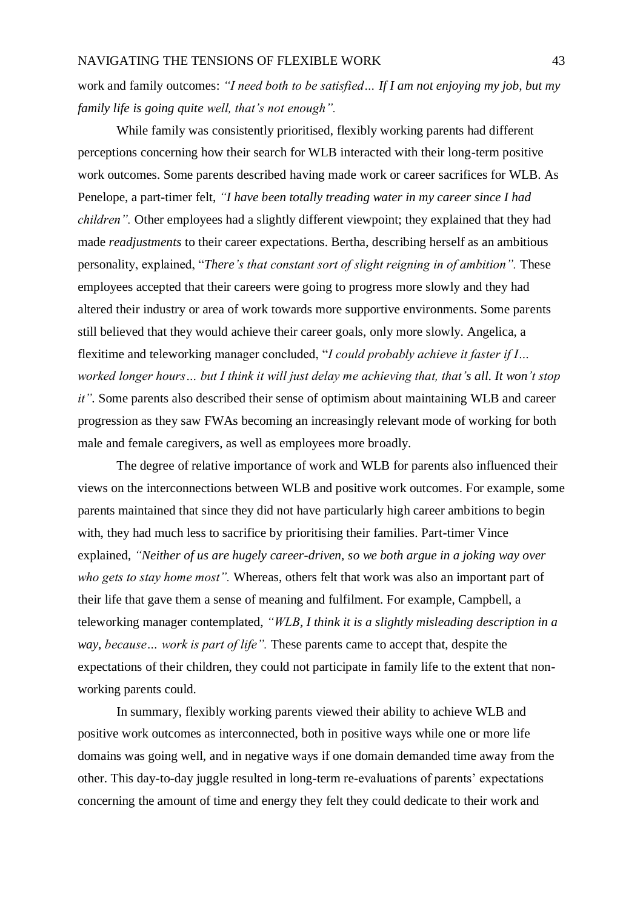work and family outcomes: *"I need both to be satisfied… If I am not enjoying my job, but my family life is going quite well, that's not enough".*

While family was consistently prioritised, flexibly working parents had different perceptions concerning how their search for WLB interacted with their long-term positive work outcomes. Some parents described having made work or career sacrifices for WLB. As Penelope, a part-timer felt, *"I have been totally treading water in my career since I had children"*. Other employees had a slightly different viewpoint; they explained that they had made *readjustments* to their career expectations. Bertha, describing herself as an ambitious personality, explained, "*There's that constant sort of slight reigning in of ambition".* These employees accepted that their careers were going to progress more slowly and they had altered their industry or area of work towards more supportive environments. Some parents still believed that they would achieve their career goals, only more slowly. Angelica, a flexitime and teleworking manager concluded, "*I could probably achieve it faster if I… worked longer hours… but I think it will just delay me achieving that, that's all. It won't stop it".* Some parents also described their sense of optimism about maintaining WLB and career progression as they saw FWAs becoming an increasingly relevant mode of working for both male and female caregivers, as well as employees more broadly.

The degree of relative importance of work and WLB for parents also influenced their views on the interconnections between WLB and positive work outcomes. For example, some parents maintained that since they did not have particularly high career ambitions to begin with, they had much less to sacrifice by prioritising their families. Part-timer Vince explained, *"Neither of us are hugely career-driven, so we both argue in a joking way over who gets to stay home most".* Whereas, others felt that work was also an important part of their life that gave them a sense of meaning and fulfilment. For example, Campbell, a teleworking manager contemplated, *"WLB, I think it is a slightly misleading description in a way, because… work is part of life".* These parents came to accept that, despite the expectations of their children, they could not participate in family life to the extent that nonworking parents could.

In summary, flexibly working parents viewed their ability to achieve WLB and positive work outcomes as interconnected, both in positive ways while one or more life domains was going well, and in negative ways if one domain demanded time away from the other. This day-to-day juggle resulted in long-term re-evaluations of parents' expectations concerning the amount of time and energy they felt they could dedicate to their work and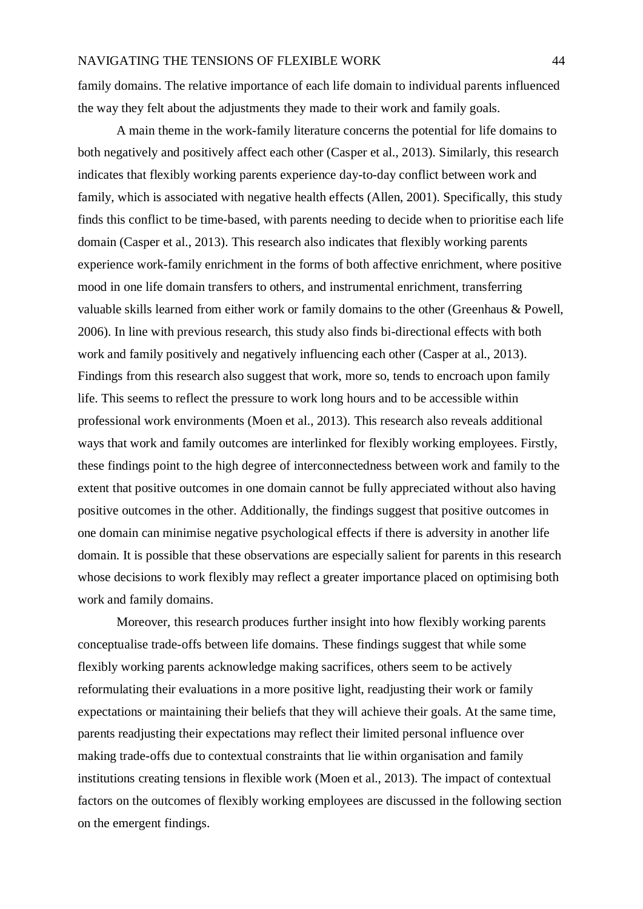family domains. The relative importance of each life domain to individual parents influenced the way they felt about the adjustments they made to their work and family goals.

A main theme in the work-family literature concerns the potential for life domains to both negatively and positively affect each other (Casper et al., 2013). Similarly, this research indicates that flexibly working parents experience day-to-day conflict between work and family, which is associated with negative health effects (Allen, 2001). Specifically, this study finds this conflict to be time-based, with parents needing to decide when to prioritise each life domain (Casper et al., 2013). This research also indicates that flexibly working parents experience work-family enrichment in the forms of both affective enrichment, where positive mood in one life domain transfers to others, and instrumental enrichment, transferring valuable skills learned from either work or family domains to the other (Greenhaus & Powell, 2006). In line with previous research, this study also finds bi-directional effects with both work and family positively and negatively influencing each other (Casper at al., 2013). Findings from this research also suggest that work, more so, tends to encroach upon family life. This seems to reflect the pressure to work long hours and to be accessible within professional work environments (Moen et al., 2013). This research also reveals additional ways that work and family outcomes are interlinked for flexibly working employees. Firstly, these findings point to the high degree of interconnectedness between work and family to the extent that positive outcomes in one domain cannot be fully appreciated without also having positive outcomes in the other. Additionally, the findings suggest that positive outcomes in one domain can minimise negative psychological effects if there is adversity in another life domain. It is possible that these observations are especially salient for parents in this research whose decisions to work flexibly may reflect a greater importance placed on optimising both work and family domains.

Moreover, this research produces further insight into how flexibly working parents conceptualise trade-offs between life domains. These findings suggest that while some flexibly working parents acknowledge making sacrifices, others seem to be actively reformulating their evaluations in a more positive light, readjusting their work or family expectations or maintaining their beliefs that they will achieve their goals. At the same time, parents readjusting their expectations may reflect their limited personal influence over making trade-offs due to contextual constraints that lie within organisation and family institutions creating tensions in flexible work (Moen et al., 2013). The impact of contextual factors on the outcomes of flexibly working employees are discussed in the following section on the emergent findings.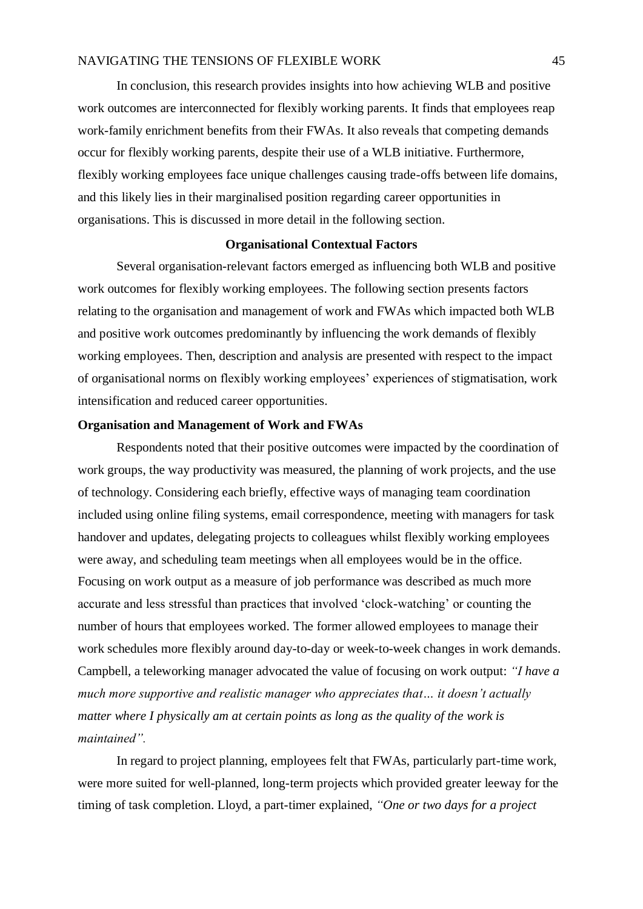In conclusion, this research provides insights into how achieving WLB and positive work outcomes are interconnected for flexibly working parents. It finds that employees reap work-family enrichment benefits from their FWAs. It also reveals that competing demands occur for flexibly working parents, despite their use of a WLB initiative. Furthermore, flexibly working employees face unique challenges causing trade-offs between life domains, and this likely lies in their marginalised position regarding career opportunities in organisations. This is discussed in more detail in the following section.

## **Organisational Contextual Factors**

Several organisation-relevant factors emerged as influencing both WLB and positive work outcomes for flexibly working employees. The following section presents factors relating to the organisation and management of work and FWAs which impacted both WLB and positive work outcomes predominantly by influencing the work demands of flexibly working employees. Then, description and analysis are presented with respect to the impact of organisational norms on flexibly working employees' experiences of stigmatisation, work intensification and reduced career opportunities.

# **Organisation and Management of Work and FWAs**

Respondents noted that their positive outcomes were impacted by the coordination of work groups, the way productivity was measured, the planning of work projects, and the use of technology. Considering each briefly, effective ways of managing team coordination included using online filing systems, email correspondence, meeting with managers for task handover and updates, delegating projects to colleagues whilst flexibly working employees were away, and scheduling team meetings when all employees would be in the office. Focusing on work output as a measure of job performance was described as much more accurate and less stressful than practices that involved 'clock-watching' or counting the number of hours that employees worked. The former allowed employees to manage their work schedules more flexibly around day-to-day or week-to-week changes in work demands. Campbell, a teleworking manager advocated the value of focusing on work output: *"I have a much more supportive and realistic manager who appreciates that… it doesn't actually matter where I physically am at certain points as long as the quality of the work is maintained".*

In regard to project planning, employees felt that FWAs, particularly part-time work, were more suited for well-planned, long-term projects which provided greater leeway for the timing of task completion. Lloyd, a part-timer explained, *"One or two days for a project*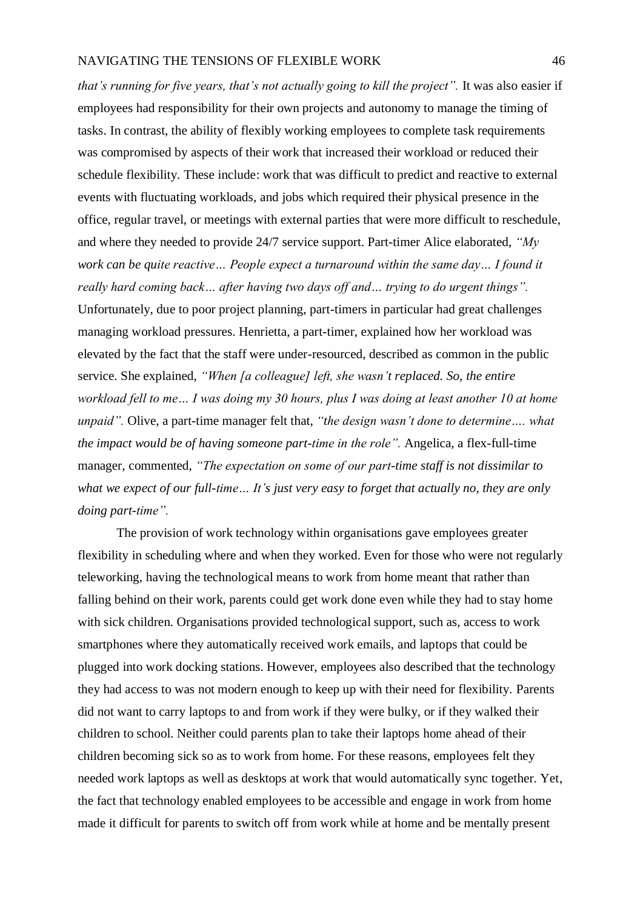*that's running for five years, that's not actually going to kill the project".* It was also easier if employees had responsibility for their own projects and autonomy to manage the timing of tasks. In contrast, the ability of flexibly working employees to complete task requirements was compromised by aspects of their work that increased their workload or reduced their schedule flexibility. These include: work that was difficult to predict and reactive to external events with fluctuating workloads, and jobs which required their physical presence in the office, regular travel, or meetings with external parties that were more difficult to reschedule, and where they needed to provide 24/7 service support. Part-timer Alice elaborated, *"My work can be quite reactive… People expect a turnaround within the same day… I found it really hard coming back… after having two days off and… trying to do urgent things".* Unfortunately, due to poor project planning, part-timers in particular had great challenges managing workload pressures. Henrietta, a part-timer, explained how her workload was elevated by the fact that the staff were under-resourced, described as common in the public service. She explained, *"When [a colleague] left, she wasn't replaced. So, the entire workload fell to me… I was doing my 30 hours, plus I was doing at least another 10 at home unpaid".* Olive, a part-time manager felt that, *"the design wasn't done to determine…. what the impact would be of having someone part-time in the role".* Angelica, a flex-full-time manager, commented, *"The expectation on some of our part-time staff is not dissimilar to what we expect of our full-time… It's just very easy to forget that actually no, they are only doing part-time".* 

The provision of work technology within organisations gave employees greater flexibility in scheduling where and when they worked. Even for those who were not regularly teleworking, having the technological means to work from home meant that rather than falling behind on their work, parents could get work done even while they had to stay home with sick children. Organisations provided technological support, such as, access to work smartphones where they automatically received work emails, and laptops that could be plugged into work docking stations. However, employees also described that the technology they had access to was not modern enough to keep up with their need for flexibility. Parents did not want to carry laptops to and from work if they were bulky, or if they walked their children to school. Neither could parents plan to take their laptops home ahead of their children becoming sick so as to work from home. For these reasons, employees felt they needed work laptops as well as desktops at work that would automatically sync together. Yet, the fact that technology enabled employees to be accessible and engage in work from home made it difficult for parents to switch off from work while at home and be mentally present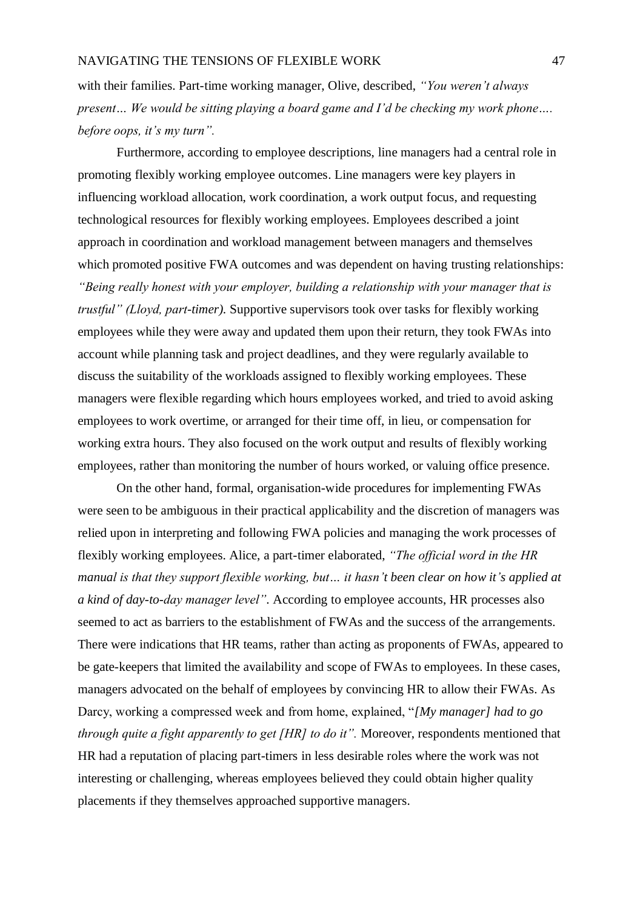with their families. Part-time working manager, Olive, described, *"You weren't always present… We would be sitting playing a board game and I'd be checking my work phone…. before oops, it's my turn".*

Furthermore, according to employee descriptions, line managers had a central role in promoting flexibly working employee outcomes. Line managers were key players in influencing workload allocation, work coordination, a work output focus, and requesting technological resources for flexibly working employees. Employees described a joint approach in coordination and workload management between managers and themselves which promoted positive FWA outcomes and was dependent on having trusting relationships: *"Being really honest with your employer, building a relationship with your manager that is trustful" (Lloyd, part-timer).* Supportive supervisors took over tasks for flexibly working employees while they were away and updated them upon their return, they took FWAs into account while planning task and project deadlines, and they were regularly available to discuss the suitability of the workloads assigned to flexibly working employees. These managers were flexible regarding which hours employees worked, and tried to avoid asking employees to work overtime, or arranged for their time off, in lieu, or compensation for working extra hours. They also focused on the work output and results of flexibly working employees, rather than monitoring the number of hours worked, or valuing office presence.

On the other hand, formal, organisation-wide procedures for implementing FWAs were seen to be ambiguous in their practical applicability and the discretion of managers was relied upon in interpreting and following FWA policies and managing the work processes of flexibly working employees. Alice, a part-timer elaborated, *"The official word in the HR manual is that they support flexible working, but… it hasn't been clear on how it's applied at a kind of day-to-day manager level".* According to employee accounts, HR processes also seemed to act as barriers to the establishment of FWAs and the success of the arrangements. There were indications that HR teams, rather than acting as proponents of FWAs, appeared to be gate-keepers that limited the availability and scope of FWAs to employees. In these cases, managers advocated on the behalf of employees by convincing HR to allow their FWAs. As Darcy, working a compressed week and from home, explained, "*[My manager] had to go through quite a fight apparently to get [HR] to do it"*. Moreover, respondents mentioned that HR had a reputation of placing part-timers in less desirable roles where the work was not interesting or challenging, whereas employees believed they could obtain higher quality placements if they themselves approached supportive managers.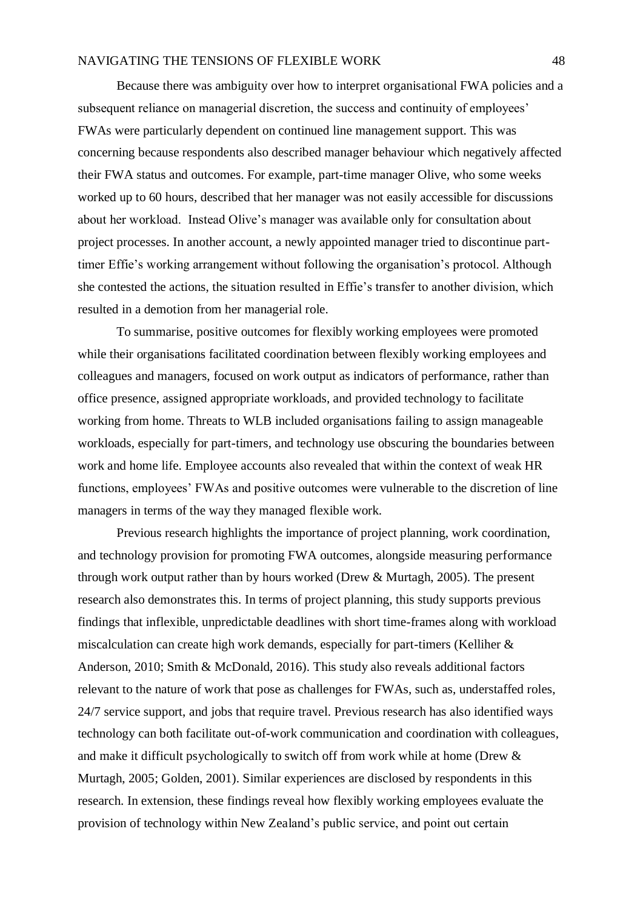Because there was ambiguity over how to interpret organisational FWA policies and a subsequent reliance on managerial discretion, the success and continuity of employees' FWAs were particularly dependent on continued line management support. This was concerning because respondents also described manager behaviour which negatively affected their FWA status and outcomes. For example, part-time manager Olive, who some weeks worked up to 60 hours, described that her manager was not easily accessible for discussions about her workload. Instead Olive's manager was available only for consultation about project processes. In another account, a newly appointed manager tried to discontinue parttimer Effie's working arrangement without following the organisation's protocol. Although she contested the actions, the situation resulted in Effie's transfer to another division, which resulted in a demotion from her managerial role.

To summarise, positive outcomes for flexibly working employees were promoted while their organisations facilitated coordination between flexibly working employees and colleagues and managers, focused on work output as indicators of performance, rather than office presence, assigned appropriate workloads, and provided technology to facilitate working from home. Threats to WLB included organisations failing to assign manageable workloads, especially for part-timers, and technology use obscuring the boundaries between work and home life. Employee accounts also revealed that within the context of weak HR functions, employees' FWAs and positive outcomes were vulnerable to the discretion of line managers in terms of the way they managed flexible work.

Previous research highlights the importance of project planning, work coordination, and technology provision for promoting FWA outcomes, alongside measuring performance through work output rather than by hours worked (Drew & Murtagh, 2005). The present research also demonstrates this. In terms of project planning, this study supports previous findings that inflexible, unpredictable deadlines with short time-frames along with workload miscalculation can create high work demands, especially for part-timers (Kelliher & Anderson, 2010; Smith & McDonald, 2016). This study also reveals additional factors relevant to the nature of work that pose as challenges for FWAs, such as, understaffed roles, 24/7 service support, and jobs that require travel. Previous research has also identified ways technology can both facilitate out-of-work communication and coordination with colleagues, and make it difficult psychologically to switch off from work while at home (Drew & Murtagh, 2005; Golden, 2001). Similar experiences are disclosed by respondents in this research. In extension, these findings reveal how flexibly working employees evaluate the provision of technology within New Zealand's public service, and point out certain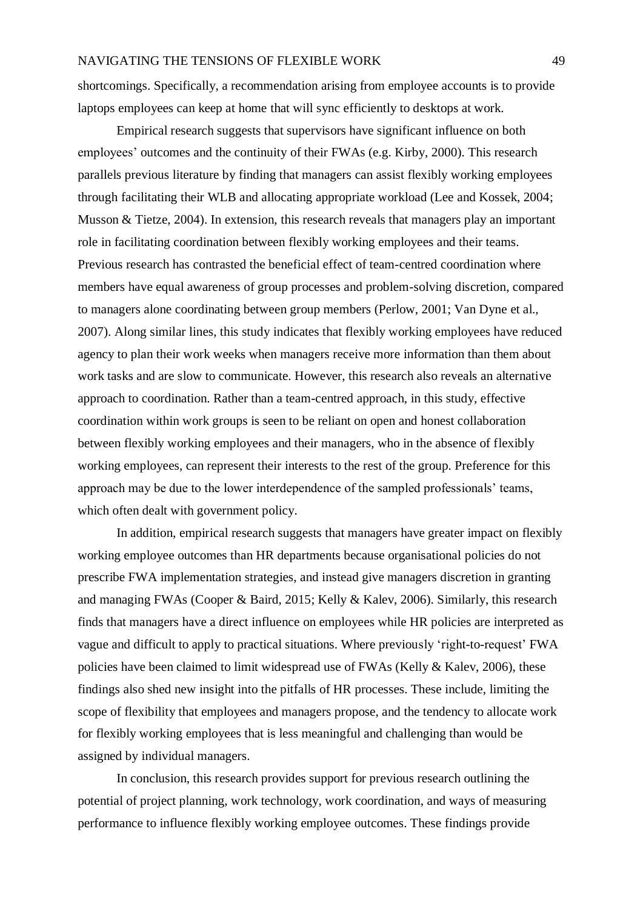shortcomings. Specifically, a recommendation arising from employee accounts is to provide laptops employees can keep at home that will sync efficiently to desktops at work.

Empirical research suggests that supervisors have significant influence on both employees' outcomes and the continuity of their FWAs (e.g. Kirby, 2000). This research parallels previous literature by finding that managers can assist flexibly working employees through facilitating their WLB and allocating appropriate workload (Lee and Kossek, 2004; Musson & Tietze, 2004). In extension, this research reveals that managers play an important role in facilitating coordination between flexibly working employees and their teams. Previous research has contrasted the beneficial effect of team-centred coordination where members have equal awareness of group processes and problem-solving discretion, compared to managers alone coordinating between group members (Perlow, 2001; Van Dyne et al., 2007). Along similar lines, this study indicates that flexibly working employees have reduced agency to plan their work weeks when managers receive more information than them about work tasks and are slow to communicate. However, this research also reveals an alternative approach to coordination. Rather than a team-centred approach, in this study, effective coordination within work groups is seen to be reliant on open and honest collaboration between flexibly working employees and their managers, who in the absence of flexibly working employees, can represent their interests to the rest of the group. Preference for this approach may be due to the lower interdependence of the sampled professionals' teams, which often dealt with government policy.

In addition, empirical research suggests that managers have greater impact on flexibly working employee outcomes than HR departments because organisational policies do not prescribe FWA implementation strategies, and instead give managers discretion in granting and managing FWAs (Cooper & Baird, 2015; Kelly & Kalev, 2006). Similarly, this research finds that managers have a direct influence on employees while HR policies are interpreted as vague and difficult to apply to practical situations. Where previously 'right-to-request' FWA policies have been claimed to limit widespread use of FWAs (Kelly & Kalev, 2006), these findings also shed new insight into the pitfalls of HR processes. These include, limiting the scope of flexibility that employees and managers propose, and the tendency to allocate work for flexibly working employees that is less meaningful and challenging than would be assigned by individual managers.

In conclusion, this research provides support for previous research outlining the potential of project planning, work technology, work coordination, and ways of measuring performance to influence flexibly working employee outcomes. These findings provide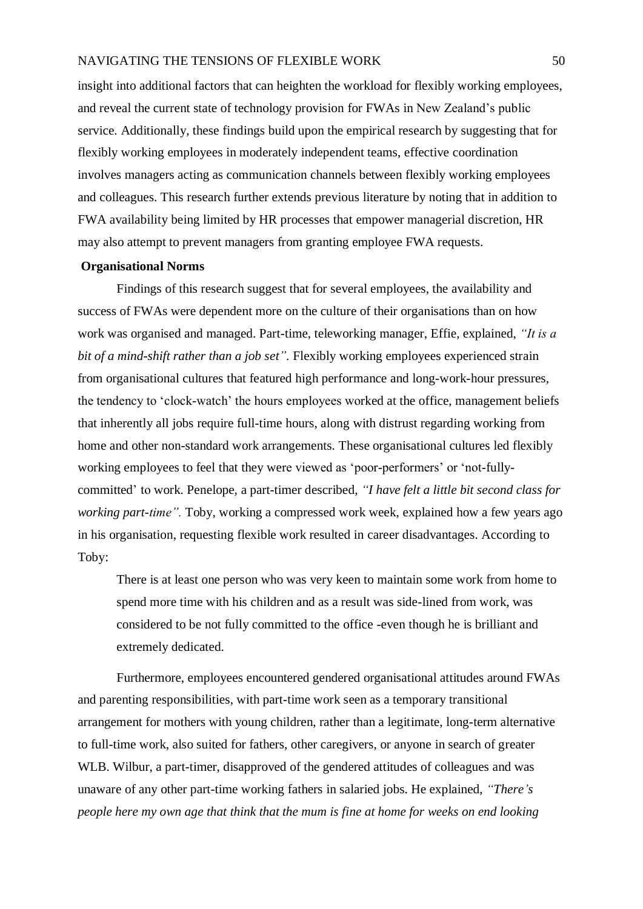insight into additional factors that can heighten the workload for flexibly working employees, and reveal the current state of technology provision for FWAs in New Zealand's public service. Additionally, these findings build upon the empirical research by suggesting that for flexibly working employees in moderately independent teams, effective coordination involves managers acting as communication channels between flexibly working employees and colleagues. This research further extends previous literature by noting that in addition to FWA availability being limited by HR processes that empower managerial discretion, HR may also attempt to prevent managers from granting employee FWA requests.

# **Organisational Norms**

Findings of this research suggest that for several employees, the availability and success of FWAs were dependent more on the culture of their organisations than on how work was organised and managed. Part-time, teleworking manager, Effie, explained, *"It is a bit of a mind-shift rather than a job set".* Flexibly working employees experienced strain from organisational cultures that featured high performance and long-work-hour pressures, the tendency to 'clock-watch' the hours employees worked at the office, management beliefs that inherently all jobs require full-time hours, along with distrust regarding working from home and other non-standard work arrangements. These organisational cultures led flexibly working employees to feel that they were viewed as 'poor-performers' or 'not-fullycommitted' to work. Penelope, a part-timer described, *"I have felt a little bit second class for working part-time".* Toby, working a compressed work week, explained how a few years ago in his organisation, requesting flexible work resulted in career disadvantages. According to Toby:

There is at least one person who was very keen to maintain some work from home to spend more time with his children and as a result was side-lined from work, was considered to be not fully committed to the office -even though he is brilliant and extremely dedicated.

Furthermore, employees encountered gendered organisational attitudes around FWAs and parenting responsibilities, with part-time work seen as a temporary transitional arrangement for mothers with young children, rather than a legitimate, long-term alternative to full-time work, also suited for fathers, other caregivers, or anyone in search of greater WLB. Wilbur, a part-timer, disapproved of the gendered attitudes of colleagues and was unaware of any other part-time working fathers in salaried jobs. He explained, *"There's people here my own age that think that the mum is fine at home for weeks on end looking*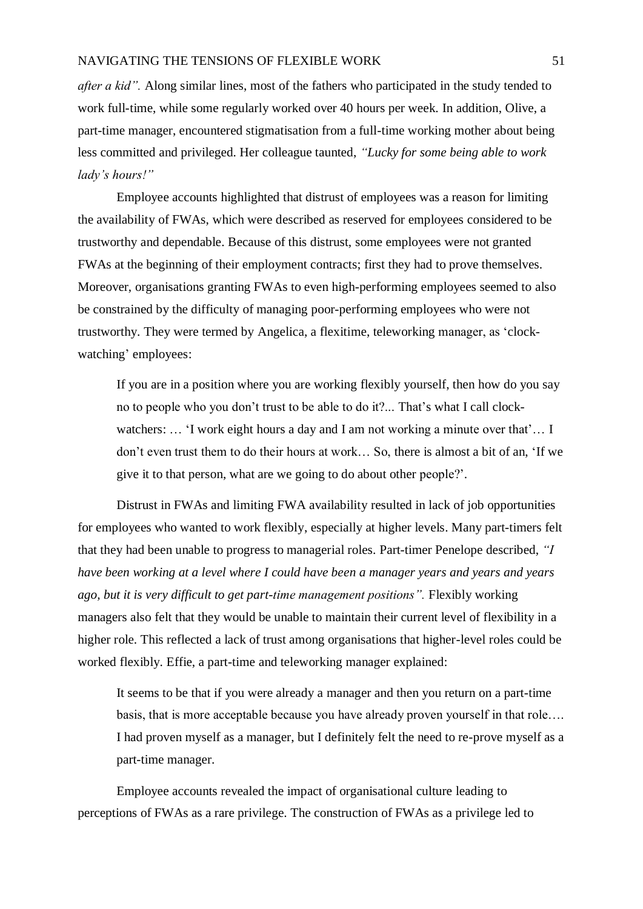*after a kid".* Along similar lines, most of the fathers who participated in the study tended to work full-time, while some regularly worked over 40 hours per week. In addition, Olive, a part-time manager, encountered stigmatisation from a full-time working mother about being less committed and privileged. Her colleague taunted, *"Lucky for some being able to work lady's hours!"* 

Employee accounts highlighted that distrust of employees was a reason for limiting the availability of FWAs, which were described as reserved for employees considered to be trustworthy and dependable. Because of this distrust, some employees were not granted FWAs at the beginning of their employment contracts; first they had to prove themselves. Moreover, organisations granting FWAs to even high-performing employees seemed to also be constrained by the difficulty of managing poor-performing employees who were not trustworthy. They were termed by Angelica, a flexitime, teleworking manager, as 'clockwatching' employees:

If you are in a position where you are working flexibly yourself, then how do you say no to people who you don't trust to be able to do it?... That's what I call clockwatchers: ... 'I work eight hours a day and I am not working a minute over that'... I don't even trust them to do their hours at work… So, there is almost a bit of an, 'If we give it to that person, what are we going to do about other people?'.

Distrust in FWAs and limiting FWA availability resulted in lack of job opportunities for employees who wanted to work flexibly, especially at higher levels. Many part-timers felt that they had been unable to progress to managerial roles. Part-timer Penelope described, *"I have been working at a level where I could have been a manager years and years and years ago, but it is very difficult to get part-time management positions".* Flexibly working managers also felt that they would be unable to maintain their current level of flexibility in a higher role. This reflected a lack of trust among organisations that higher-level roles could be worked flexibly. Effie, a part-time and teleworking manager explained:

It seems to be that if you were already a manager and then you return on a part-time basis, that is more acceptable because you have already proven yourself in that role…. I had proven myself as a manager, but I definitely felt the need to re-prove myself as a part-time manager.

Employee accounts revealed the impact of organisational culture leading to perceptions of FWAs as a rare privilege. The construction of FWAs as a privilege led to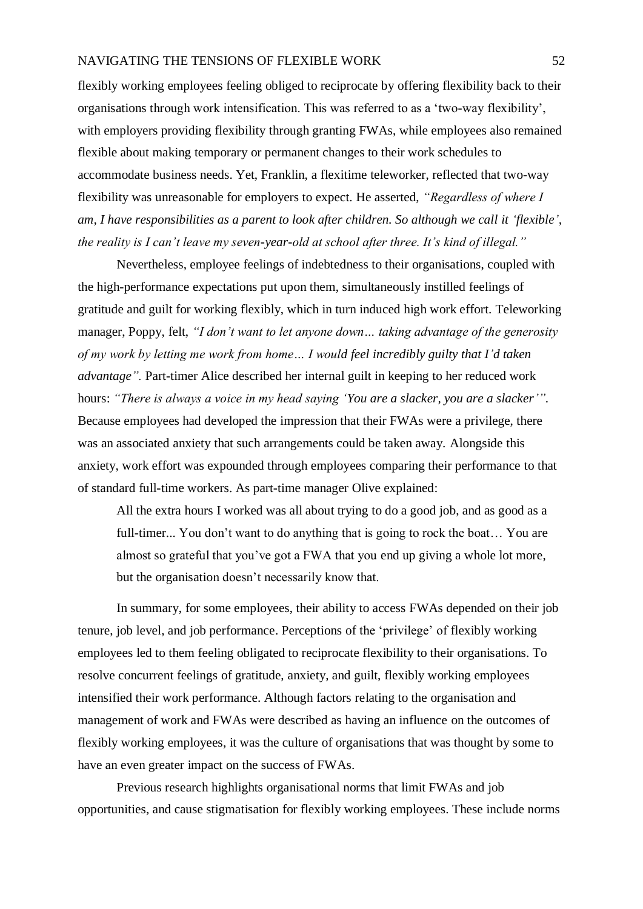flexibly working employees feeling obliged to reciprocate by offering flexibility back to their organisations through work intensification. This was referred to as a 'two-way flexibility', with employers providing flexibility through granting FWAs, while employees also remained flexible about making temporary or permanent changes to their work schedules to accommodate business needs. Yet, Franklin, a flexitime teleworker, reflected that two-way flexibility was unreasonable for employers to expect. He asserted, *"Regardless of where I am, I have responsibilities as a parent to look after children. So although we call it 'flexible', the reality is I can't leave my seven-year-old at school after three. It's kind of illegal."*

Nevertheless, employee feelings of indebtedness to their organisations, coupled with the high-performance expectations put upon them, simultaneously instilled feelings of gratitude and guilt for working flexibly, which in turn induced high work effort. Teleworking manager, Poppy, felt, *"I don't want to let anyone down… taking advantage of the generosity of my work by letting me work from home… I would feel incredibly guilty that I'd taken advantage".* Part-timer Alice described her internal guilt in keeping to her reduced work hours: *"There is always a voice in my head saying 'You are a slacker, you are a slacker'".* Because employees had developed the impression that their FWAs were a privilege, there was an associated anxiety that such arrangements could be taken away. Alongside this anxiety, work effort was expounded through employees comparing their performance to that of standard full-time workers. As part-time manager Olive explained:

All the extra hours I worked was all about trying to do a good job, and as good as a full-timer... You don't want to do anything that is going to rock the boat… You are almost so grateful that you've got a FWA that you end up giving a whole lot more, but the organisation doesn't necessarily know that.

In summary, for some employees, their ability to access FWAs depended on their job tenure, job level, and job performance. Perceptions of the 'privilege' of flexibly working employees led to them feeling obligated to reciprocate flexibility to their organisations. To resolve concurrent feelings of gratitude, anxiety, and guilt, flexibly working employees intensified their work performance. Although factors relating to the organisation and management of work and FWAs were described as having an influence on the outcomes of flexibly working employees, it was the culture of organisations that was thought by some to have an even greater impact on the success of FWAs.

Previous research highlights organisational norms that limit FWAs and job opportunities, and cause stigmatisation for flexibly working employees. These include norms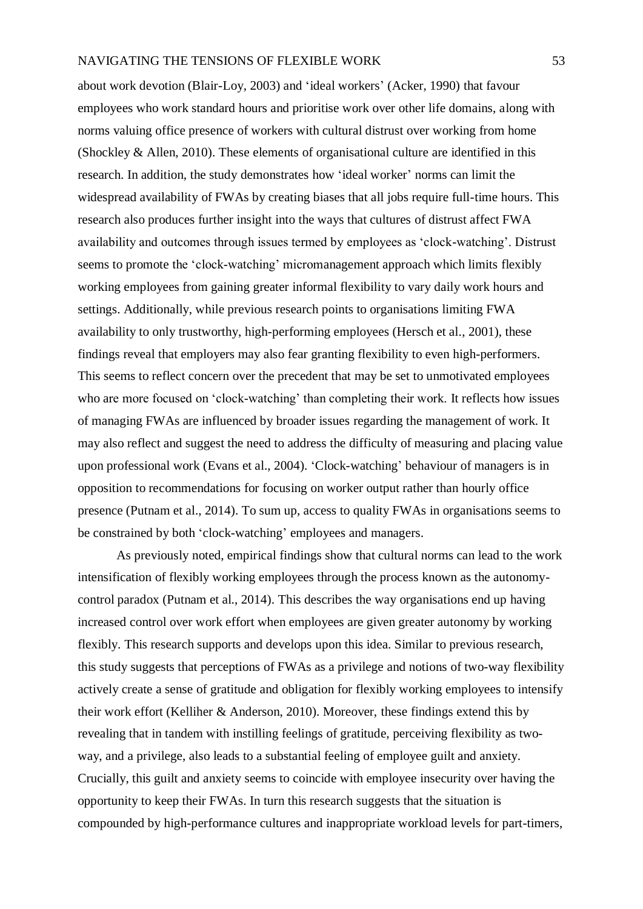about work devotion (Blair-Loy, 2003) and 'ideal workers' (Acker, 1990) that favour employees who work standard hours and prioritise work over other life domains, along with norms valuing office presence of workers with cultural distrust over working from home (Shockley & Allen, 2010). These elements of organisational culture are identified in this research. In addition, the study demonstrates how 'ideal worker' norms can limit the widespread availability of FWAs by creating biases that all jobs require full-time hours. This research also produces further insight into the ways that cultures of distrust affect FWA availability and outcomes through issues termed by employees as 'clock-watching'. Distrust seems to promote the 'clock-watching' micromanagement approach which limits flexibly working employees from gaining greater informal flexibility to vary daily work hours and settings. Additionally, while previous research points to organisations limiting FWA availability to only trustworthy, high-performing employees (Hersch et al., 2001), these findings reveal that employers may also fear granting flexibility to even high-performers. This seems to reflect concern over the precedent that may be set to unmotivated employees who are more focused on 'clock-watching' than completing their work. It reflects how issues of managing FWAs are influenced by broader issues regarding the management of work. It may also reflect and suggest the need to address the difficulty of measuring and placing value upon professional work (Evans et al., 2004). 'Clock-watching' behaviour of managers is in opposition to recommendations for focusing on worker output rather than hourly office presence (Putnam et al., 2014). To sum up, access to quality FWAs in organisations seems to be constrained by both 'clock-watching' employees and managers.

As previously noted, empirical findings show that cultural norms can lead to the work intensification of flexibly working employees through the process known as the autonomycontrol paradox (Putnam et al., 2014). This describes the way organisations end up having increased control over work effort when employees are given greater autonomy by working flexibly. This research supports and develops upon this idea. Similar to previous research, this study suggests that perceptions of FWAs as a privilege and notions of two-way flexibility actively create a sense of gratitude and obligation for flexibly working employees to intensify their work effort (Kelliher & Anderson, 2010). Moreover, these findings extend this by revealing that in tandem with instilling feelings of gratitude, perceiving flexibility as twoway, and a privilege, also leads to a substantial feeling of employee guilt and anxiety. Crucially, this guilt and anxiety seems to coincide with employee insecurity over having the opportunity to keep their FWAs. In turn this research suggests that the situation is compounded by high-performance cultures and inappropriate workload levels for part-timers,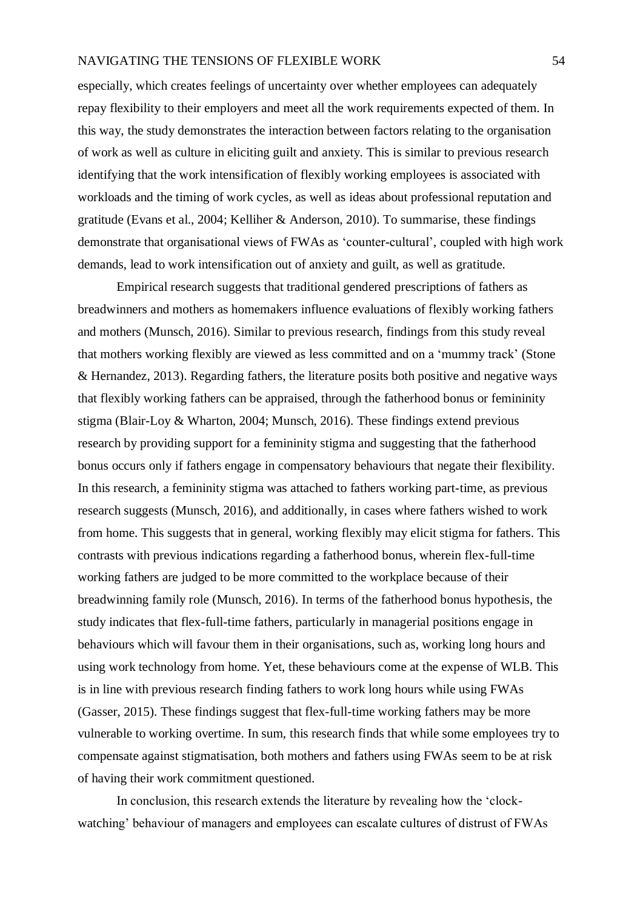especially, which creates feelings of uncertainty over whether employees can adequately repay flexibility to their employers and meet all the work requirements expected of them. In this way, the study demonstrates the interaction between factors relating to the organisation of work as well as culture in eliciting guilt and anxiety. This is similar to previous research identifying that the work intensification of flexibly working employees is associated with workloads and the timing of work cycles, as well as ideas about professional reputation and gratitude (Evans et al., 2004; Kelliher & Anderson, 2010). To summarise, these findings demonstrate that organisational views of FWAs as 'counter-cultural', coupled with high work demands, lead to work intensification out of anxiety and guilt, as well as gratitude.

Empirical research suggests that traditional gendered prescriptions of fathers as breadwinners and mothers as homemakers influence evaluations of flexibly working fathers and mothers (Munsch, 2016). Similar to previous research, findings from this study reveal that mothers working flexibly are viewed as less committed and on a 'mummy track' (Stone & Hernandez, 2013). Regarding fathers, the literature posits both positive and negative ways that flexibly working fathers can be appraised, through the fatherhood bonus or femininity stigma (Blair-Loy & Wharton, 2004; Munsch, 2016). These findings extend previous research by providing support for a femininity stigma and suggesting that the fatherhood bonus occurs only if fathers engage in compensatory behaviours that negate their flexibility. In this research, a femininity stigma was attached to fathers working part-time, as previous research suggests (Munsch, 2016), and additionally, in cases where fathers wished to work from home. This suggests that in general, working flexibly may elicit stigma for fathers. This contrasts with previous indications regarding a fatherhood bonus, wherein flex-full-time working fathers are judged to be more committed to the workplace because of their breadwinning family role (Munsch, 2016). In terms of the fatherhood bonus hypothesis, the study indicates that flex-full-time fathers, particularly in managerial positions engage in behaviours which will favour them in their organisations, such as, working long hours and using work technology from home. Yet, these behaviours come at the expense of WLB. This is in line with previous research finding fathers to work long hours while using FWAs (Gasser, 2015). These findings suggest that flex-full-time working fathers may be more vulnerable to working overtime. In sum, this research finds that while some employees try to compensate against stigmatisation, both mothers and fathers using FWAs seem to be at risk of having their work commitment questioned.

In conclusion, this research extends the literature by revealing how the 'clockwatching' behaviour of managers and employees can escalate cultures of distrust of FWAs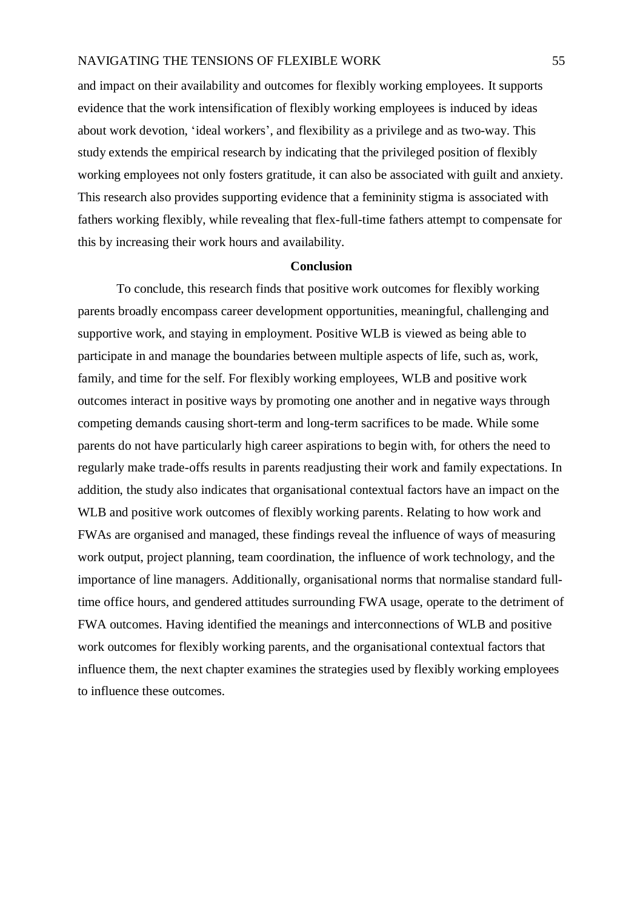and impact on their availability and outcomes for flexibly working employees. It supports evidence that the work intensification of flexibly working employees is induced by ideas about work devotion, 'ideal workers', and flexibility as a privilege and as two-way. This study extends the empirical research by indicating that the privileged position of flexibly working employees not only fosters gratitude, it can also be associated with guilt and anxiety. This research also provides supporting evidence that a femininity stigma is associated with fathers working flexibly, while revealing that flex-full-time fathers attempt to compensate for this by increasing their work hours and availability.

## **Conclusion**

To conclude, this research finds that positive work outcomes for flexibly working parents broadly encompass career development opportunities, meaningful, challenging and supportive work, and staying in employment. Positive WLB is viewed as being able to participate in and manage the boundaries between multiple aspects of life, such as, work, family, and time for the self. For flexibly working employees, WLB and positive work outcomes interact in positive ways by promoting one another and in negative ways through competing demands causing short-term and long-term sacrifices to be made. While some parents do not have particularly high career aspirations to begin with, for others the need to regularly make trade-offs results in parents readjusting their work and family expectations. In addition, the study also indicates that organisational contextual factors have an impact on the WLB and positive work outcomes of flexibly working parents. Relating to how work and FWAs are organised and managed, these findings reveal the influence of ways of measuring work output, project planning, team coordination, the influence of work technology, and the importance of line managers. Additionally, organisational norms that normalise standard fulltime office hours, and gendered attitudes surrounding FWA usage, operate to the detriment of FWA outcomes. Having identified the meanings and interconnections of WLB and positive work outcomes for flexibly working parents, and the organisational contextual factors that influence them, the next chapter examines the strategies used by flexibly working employees to influence these outcomes.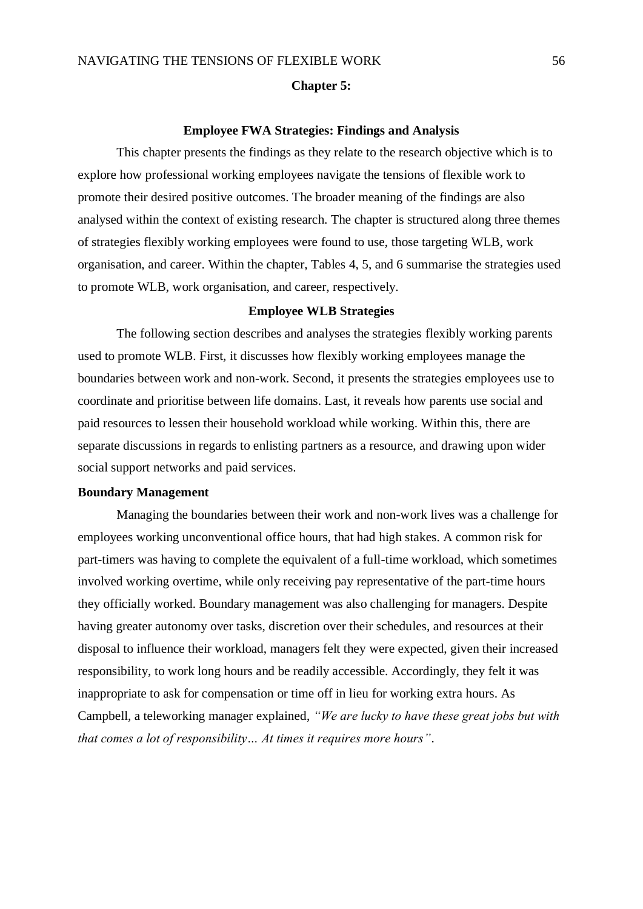#### **Chapter 5:**

## **Employee FWA Strategies: Findings and Analysis**

This chapter presents the findings as they relate to the research objective which is to explore how professional working employees navigate the tensions of flexible work to promote their desired positive outcomes. The broader meaning of the findings are also analysed within the context of existing research. The chapter is structured along three themes of strategies flexibly working employees were found to use, those targeting WLB, work organisation, and career. Within the chapter, Tables 4, 5, and 6 summarise the strategies used to promote WLB, work organisation, and career, respectively.

## **Employee WLB Strategies**

The following section describes and analyses the strategies flexibly working parents used to promote WLB. First, it discusses how flexibly working employees manage the boundaries between work and non-work. Second, it presents the strategies employees use to coordinate and prioritise between life domains. Last, it reveals how parents use social and paid resources to lessen their household workload while working. Within this, there are separate discussions in regards to enlisting partners as a resource, and drawing upon wider social support networks and paid services.

# **Boundary Management**

Managing the boundaries between their work and non-work lives was a challenge for employees working unconventional office hours, that had high stakes. A common risk for part-timers was having to complete the equivalent of a full-time workload, which sometimes involved working overtime, while only receiving pay representative of the part-time hours they officially worked. Boundary management was also challenging for managers. Despite having greater autonomy over tasks, discretion over their schedules, and resources at their disposal to influence their workload, managers felt they were expected, given their increased responsibility, to work long hours and be readily accessible. Accordingly, they felt it was inappropriate to ask for compensation or time off in lieu for working extra hours. As Campbell, a teleworking manager explained, *"We are lucky to have these great jobs but with that comes a lot of responsibility… At times it requires more hours"*.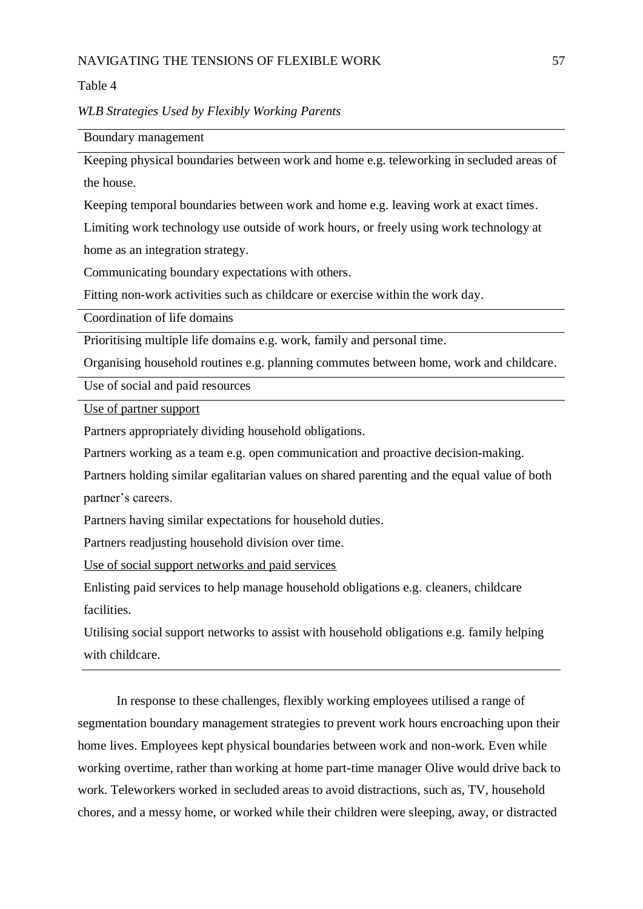Table 4

*WLB Strategies Used by Flexibly Working Parents*

Boundary management

Keeping physical boundaries between work and home e.g. teleworking in secluded areas of the house.

Keeping temporal boundaries between work and home e.g. leaving work at exact times.

Limiting work technology use outside of work hours, or freely using work technology at home as an integration strategy.

Communicating boundary expectations with others.

Fitting non-work activities such as childcare or exercise within the work day.

Coordination of life domains

Prioritising multiple life domains e.g. work, family and personal time.

Organising household routines e.g. planning commutes between home, work and childcare.

Use of social and paid resources

Use of partner support

Partners appropriately dividing household obligations.

Partners working as a team e.g. open communication and proactive decision-making.

Partners holding similar egalitarian values on shared parenting and the equal value of both partner's careers.

Partners having similar expectations for household duties.

Partners readjusting household division over time.

Use of social support networks and paid services

Enlisting paid services to help manage household obligations e.g. cleaners, childcare facilities.

Utilising social support networks to assist with household obligations e.g. family helping with childcare.

In response to these challenges, flexibly working employees utilised a range of segmentation boundary management strategies to prevent work hours encroaching upon their home lives. Employees kept physical boundaries between work and non-work. Even while working overtime, rather than working at home part-time manager Olive would drive back to work. Teleworkers worked in secluded areas to avoid distractions, such as, TV, household chores, and a messy home, or worked while their children were sleeping, away, or distracted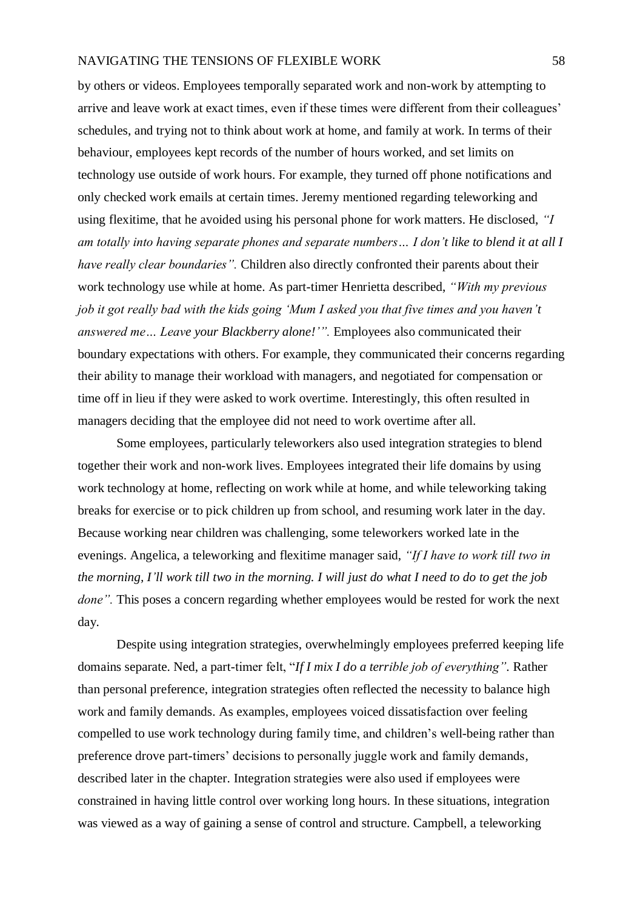by others or videos. Employees temporally separated work and non-work by attempting to arrive and leave work at exact times, even if these times were different from their colleagues' schedules, and trying not to think about work at home, and family at work. In terms of their behaviour, employees kept records of the number of hours worked, and set limits on technology use outside of work hours. For example, they turned off phone notifications and only checked work emails at certain times. Jeremy mentioned regarding teleworking and using flexitime, that he avoided using his personal phone for work matters. He disclosed, *"I am totally into having separate phones and separate numbers… I don't like to blend it at all I have really clear boundaries".* Children also directly confronted their parents about their work technology use while at home. As part-timer Henrietta described, *"With my previous job it got really bad with the kids going 'Mum I asked you that five times and you haven't answered me… Leave your Blackberry alone!'".* Employees also communicated their boundary expectations with others. For example, they communicated their concerns regarding their ability to manage their workload with managers, and negotiated for compensation or time off in lieu if they were asked to work overtime. Interestingly, this often resulted in managers deciding that the employee did not need to work overtime after all.

Some employees, particularly teleworkers also used integration strategies to blend together their work and non-work lives. Employees integrated their life domains by using work technology at home, reflecting on work while at home, and while teleworking taking breaks for exercise or to pick children up from school, and resuming work later in the day. Because working near children was challenging, some teleworkers worked late in the evenings. Angelica, a teleworking and flexitime manager said, *"If I have to work till two in the morning, I'll work till two in the morning. I will just do what I need to do to get the job done"*. This poses a concern regarding whether employees would be rested for work the next day.

Despite using integration strategies, overwhelmingly employees preferred keeping life domains separate. Ned, a part-timer felt, "*If I mix I do a terrible job of everything".* Rather than personal preference, integration strategies often reflected the necessity to balance high work and family demands. As examples, employees voiced dissatisfaction over feeling compelled to use work technology during family time, and children's well-being rather than preference drove part-timers' decisions to personally juggle work and family demands, described later in the chapter. Integration strategies were also used if employees were constrained in having little control over working long hours. In these situations, integration was viewed as a way of gaining a sense of control and structure. Campbell, a teleworking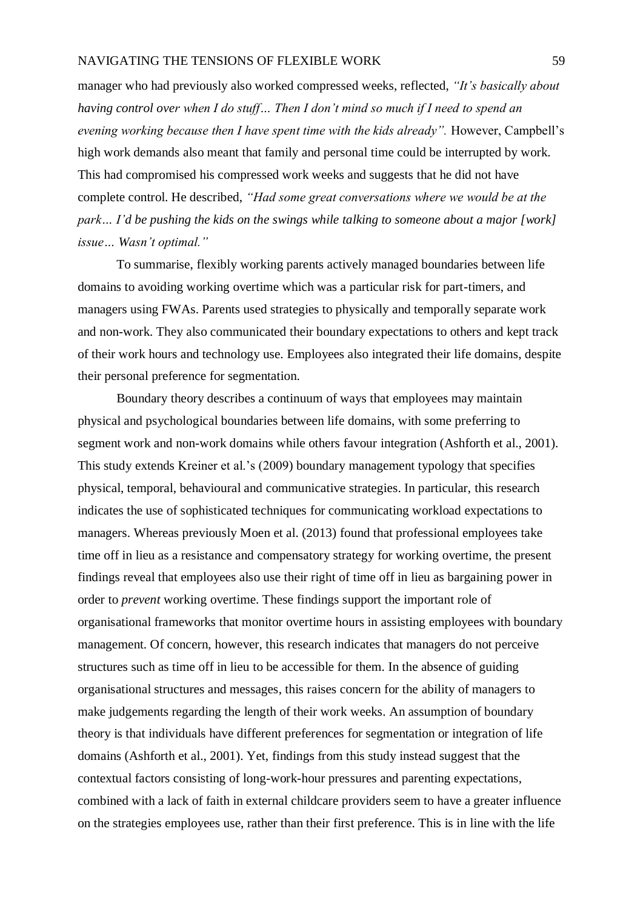manager who had previously also worked compressed weeks, reflected, *"It's basically about having control over when I do stuff… Then I don't mind so much if I need to spend an evening working because then I have spent time with the kids already".* However, Campbell's high work demands also meant that family and personal time could be interrupted by work. This had compromised his compressed work weeks and suggests that he did not have complete control. He described, *"Had some great conversations where we would be at the park… I'd be pushing the kids on the swings while talking to someone about a major [work] issue… Wasn't optimal."*

To summarise, flexibly working parents actively managed boundaries between life domains to avoiding working overtime which was a particular risk for part-timers, and managers using FWAs. Parents used strategies to physically and temporally separate work and non-work. They also communicated their boundary expectations to others and kept track of their work hours and technology use. Employees also integrated their life domains, despite their personal preference for segmentation.

Boundary theory describes a continuum of ways that employees may maintain physical and psychological boundaries between life domains, with some preferring to segment work and non-work domains while others favour integration (Ashforth et al., 2001). This study extends Kreiner et al.'s (2009) boundary management typology that specifies physical, temporal, behavioural and communicative strategies. In particular, this research indicates the use of sophisticated techniques for communicating workload expectations to managers. Whereas previously Moen et al. (2013) found that professional employees take time off in lieu as a resistance and compensatory strategy for working overtime, the present findings reveal that employees also use their right of time off in lieu as bargaining power in order to *prevent* working overtime. These findings support the important role of organisational frameworks that monitor overtime hours in assisting employees with boundary management. Of concern, however, this research indicates that managers do not perceive structures such as time off in lieu to be accessible for them. In the absence of guiding organisational structures and messages, this raises concern for the ability of managers to make judgements regarding the length of their work weeks. An assumption of boundary theory is that individuals have different preferences for segmentation or integration of life domains (Ashforth et al., 2001). Yet, findings from this study instead suggest that the contextual factors consisting of long-work-hour pressures and parenting expectations, combined with a lack of faith in external childcare providers seem to have a greater influence on the strategies employees use, rather than their first preference. This is in line with the life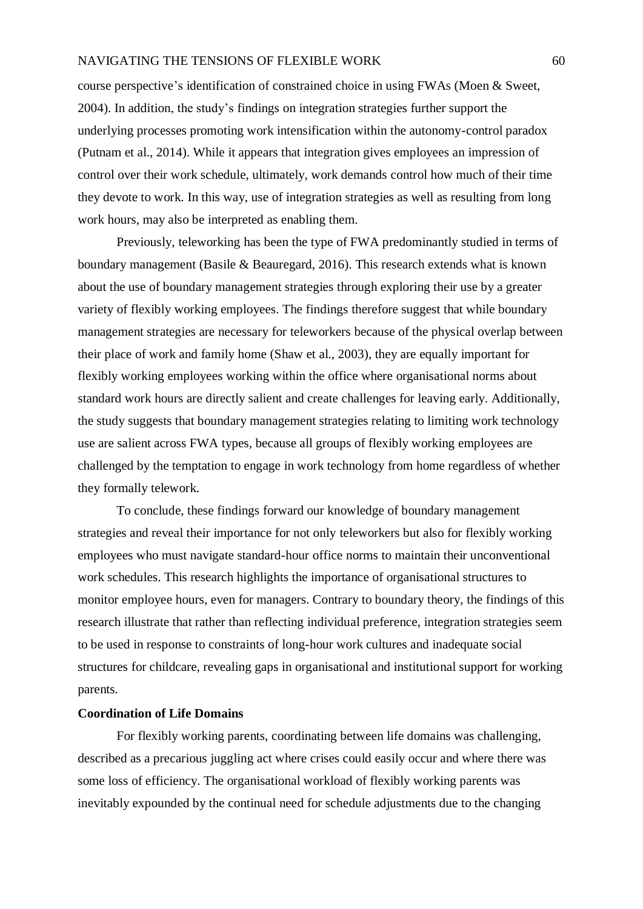course perspective's identification of constrained choice in using FWAs (Moen & Sweet, 2004). In addition, the study's findings on integration strategies further support the underlying processes promoting work intensification within the autonomy-control paradox (Putnam et al., 2014). While it appears that integration gives employees an impression of control over their work schedule, ultimately, work demands control how much of their time they devote to work. In this way, use of integration strategies as well as resulting from long work hours, may also be interpreted as enabling them.

Previously, teleworking has been the type of FWA predominantly studied in terms of boundary management (Basile & Beauregard, 2016). This research extends what is known about the use of boundary management strategies through exploring their use by a greater variety of flexibly working employees. The findings therefore suggest that while boundary management strategies are necessary for teleworkers because of the physical overlap between their place of work and family home (Shaw et al., 2003), they are equally important for flexibly working employees working within the office where organisational norms about standard work hours are directly salient and create challenges for leaving early. Additionally, the study suggests that boundary management strategies relating to limiting work technology use are salient across FWA types, because all groups of flexibly working employees are challenged by the temptation to engage in work technology from home regardless of whether they formally telework.

To conclude, these findings forward our knowledge of boundary management strategies and reveal their importance for not only teleworkers but also for flexibly working employees who must navigate standard-hour office norms to maintain their unconventional work schedules. This research highlights the importance of organisational structures to monitor employee hours, even for managers. Contrary to boundary theory, the findings of this research illustrate that rather than reflecting individual preference, integration strategies seem to be used in response to constraints of long-hour work cultures and inadequate social structures for childcare, revealing gaps in organisational and institutional support for working parents.

#### **Coordination of Life Domains**

For flexibly working parents, coordinating between life domains was challenging, described as a precarious juggling act where crises could easily occur and where there was some loss of efficiency. The organisational workload of flexibly working parents was inevitably expounded by the continual need for schedule adjustments due to the changing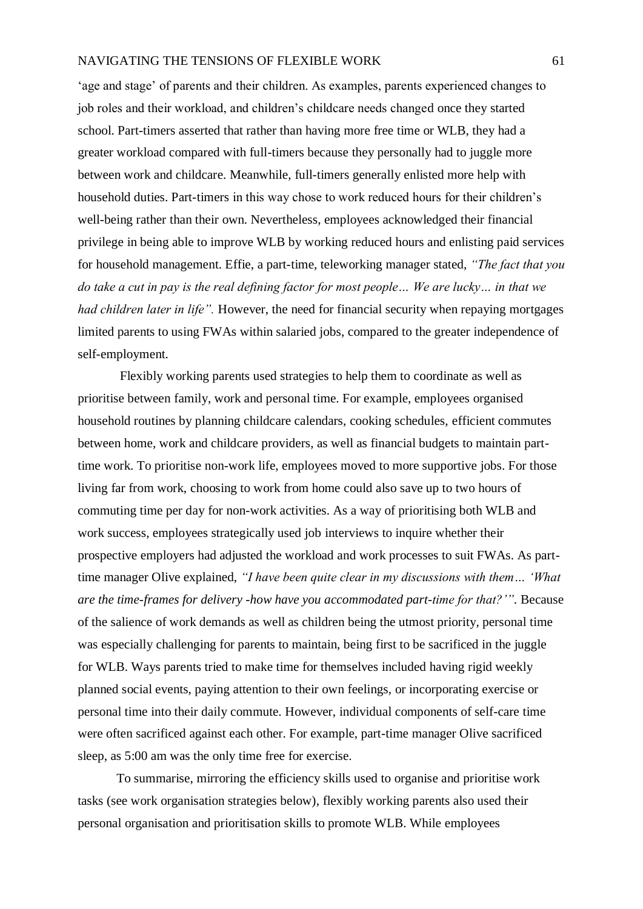'age and stage' of parents and their children. As examples, parents experienced changes to job roles and their workload, and children's childcare needs changed once they started school. Part-timers asserted that rather than having more free time or WLB, they had a greater workload compared with full-timers because they personally had to juggle more between work and childcare. Meanwhile, full-timers generally enlisted more help with household duties. Part-timers in this way chose to work reduced hours for their children's well-being rather than their own. Nevertheless, employees acknowledged their financial privilege in being able to improve WLB by working reduced hours and enlisting paid services for household management. Effie, a part-time, teleworking manager stated, *"The fact that you do take a cut in pay is the real defining factor for most people… We are lucky… in that we had children later in life".* However, the need for financial security when repaying mortgages limited parents to using FWAs within salaried jobs, compared to the greater independence of self-employment.

Flexibly working parents used strategies to help them to coordinate as well as prioritise between family, work and personal time. For example, employees organised household routines by planning childcare calendars, cooking schedules, efficient commutes between home, work and childcare providers, as well as financial budgets to maintain parttime work. To prioritise non-work life, employees moved to more supportive jobs. For those living far from work, choosing to work from home could also save up to two hours of commuting time per day for non-work activities. As a way of prioritising both WLB and work success, employees strategically used job interviews to inquire whether their prospective employers had adjusted the workload and work processes to suit FWAs. As parttime manager Olive explained, *"I have been quite clear in my discussions with them… 'What are the time-frames for delivery -how have you accommodated part-time for that?'".* Because of the salience of work demands as well as children being the utmost priority, personal time was especially challenging for parents to maintain, being first to be sacrificed in the juggle for WLB. Ways parents tried to make time for themselves included having rigid weekly planned social events, paying attention to their own feelings, or incorporating exercise or personal time into their daily commute. However, individual components of self-care time were often sacrificed against each other. For example, part-time manager Olive sacrificed sleep, as 5:00 am was the only time free for exercise.

To summarise, mirroring the efficiency skills used to organise and prioritise work tasks (see work organisation strategies below), flexibly working parents also used their personal organisation and prioritisation skills to promote WLB. While employees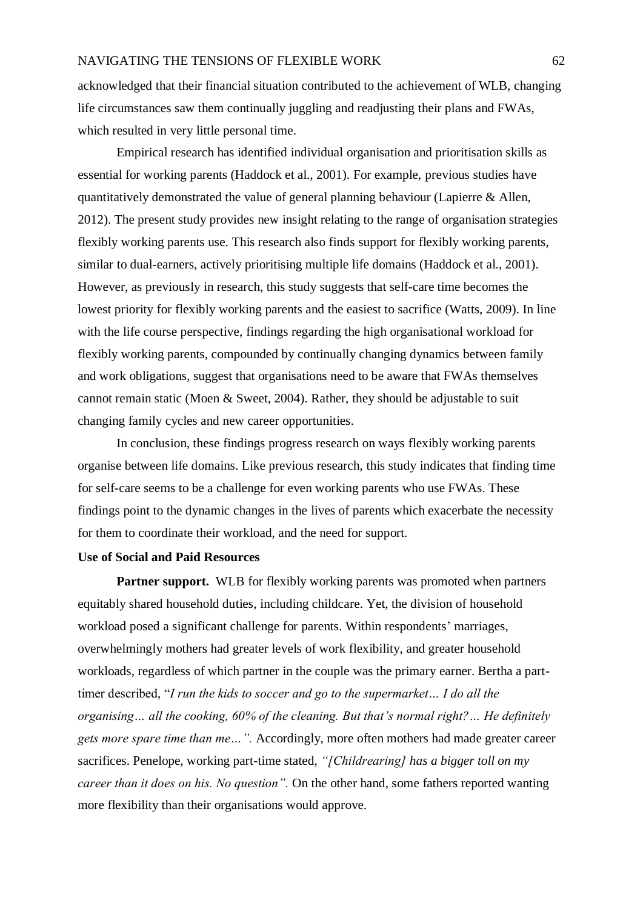acknowledged that their financial situation contributed to the achievement of WLB, changing life circumstances saw them continually juggling and readjusting their plans and FWAs, which resulted in very little personal time.

Empirical research has identified individual organisation and prioritisation skills as essential for working parents (Haddock et al., 2001). For example, previous studies have quantitatively demonstrated the value of general planning behaviour (Lapierre & Allen, 2012). The present study provides new insight relating to the range of organisation strategies flexibly working parents use. This research also finds support for flexibly working parents, similar to dual-earners, actively prioritising multiple life domains (Haddock et al., 2001). However, as previously in research, this study suggests that self-care time becomes the lowest priority for flexibly working parents and the easiest to sacrifice (Watts, 2009). In line with the life course perspective, findings regarding the high organisational workload for flexibly working parents, compounded by continually changing dynamics between family and work obligations, suggest that organisations need to be aware that FWAs themselves cannot remain static (Moen & Sweet, 2004). Rather, they should be adjustable to suit changing family cycles and new career opportunities.

In conclusion, these findings progress research on ways flexibly working parents organise between life domains. Like previous research, this study indicates that finding time for self-care seems to be a challenge for even working parents who use FWAs. These findings point to the dynamic changes in the lives of parents which exacerbate the necessity for them to coordinate their workload, and the need for support.

## **Use of Social and Paid Resources**

**Partner support.** WLB for flexibly working parents was promoted when partners equitably shared household duties, including childcare. Yet, the division of household workload posed a significant challenge for parents. Within respondents' marriages, overwhelmingly mothers had greater levels of work flexibility, and greater household workloads, regardless of which partner in the couple was the primary earner. Bertha a parttimer described, "*I run the kids to soccer and go to the supermarket… I do all the organising… all the cooking, 60% of the cleaning. But that's normal right?… He definitely gets more spare time than me…".* Accordingly, more often mothers had made greater career sacrifices. Penelope, working part-time stated, *"[Childrearing] has a bigger toll on my career than it does on his. No question".* On the other hand, some fathers reported wanting more flexibility than their organisations would approve.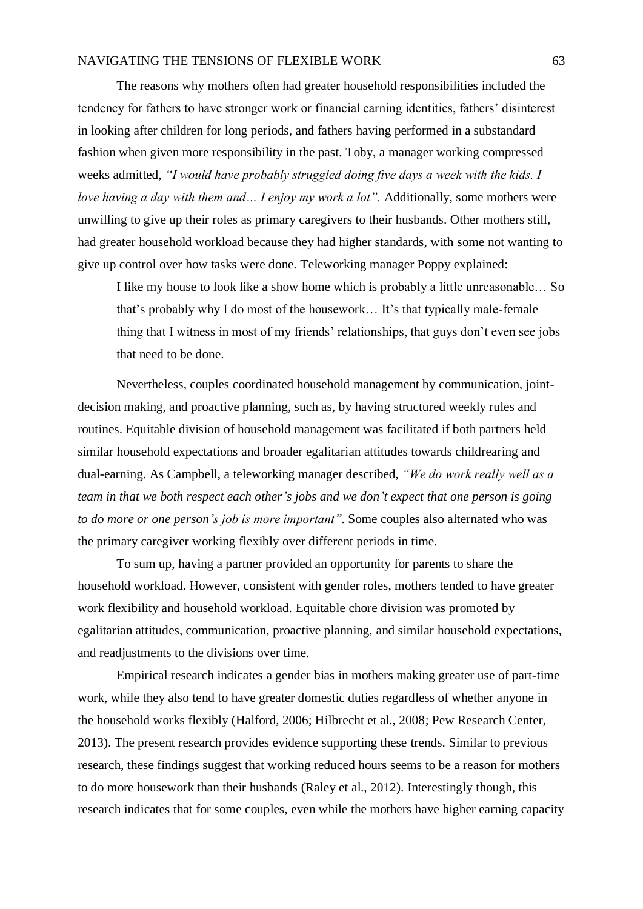The reasons why mothers often had greater household responsibilities included the tendency for fathers to have stronger work or financial earning identities, fathers' disinterest in looking after children for long periods, and fathers having performed in a substandard fashion when given more responsibility in the past. Toby, a manager working compressed weeks admitted, *"I would have probably struggled doing five days a week with the kids. I love having a day with them and ... I enjoy my work a lot".* Additionally, some mothers were unwilling to give up their roles as primary caregivers to their husbands. Other mothers still, had greater household workload because they had higher standards, with some not wanting to give up control over how tasks were done. Teleworking manager Poppy explained:

I like my house to look like a show home which is probably a little unreasonable… So that's probably why I do most of the housework… It's that typically male-female thing that I witness in most of my friends' relationships, that guys don't even see jobs that need to be done.

Nevertheless, couples coordinated household management by communication, jointdecision making, and proactive planning, such as, by having structured weekly rules and routines. Equitable division of household management was facilitated if both partners held similar household expectations and broader egalitarian attitudes towards childrearing and dual-earning. As Campbell, a teleworking manager described, *"We do work really well as a team in that we both respect each other's jobs and we don't expect that one person is going to do more or one person's job is more important".* Some couples also alternated who was the primary caregiver working flexibly over different periods in time.

To sum up, having a partner provided an opportunity for parents to share the household workload. However, consistent with gender roles, mothers tended to have greater work flexibility and household workload. Equitable chore division was promoted by egalitarian attitudes, communication, proactive planning, and similar household expectations, and readjustments to the divisions over time.

Empirical research indicates a gender bias in mothers making greater use of part-time work, while they also tend to have greater domestic duties regardless of whether anyone in the household works flexibly (Halford, 2006; Hilbrecht et al., 2008; Pew Research Center, 2013). The present research provides evidence supporting these trends. Similar to previous research, these findings suggest that working reduced hours seems to be a reason for mothers to do more housework than their husbands (Raley et al., 2012). Interestingly though, this research indicates that for some couples, even while the mothers have higher earning capacity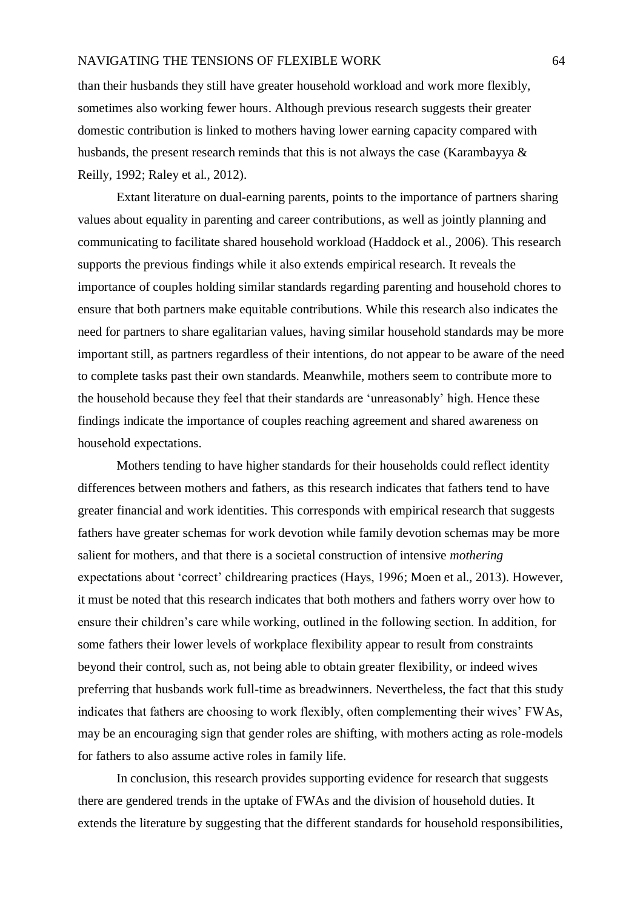than their husbands they still have greater household workload and work more flexibly, sometimes also working fewer hours. Although previous research suggests their greater domestic contribution is linked to mothers having lower earning capacity compared with husbands, the present research reminds that this is not always the case (Karambayya & Reilly, 1992; Raley et al., 2012).

Extant literature on dual-earning parents, points to the importance of partners sharing values about equality in parenting and career contributions, as well as jointly planning and communicating to facilitate shared household workload (Haddock et al., 2006). This research supports the previous findings while it also extends empirical research. It reveals the importance of couples holding similar standards regarding parenting and household chores to ensure that both partners make equitable contributions. While this research also indicates the need for partners to share egalitarian values, having similar household standards may be more important still, as partners regardless of their intentions, do not appear to be aware of the need to complete tasks past their own standards. Meanwhile, mothers seem to contribute more to the household because they feel that their standards are 'unreasonably' high. Hence these findings indicate the importance of couples reaching agreement and shared awareness on household expectations.

Mothers tending to have higher standards for their households could reflect identity differences between mothers and fathers, as this research indicates that fathers tend to have greater financial and work identities. This corresponds with empirical research that suggests fathers have greater schemas for work devotion while family devotion schemas may be more salient for mothers, and that there is a societal construction of intensive *mothering*  expectations about 'correct' childrearing practices (Hays, 1996; Moen et al., 2013). However, it must be noted that this research indicates that both mothers and fathers worry over how to ensure their children's care while working, outlined in the following section. In addition, for some fathers their lower levels of workplace flexibility appear to result from constraints beyond their control, such as, not being able to obtain greater flexibility, or indeed wives preferring that husbands work full-time as breadwinners. Nevertheless, the fact that this study indicates that fathers are choosing to work flexibly, often complementing their wives' FWAs, may be an encouraging sign that gender roles are shifting, with mothers acting as role-models for fathers to also assume active roles in family life.

In conclusion, this research provides supporting evidence for research that suggests there are gendered trends in the uptake of FWAs and the division of household duties. It extends the literature by suggesting that the different standards for household responsibilities,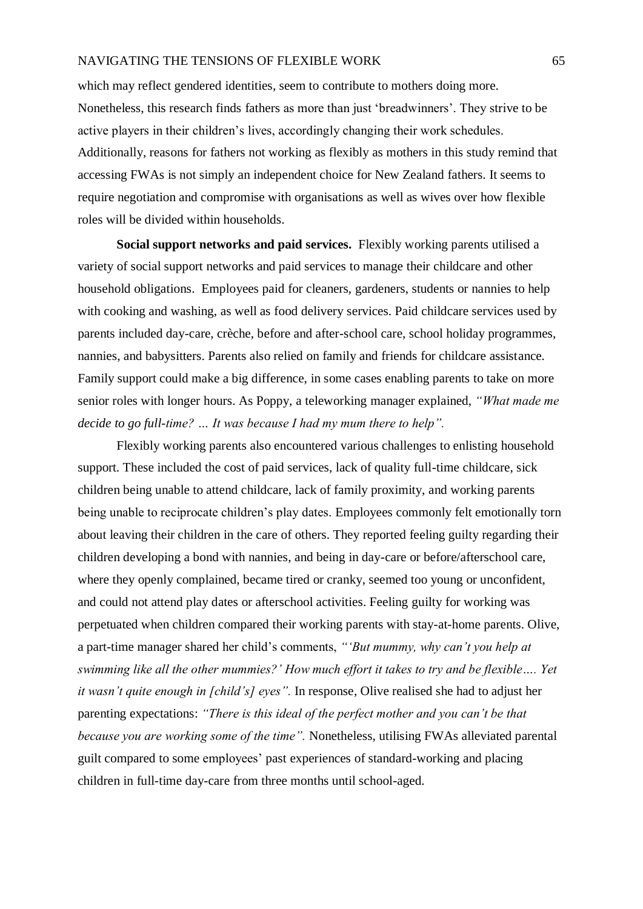which may reflect gendered identities, seem to contribute to mothers doing more. Nonetheless, this research finds fathers as more than just 'breadwinners'. They strive to be active players in their children's lives, accordingly changing their work schedules. Additionally, reasons for fathers not working as flexibly as mothers in this study remind that accessing FWAs is not simply an independent choice for New Zealand fathers. It seems to require negotiation and compromise with organisations as well as wives over how flexible roles will be divided within households.

**Social support networks and paid services.** Flexibly working parents utilised a variety of social support networks and paid services to manage their childcare and other household obligations. Employees paid for cleaners, gardeners, students or nannies to help with cooking and washing, as well as food delivery services. Paid childcare services used by parents included day-care, crèche, before and after-school care, school holiday programmes, nannies, and babysitters. Parents also relied on family and friends for childcare assistance. Family support could make a big difference, in some cases enabling parents to take on more senior roles with longer hours. As Poppy, a teleworking manager explained, *"What made me decide to go full-time? … It was because I had my mum there to help".*

Flexibly working parents also encountered various challenges to enlisting household support. These included the cost of paid services, lack of quality full-time childcare, sick children being unable to attend childcare, lack of family proximity, and working parents being unable to reciprocate children's play dates. Employees commonly felt emotionally torn about leaving their children in the care of others. They reported feeling guilty regarding their children developing a bond with nannies, and being in day-care or before/afterschool care, where they openly complained, became tired or cranky, seemed too young or unconfident, and could not attend play dates or afterschool activities. Feeling guilty for working was perpetuated when children compared their working parents with stay-at-home parents. Olive, a part-time manager shared her child's comments, *"'But mummy, why can't you help at swimming like all the other mummies?' How much effort it takes to try and be flexible…. Yet it wasn't quite enough in [child's] eyes".* In response, Olive realised she had to adjust her parenting expectations: *"There is this ideal of the perfect mother and you can't be that because you are working some of the time".* Nonetheless, utilising FWAs alleviated parental guilt compared to some employees' past experiences of standard-working and placing children in full-time day-care from three months until school-aged.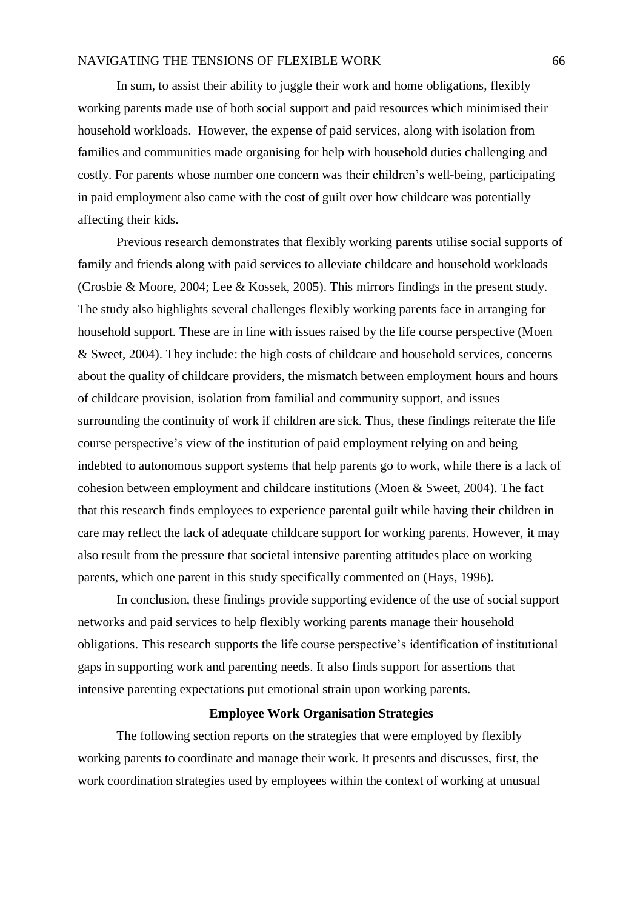In sum, to assist their ability to juggle their work and home obligations, flexibly working parents made use of both social support and paid resources which minimised their household workloads. However, the expense of paid services, along with isolation from families and communities made organising for help with household duties challenging and costly. For parents whose number one concern was their children's well-being, participating in paid employment also came with the cost of guilt over how childcare was potentially affecting their kids.

Previous research demonstrates that flexibly working parents utilise social supports of family and friends along with paid services to alleviate childcare and household workloads (Crosbie & Moore, 2004; Lee & Kossek, 2005). This mirrors findings in the present study. The study also highlights several challenges flexibly working parents face in arranging for household support. These are in line with issues raised by the life course perspective (Moen & Sweet, 2004). They include: the high costs of childcare and household services, concerns about the quality of childcare providers, the mismatch between employment hours and hours of childcare provision, isolation from familial and community support, and issues surrounding the continuity of work if children are sick. Thus, these findings reiterate the life course perspective's view of the institution of paid employment relying on and being indebted to autonomous support systems that help parents go to work, while there is a lack of cohesion between employment and childcare institutions (Moen & Sweet, 2004). The fact that this research finds employees to experience parental guilt while having their children in care may reflect the lack of adequate childcare support for working parents. However, it may also result from the pressure that societal intensive parenting attitudes place on working parents, which one parent in this study specifically commented on (Hays, 1996).

In conclusion, these findings provide supporting evidence of the use of social support networks and paid services to help flexibly working parents manage their household obligations. This research supports the life course perspective's identification of institutional gaps in supporting work and parenting needs. It also finds support for assertions that intensive parenting expectations put emotional strain upon working parents.

### **Employee Work Organisation Strategies**

The following section reports on the strategies that were employed by flexibly working parents to coordinate and manage their work. It presents and discusses, first, the work coordination strategies used by employees within the context of working at unusual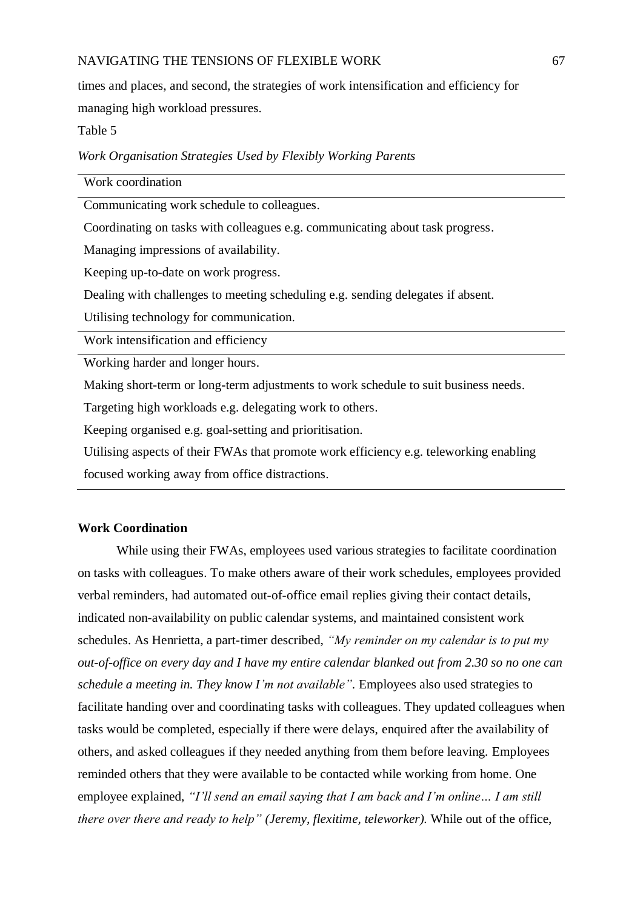times and places, and second, the strategies of work intensification and efficiency for managing high workload pressures.

Table 5

*Work Organisation Strategies Used by Flexibly Working Parents*

| Work coordination                                                                      |
|----------------------------------------------------------------------------------------|
| Communicating work schedule to colleagues.                                             |
| Coordinating on tasks with colleagues e.g. communicating about task progress.          |
| Managing impressions of availability.                                                  |
| Keeping up-to-date on work progress.                                                   |
| Dealing with challenges to meeting scheduling e.g. sending delegates if absent.        |
| Utilising technology for communication.                                                |
| Work intensification and efficiency                                                    |
| Working harder and longer hours.                                                       |
| Making short-term or long-term adjustments to work schedule to suit business needs.    |
| Targeting high workloads e.g. delegating work to others.                               |
| Keeping organised e.g. goal-setting and prioritisation.                                |
| Utilising aspects of their FWAs that promote work efficiency e.g. teleworking enabling |
| focused working away from office distractions.                                         |

## **Work Coordination**

While using their FWAs, employees used various strategies to facilitate coordination on tasks with colleagues. To make others aware of their work schedules, employees provided verbal reminders, had automated out-of-office email replies giving their contact details, indicated non-availability on public calendar systems, and maintained consistent work schedules. As Henrietta, a part-timer described, *"My reminder on my calendar is to put my out-of-office on every day and I have my entire calendar blanked out from 2.30 so no one can schedule a meeting in. They know I'm not available".* Employees also used strategies to facilitate handing over and coordinating tasks with colleagues. They updated colleagues when tasks would be completed, especially if there were delays, enquired after the availability of others, and asked colleagues if they needed anything from them before leaving. Employees reminded others that they were available to be contacted while working from home. One employee explained, *"I'll send an email saying that I am back and I'm online… I am still there over there and ready to help" (Jeremy, flexitime, teleworker).* While out of the office,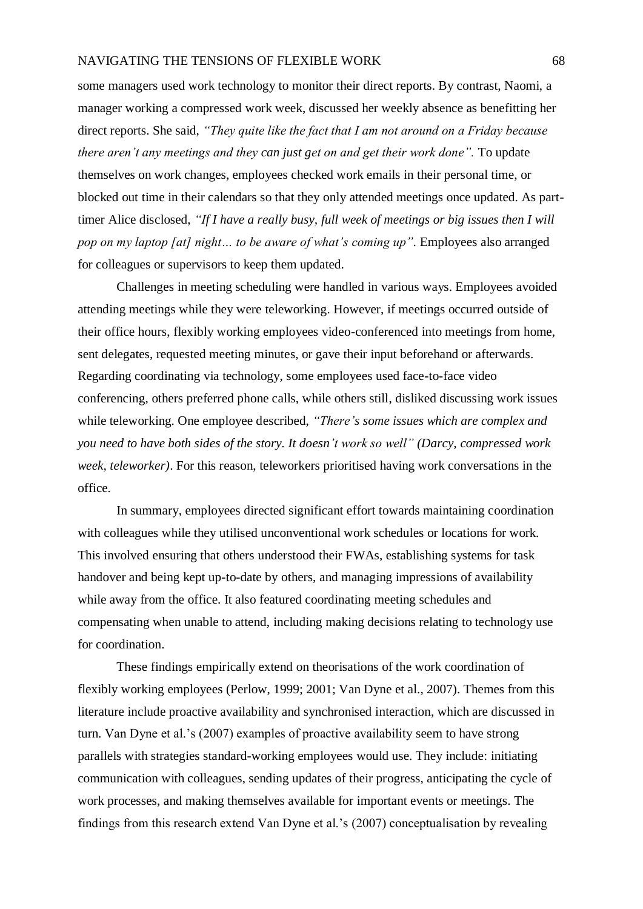some managers used work technology to monitor their direct reports. By contrast, Naomi, a manager working a compressed work week, discussed her weekly absence as benefitting her direct reports. She said, *"They quite like the fact that I am not around on a Friday because there aren't any meetings and they can just get on and get their work done".* To update themselves on work changes, employees checked work emails in their personal time, or blocked out time in their calendars so that they only attended meetings once updated. As parttimer Alice disclosed, *"If I have a really busy, full week of meetings or big issues then I will pop on my laptop [at] night… to be aware of what's coming up".* Employees also arranged for colleagues or supervisors to keep them updated.

Challenges in meeting scheduling were handled in various ways. Employees avoided attending meetings while they were teleworking. However, if meetings occurred outside of their office hours, flexibly working employees video-conferenced into meetings from home, sent delegates, requested meeting minutes, or gave their input beforehand or afterwards. Regarding coordinating via technology, some employees used face-to-face video conferencing, others preferred phone calls, while others still, disliked discussing work issues while teleworking. One employee described, *"There's some issues which are complex and you need to have both sides of the story. It doesn't work so well" (Darcy, compressed work week, teleworker)*. For this reason, teleworkers prioritised having work conversations in the office.

In summary, employees directed significant effort towards maintaining coordination with colleagues while they utilised unconventional work schedules or locations for work. This involved ensuring that others understood their FWAs, establishing systems for task handover and being kept up-to-date by others, and managing impressions of availability while away from the office. It also featured coordinating meeting schedules and compensating when unable to attend, including making decisions relating to technology use for coordination.

These findings empirically extend on theorisations of the work coordination of flexibly working employees (Perlow, 1999; 2001; Van Dyne et al., 2007). Themes from this literature include proactive availability and synchronised interaction, which are discussed in turn. Van Dyne et al.'s (2007) examples of proactive availability seem to have strong parallels with strategies standard-working employees would use. They include: initiating communication with colleagues, sending updates of their progress, anticipating the cycle of work processes, and making themselves available for important events or meetings. The findings from this research extend Van Dyne et al.'s (2007) conceptualisation by revealing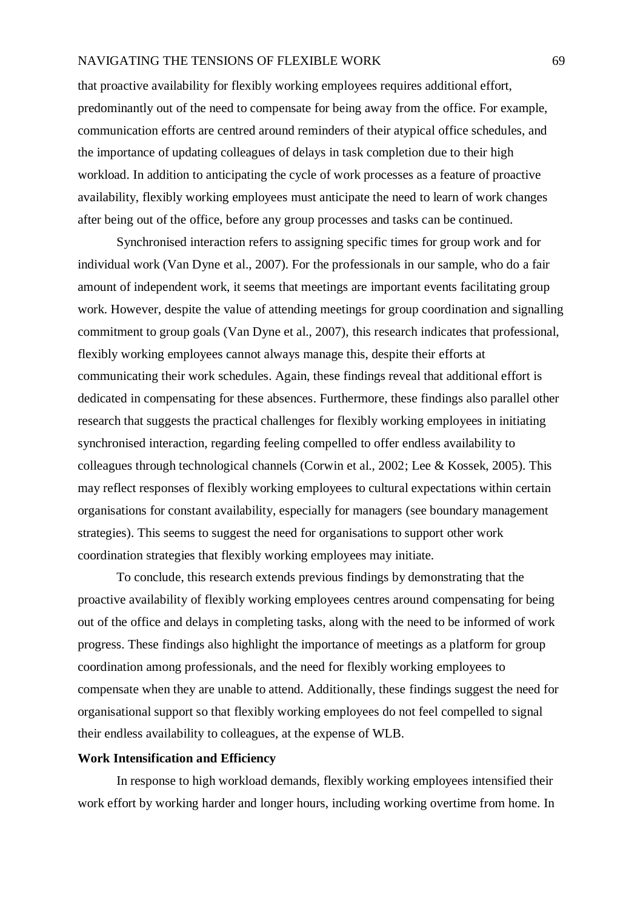that proactive availability for flexibly working employees requires additional effort, predominantly out of the need to compensate for being away from the office. For example, communication efforts are centred around reminders of their atypical office schedules, and the importance of updating colleagues of delays in task completion due to their high workload. In addition to anticipating the cycle of work processes as a feature of proactive availability, flexibly working employees must anticipate the need to learn of work changes after being out of the office, before any group processes and tasks can be continued.

Synchronised interaction refers to assigning specific times for group work and for individual work (Van Dyne et al., 2007). For the professionals in our sample, who do a fair amount of independent work, it seems that meetings are important events facilitating group work. However, despite the value of attending meetings for group coordination and signalling commitment to group goals (Van Dyne et al., 2007), this research indicates that professional, flexibly working employees cannot always manage this, despite their efforts at communicating their work schedules. Again, these findings reveal that additional effort is dedicated in compensating for these absences. Furthermore, these findings also parallel other research that suggests the practical challenges for flexibly working employees in initiating synchronised interaction, regarding feeling compelled to offer endless availability to colleagues through technological channels (Corwin et al., 2002; Lee & Kossek, 2005). This may reflect responses of flexibly working employees to cultural expectations within certain organisations for constant availability, especially for managers (see boundary management strategies). This seems to suggest the need for organisations to support other work coordination strategies that flexibly working employees may initiate.

To conclude, this research extends previous findings by demonstrating that the proactive availability of flexibly working employees centres around compensating for being out of the office and delays in completing tasks, along with the need to be informed of work progress. These findings also highlight the importance of meetings as a platform for group coordination among professionals, and the need for flexibly working employees to compensate when they are unable to attend. Additionally, these findings suggest the need for organisational support so that flexibly working employees do not feel compelled to signal their endless availability to colleagues, at the expense of WLB.

## **Work Intensification and Efficiency**

In response to high workload demands, flexibly working employees intensified their work effort by working harder and longer hours, including working overtime from home. In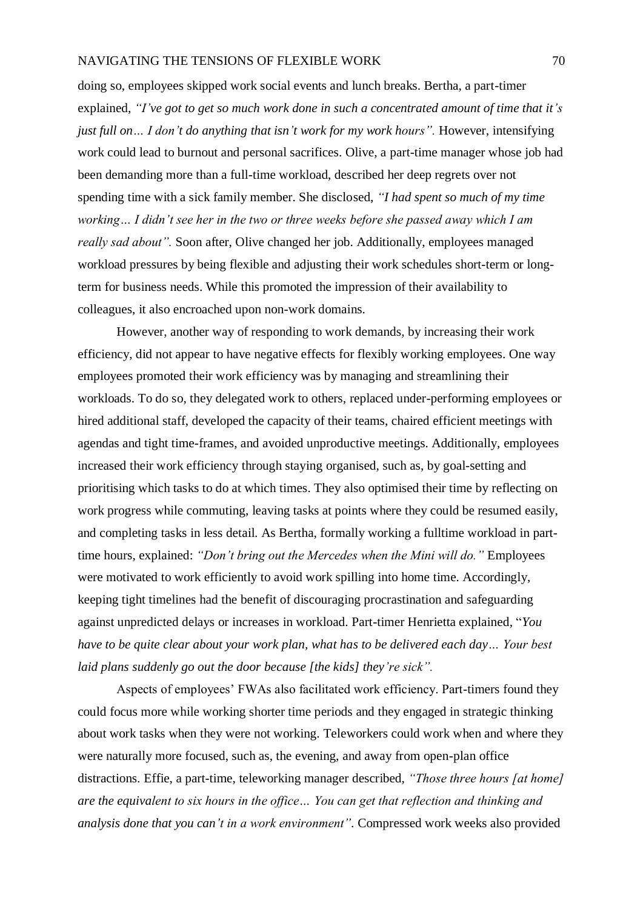doing so, employees skipped work social events and lunch breaks. Bertha, a part-timer explained, *"I've got to get so much work done in such a concentrated amount of time that it's just full on... I don't do anything that isn't work for my work hours"*. However, intensifying work could lead to burnout and personal sacrifices. Olive, a part-time manager whose job had been demanding more than a full-time workload, described her deep regrets over not spending time with a sick family member. She disclosed, *"I had spent so much of my time working… I didn't see her in the two or three weeks before she passed away which I am really sad about".* Soon after, Olive changed her job. Additionally, employees managed workload pressures by being flexible and adjusting their work schedules short-term or longterm for business needs. While this promoted the impression of their availability to colleagues, it also encroached upon non-work domains.

However, another way of responding to work demands, by increasing their work efficiency, did not appear to have negative effects for flexibly working employees. One way employees promoted their work efficiency was by managing and streamlining their workloads. To do so, they delegated work to others, replaced under-performing employees or hired additional staff, developed the capacity of their teams, chaired efficient meetings with agendas and tight time-frames, and avoided unproductive meetings. Additionally, employees increased their work efficiency through staying organised, such as, by goal-setting and prioritising which tasks to do at which times. They also optimised their time by reflecting on work progress while commuting, leaving tasks at points where they could be resumed easily, and completing tasks in less detail. As Bertha, formally working a fulltime workload in parttime hours, explained: *"Don't bring out the Mercedes when the Mini will do."* Employees were motivated to work efficiently to avoid work spilling into home time. Accordingly, keeping tight timelines had the benefit of discouraging procrastination and safeguarding against unpredicted delays or increases in workload. Part-timer Henrietta explained, "*You have to be quite clear about your work plan, what has to be delivered each day… Your best laid plans suddenly go out the door because [the kids] they're sick".*

Aspects of employees' FWAs also facilitated work efficiency. Part-timers found they could focus more while working shorter time periods and they engaged in strategic thinking about work tasks when they were not working. Teleworkers could work when and where they were naturally more focused, such as, the evening, and away from open-plan office distractions. Effie, a part-time, teleworking manager described, *"Those three hours [at home] are the equivalent to six hours in the office… You can get that reflection and thinking and analysis done that you can't in a work environment".* Compressed work weeks also provided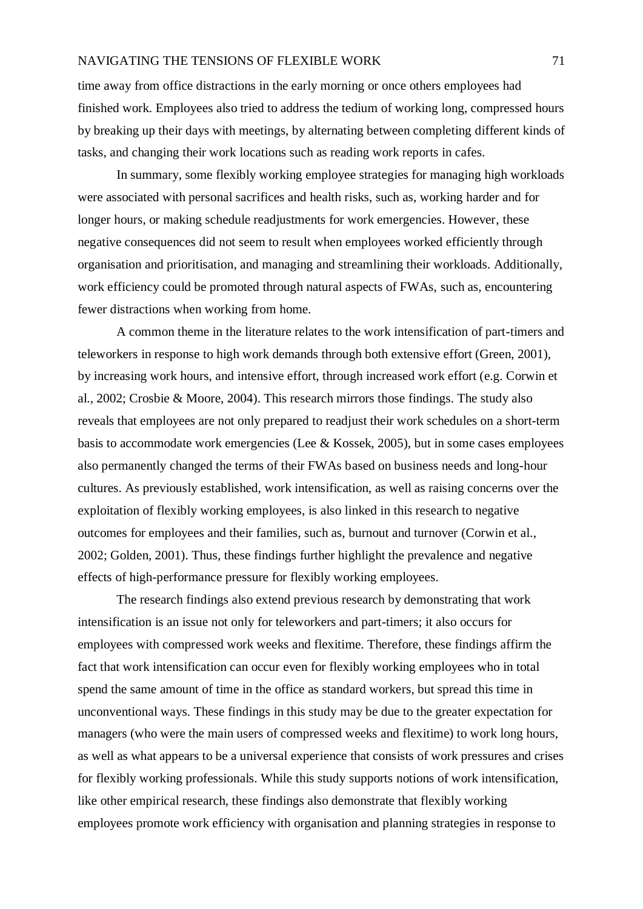time away from office distractions in the early morning or once others employees had finished work. Employees also tried to address the tedium of working long, compressed hours by breaking up their days with meetings, by alternating between completing different kinds of tasks, and changing their work locations such as reading work reports in cafes.

In summary, some flexibly working employee strategies for managing high workloads were associated with personal sacrifices and health risks, such as, working harder and for longer hours, or making schedule readjustments for work emergencies. However, these negative consequences did not seem to result when employees worked efficiently through organisation and prioritisation, and managing and streamlining their workloads. Additionally, work efficiency could be promoted through natural aspects of FWAs, such as, encountering fewer distractions when working from home.

A common theme in the literature relates to the work intensification of part-timers and teleworkers in response to high work demands through both extensive effort (Green, 2001), by increasing work hours, and intensive effort, through increased work effort (e.g. Corwin et al., 2002; Crosbie & Moore, 2004). This research mirrors those findings. The study also reveals that employees are not only prepared to readjust their work schedules on a short-term basis to accommodate work emergencies (Lee & Kossek, 2005), but in some cases employees also permanently changed the terms of their FWAs based on business needs and long-hour cultures. As previously established, work intensification, as well as raising concerns over the exploitation of flexibly working employees, is also linked in this research to negative outcomes for employees and their families, such as, burnout and turnover (Corwin et al., 2002; Golden, 2001). Thus, these findings further highlight the prevalence and negative effects of high-performance pressure for flexibly working employees.

The research findings also extend previous research by demonstrating that work intensification is an issue not only for teleworkers and part-timers; it also occurs for employees with compressed work weeks and flexitime. Therefore, these findings affirm the fact that work intensification can occur even for flexibly working employees who in total spend the same amount of time in the office as standard workers, but spread this time in unconventional ways. These findings in this study may be due to the greater expectation for managers (who were the main users of compressed weeks and flexitime) to work long hours, as well as what appears to be a universal experience that consists of work pressures and crises for flexibly working professionals. While this study supports notions of work intensification, like other empirical research, these findings also demonstrate that flexibly working employees promote work efficiency with organisation and planning strategies in response to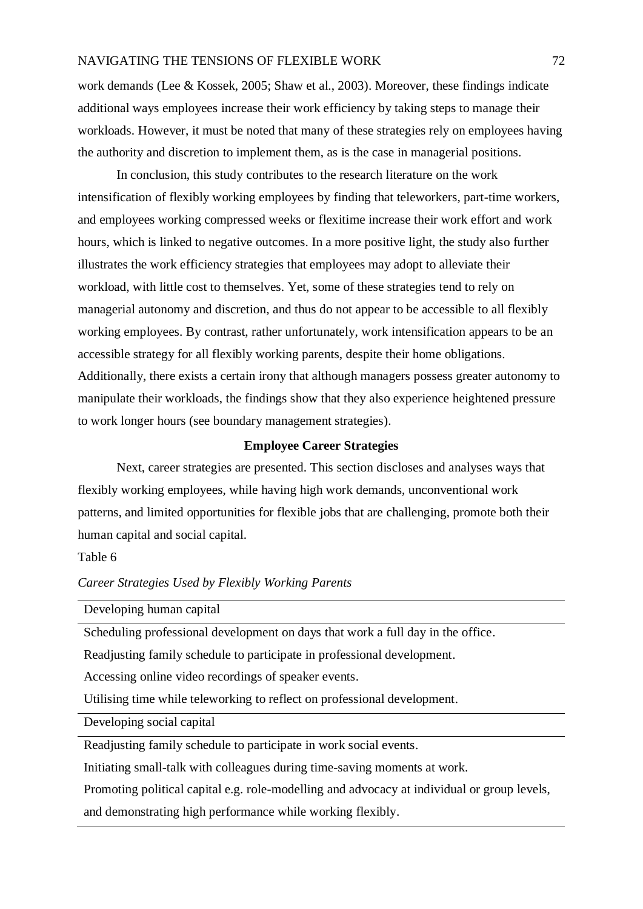work demands (Lee & Kossek, 2005; Shaw et al., 2003). Moreover, these findings indicate additional ways employees increase their work efficiency by taking steps to manage their workloads. However, it must be noted that many of these strategies rely on employees having the authority and discretion to implement them, as is the case in managerial positions.

In conclusion, this study contributes to the research literature on the work intensification of flexibly working employees by finding that teleworkers, part-time workers, and employees working compressed weeks or flexitime increase their work effort and work hours, which is linked to negative outcomes. In a more positive light, the study also further illustrates the work efficiency strategies that employees may adopt to alleviate their workload, with little cost to themselves. Yet, some of these strategies tend to rely on managerial autonomy and discretion, and thus do not appear to be accessible to all flexibly working employees. By contrast, rather unfortunately, work intensification appears to be an accessible strategy for all flexibly working parents, despite their home obligations. Additionally, there exists a certain irony that although managers possess greater autonomy to manipulate their workloads, the findings show that they also experience heightened pressure to work longer hours (see boundary management strategies).

## **Employee Career Strategies**

Next, career strategies are presented. This section discloses and analyses ways that flexibly working employees, while having high work demands, unconventional work patterns, and limited opportunities for flexible jobs that are challenging, promote both their human capital and social capital.

Table 6

*Career Strategies Used by Flexibly Working Parents*

Developing human capital

Scheduling professional development on days that work a full day in the office.

Readjusting family schedule to participate in professional development.

Accessing online video recordings of speaker events.

Utilising time while teleworking to reflect on professional development.

Developing social capital

Readjusting family schedule to participate in work social events.

Initiating small-talk with colleagues during time-saving moments at work.

Promoting political capital e.g. role-modelling and advocacy at individual or group levels,

and demonstrating high performance while working flexibly.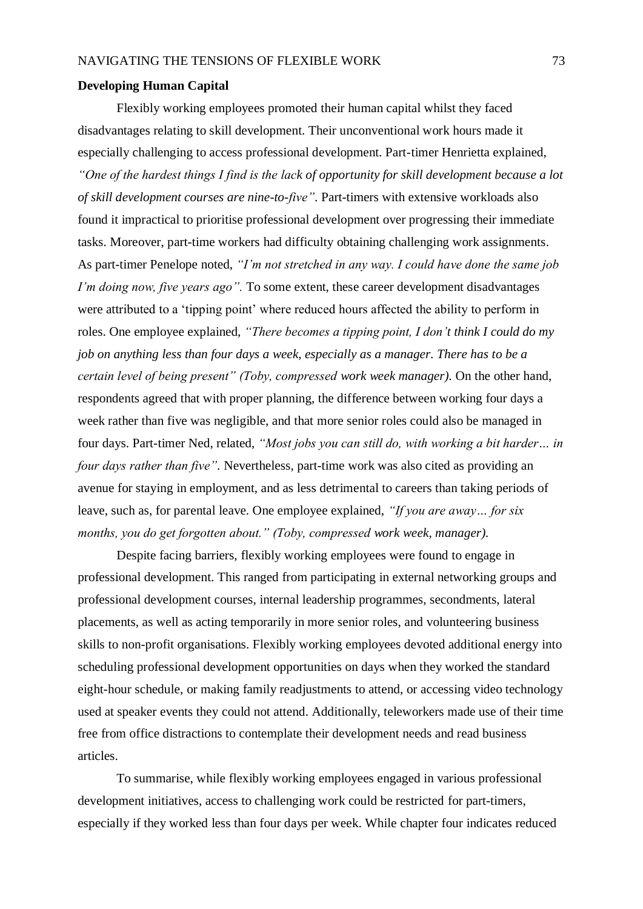#### **Developing Human Capital**

Flexibly working employees promoted their human capital whilst they faced disadvantages relating to skill development. Their unconventional work hours made it especially challenging to access professional development. Part-timer Henrietta explained, *"One of the hardest things I find is the lack of opportunity for skill development because a lot of skill development courses are nine-to-five".* Part-timers with extensive workloads also found it impractical to prioritise professional development over progressing their immediate tasks. Moreover, part-time workers had difficulty obtaining challenging work assignments. As part-timer Penelope noted, *"I'm not stretched in any way. I could have done the same job I'm doing now, five years ago".* To some extent, these career development disadvantages were attributed to a 'tipping point' where reduced hours affected the ability to perform in roles. One employee explained, *"There becomes a tipping point, I don't think I could do my job on anything less than four days a week, especially as a manager. There has to be a certain level of being present" (Toby, compressed work week manager).* On the other hand, respondents agreed that with proper planning, the difference between working four days a week rather than five was negligible, and that more senior roles could also be managed in four days. Part-timer Ned, related, *"Most jobs you can still do, with working a bit harder… in four days rather than five".* Nevertheless, part-time work was also cited as providing an avenue for staying in employment, and as less detrimental to careers than taking periods of leave, such as, for parental leave. One employee explained, *"If you are away… for six months, you do get forgotten about." (Toby, compressed work week, manager).*

Despite facing barriers, flexibly working employees were found to engage in professional development. This ranged from participating in external networking groups and professional development courses, internal leadership programmes, secondments, lateral placements, as well as acting temporarily in more senior roles, and volunteering business skills to non-profit organisations. Flexibly working employees devoted additional energy into scheduling professional development opportunities on days when they worked the standard eight-hour schedule, or making family readjustments to attend, or accessing video technology used at speaker events they could not attend. Additionally, teleworkers made use of their time free from office distractions to contemplate their development needs and read business articles.

To summarise, while flexibly working employees engaged in various professional development initiatives, access to challenging work could be restricted for part-timers, especially if they worked less than four days per week. While chapter four indicates reduced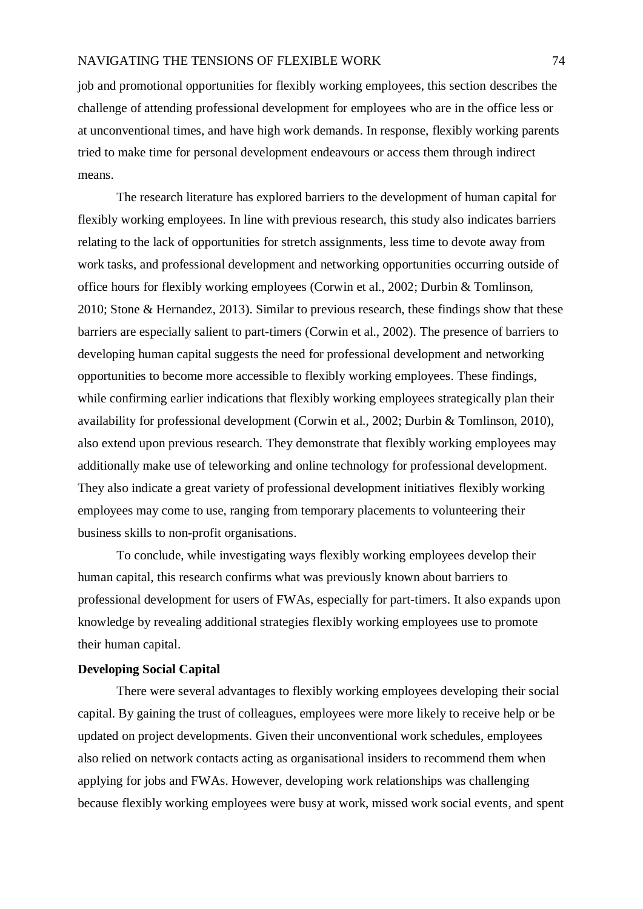job and promotional opportunities for flexibly working employees, this section describes the challenge of attending professional development for employees who are in the office less or at unconventional times, and have high work demands. In response, flexibly working parents tried to make time for personal development endeavours or access them through indirect means.

The research literature has explored barriers to the development of human capital for flexibly working employees. In line with previous research, this study also indicates barriers relating to the lack of opportunities for stretch assignments, less time to devote away from work tasks, and professional development and networking opportunities occurring outside of office hours for flexibly working employees (Corwin et al., 2002; Durbin & Tomlinson, 2010; Stone & Hernandez, 2013). Similar to previous research, these findings show that these barriers are especially salient to part-timers (Corwin et al., 2002). The presence of barriers to developing human capital suggests the need for professional development and networking opportunities to become more accessible to flexibly working employees. These findings, while confirming earlier indications that flexibly working employees strategically plan their availability for professional development (Corwin et al., 2002; Durbin & Tomlinson, 2010), also extend upon previous research. They demonstrate that flexibly working employees may additionally make use of teleworking and online technology for professional development. They also indicate a great variety of professional development initiatives flexibly working employees may come to use, ranging from temporary placements to volunteering their business skills to non-profit organisations.

To conclude, while investigating ways flexibly working employees develop their human capital, this research confirms what was previously known about barriers to professional development for users of FWAs, especially for part-timers. It also expands upon knowledge by revealing additional strategies flexibly working employees use to promote their human capital.

### **Developing Social Capital**

There were several advantages to flexibly working employees developing their social capital. By gaining the trust of colleagues, employees were more likely to receive help or be updated on project developments. Given their unconventional work schedules, employees also relied on network contacts acting as organisational insiders to recommend them when applying for jobs and FWAs. However, developing work relationships was challenging because flexibly working employees were busy at work, missed work social events, and spent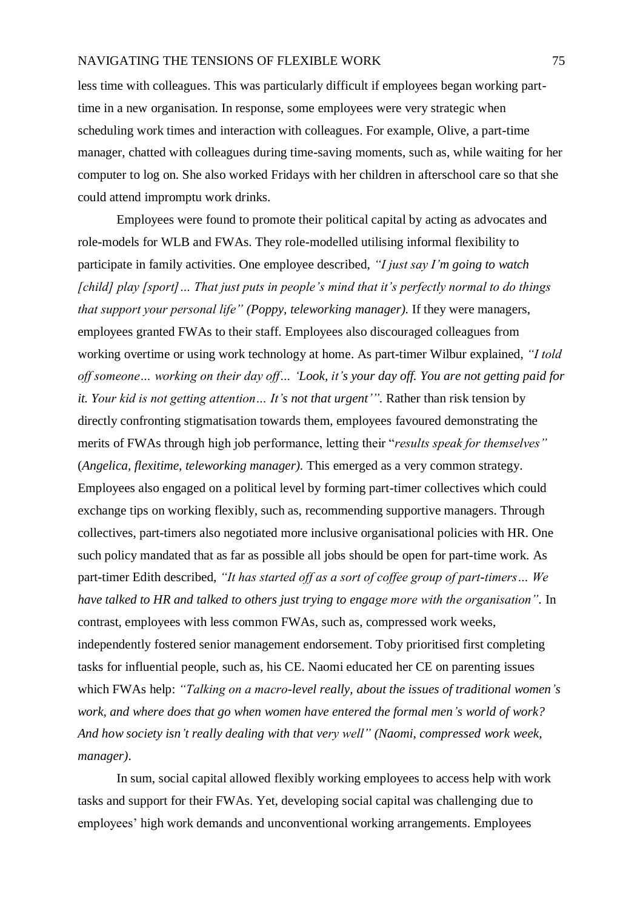less time with colleagues. This was particularly difficult if employees began working parttime in a new organisation. In response, some employees were very strategic when scheduling work times and interaction with colleagues. For example, Olive, a part-time manager, chatted with colleagues during time-saving moments, such as, while waiting for her computer to log on. She also worked Fridays with her children in afterschool care so that she could attend impromptu work drinks.

Employees were found to promote their political capital by acting as advocates and role-models for WLB and FWAs. They role-modelled utilising informal flexibility to participate in family activities. One employee described, *"I just say I'm going to watch [child] play [sport]… That just puts in people's mind that it's perfectly normal to do things that support your personal life" (Poppy, teleworking manager).* If they were managers, employees granted FWAs to their staff. Employees also discouraged colleagues from working overtime or using work technology at home. As part-timer Wilbur explained, *"I told off someone… working on their day off… 'Look, it's your day off. You are not getting paid for it. Your kid is not getting attention… It's not that urgent'".* Rather than risk tension by directly confronting stigmatisation towards them, employees favoured demonstrating the merits of FWAs through high job performance, letting their "*results speak for themselves"* (*Angelica, flexitime, teleworking manager).* This emerged as a very common strategy. Employees also engaged on a political level by forming part-timer collectives which could exchange tips on working flexibly, such as, recommending supportive managers. Through collectives, part-timers also negotiated more inclusive organisational policies with HR. One such policy mandated that as far as possible all jobs should be open for part-time work. As part-timer Edith described, *"It has started off as a sort of coffee group of part-timers… We have talked to HR and talked to others just trying to engage more with the organisation".* In contrast, employees with less common FWAs, such as, compressed work weeks, independently fostered senior management endorsement. Toby prioritised first completing tasks for influential people, such as, his CE. Naomi educated her CE on parenting issues which FWAs help: *"Talking on a macro-level really, about the issues of traditional women's work, and where does that go when women have entered the formal men's world of work? And how society isn't really dealing with that very well" (Naomi, compressed work week, manager)*.

In sum, social capital allowed flexibly working employees to access help with work tasks and support for their FWAs. Yet, developing social capital was challenging due to employees' high work demands and unconventional working arrangements. Employees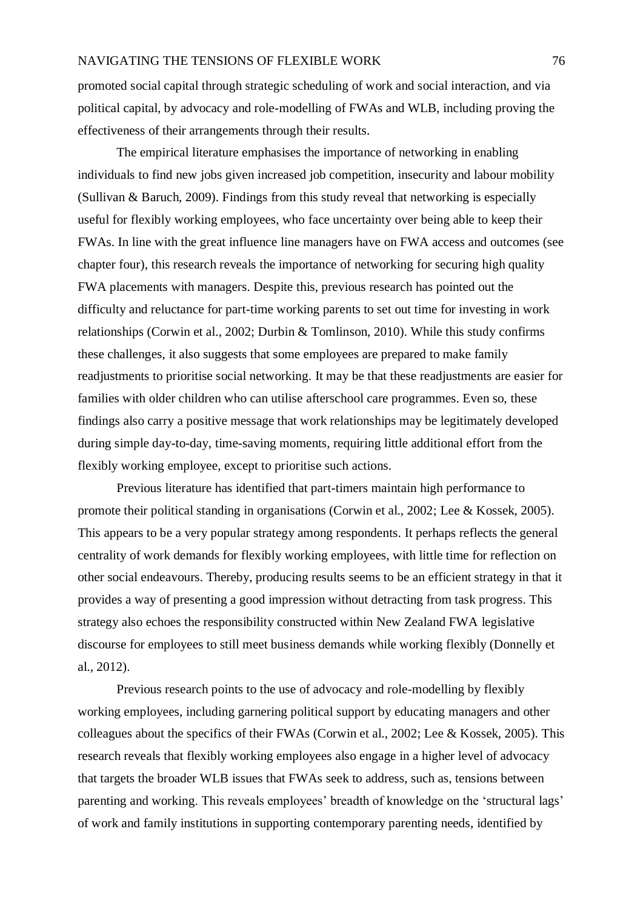promoted social capital through strategic scheduling of work and social interaction, and via political capital, by advocacy and role-modelling of FWAs and WLB, including proving the effectiveness of their arrangements through their results.

The empirical literature emphasises the importance of networking in enabling individuals to find new jobs given increased job competition, insecurity and labour mobility (Sullivan & Baruch, 2009). Findings from this study reveal that networking is especially useful for flexibly working employees, who face uncertainty over being able to keep their FWAs. In line with the great influence line managers have on FWA access and outcomes (see chapter four), this research reveals the importance of networking for securing high quality FWA placements with managers. Despite this, previous research has pointed out the difficulty and reluctance for part-time working parents to set out time for investing in work relationships (Corwin et al., 2002; Durbin & Tomlinson, 2010). While this study confirms these challenges, it also suggests that some employees are prepared to make family readjustments to prioritise social networking. It may be that these readjustments are easier for families with older children who can utilise afterschool care programmes. Even so, these findings also carry a positive message that work relationships may be legitimately developed during simple day-to-day, time-saving moments, requiring little additional effort from the flexibly working employee, except to prioritise such actions.

Previous literature has identified that part-timers maintain high performance to promote their political standing in organisations (Corwin et al., 2002; Lee & Kossek, 2005). This appears to be a very popular strategy among respondents. It perhaps reflects the general centrality of work demands for flexibly working employees, with little time for reflection on other social endeavours. Thereby, producing results seems to be an efficient strategy in that it provides a way of presenting a good impression without detracting from task progress. This strategy also echoes the responsibility constructed within New Zealand FWA legislative discourse for employees to still meet business demands while working flexibly (Donnelly et al., 2012).

Previous research points to the use of advocacy and role-modelling by flexibly working employees, including garnering political support by educating managers and other colleagues about the specifics of their FWAs (Corwin et al., 2002; Lee & Kossek, 2005). This research reveals that flexibly working employees also engage in a higher level of advocacy that targets the broader WLB issues that FWAs seek to address, such as, tensions between parenting and working. This reveals employees' breadth of knowledge on the 'structural lags' of work and family institutions in supporting contemporary parenting needs, identified by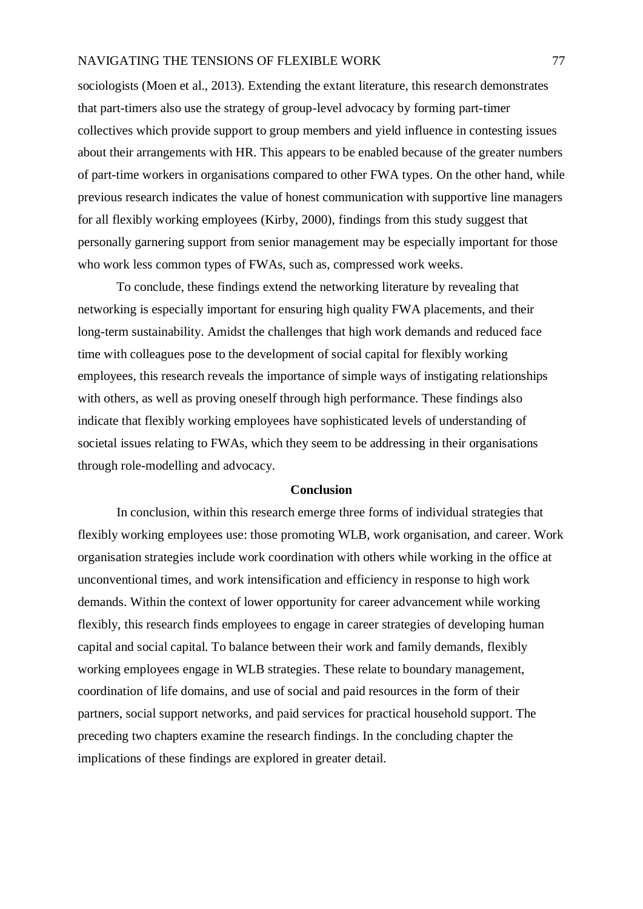sociologists (Moen et al., 2013). Extending the extant literature, this research demonstrates that part-timers also use the strategy of group-level advocacy by forming part-timer collectives which provide support to group members and yield influence in contesting issues about their arrangements with HR. This appears to be enabled because of the greater numbers of part-time workers in organisations compared to other FWA types. On the other hand, while previous research indicates the value of honest communication with supportive line managers for all flexibly working employees (Kirby, 2000), findings from this study suggest that personally garnering support from senior management may be especially important for those who work less common types of FWAs, such as, compressed work weeks.

To conclude, these findings extend the networking literature by revealing that networking is especially important for ensuring high quality FWA placements, and their long-term sustainability. Amidst the challenges that high work demands and reduced face time with colleagues pose to the development of social capital for flexibly working employees, this research reveals the importance of simple ways of instigating relationships with others, as well as proving oneself through high performance. These findings also indicate that flexibly working employees have sophisticated levels of understanding of societal issues relating to FWAs, which they seem to be addressing in their organisations through role-modelling and advocacy.

### **Conclusion**

In conclusion, within this research emerge three forms of individual strategies that flexibly working employees use: those promoting WLB, work organisation, and career. Work organisation strategies include work coordination with others while working in the office at unconventional times, and work intensification and efficiency in response to high work demands. Within the context of lower opportunity for career advancement while working flexibly, this research finds employees to engage in career strategies of developing human capital and social capital. To balance between their work and family demands, flexibly working employees engage in WLB strategies. These relate to boundary management, coordination of life domains, and use of social and paid resources in the form of their partners, social support networks, and paid services for practical household support. The preceding two chapters examine the research findings. In the concluding chapter the implications of these findings are explored in greater detail.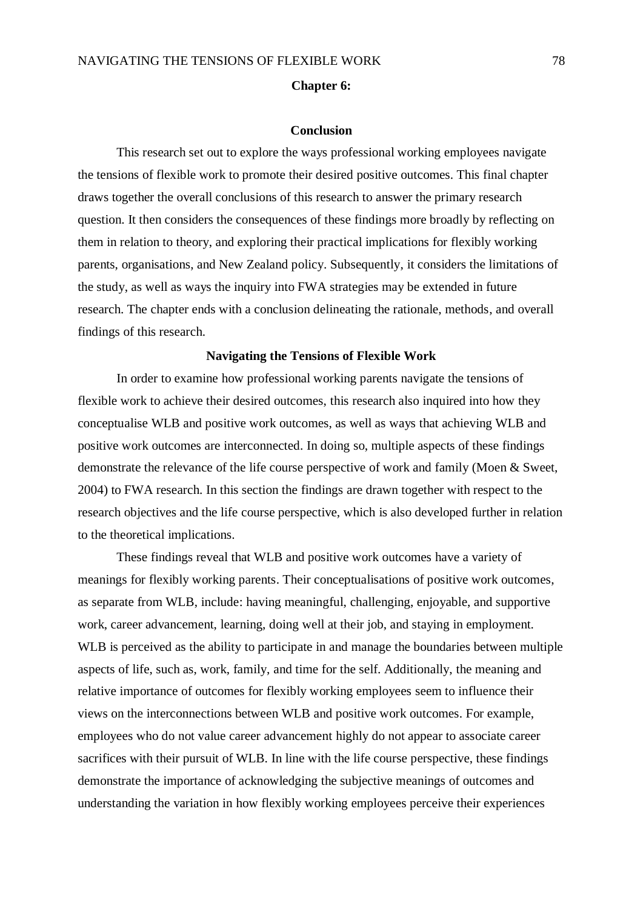#### **Chapter 6:**

#### **Conclusion**

This research set out to explore the ways professional working employees navigate the tensions of flexible work to promote their desired positive outcomes. This final chapter draws together the overall conclusions of this research to answer the primary research question. It then considers the consequences of these findings more broadly by reflecting on them in relation to theory, and exploring their practical implications for flexibly working parents, organisations, and New Zealand policy. Subsequently, it considers the limitations of the study, as well as ways the inquiry into FWA strategies may be extended in future research. The chapter ends with a conclusion delineating the rationale, methods, and overall findings of this research.

#### **Navigating the Tensions of Flexible Work**

In order to examine how professional working parents navigate the tensions of flexible work to achieve their desired outcomes, this research also inquired into how they conceptualise WLB and positive work outcomes, as well as ways that achieving WLB and positive work outcomes are interconnected. In doing so, multiple aspects of these findings demonstrate the relevance of the life course perspective of work and family (Moen & Sweet, 2004) to FWA research. In this section the findings are drawn together with respect to the research objectives and the life course perspective, which is also developed further in relation to the theoretical implications.

These findings reveal that WLB and positive work outcomes have a variety of meanings for flexibly working parents. Their conceptualisations of positive work outcomes, as separate from WLB, include: having meaningful, challenging, enjoyable, and supportive work, career advancement, learning, doing well at their job, and staying in employment. WLB is perceived as the ability to participate in and manage the boundaries between multiple aspects of life, such as, work, family, and time for the self. Additionally, the meaning and relative importance of outcomes for flexibly working employees seem to influence their views on the interconnections between WLB and positive work outcomes. For example, employees who do not value career advancement highly do not appear to associate career sacrifices with their pursuit of WLB. In line with the life course perspective, these findings demonstrate the importance of acknowledging the subjective meanings of outcomes and understanding the variation in how flexibly working employees perceive their experiences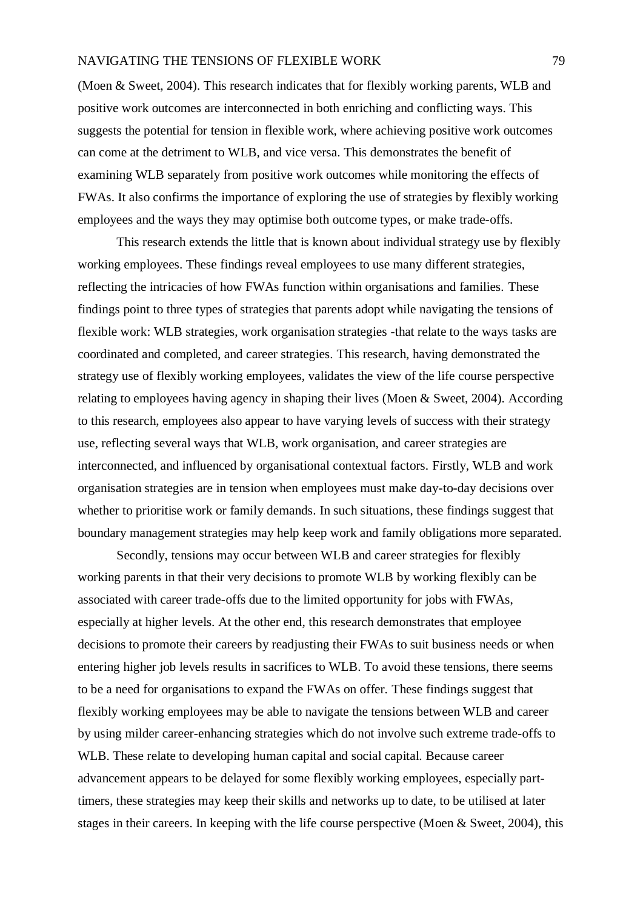(Moen & Sweet, 2004). This research indicates that for flexibly working parents, WLB and positive work outcomes are interconnected in both enriching and conflicting ways. This suggests the potential for tension in flexible work, where achieving positive work outcomes can come at the detriment to WLB, and vice versa. This demonstrates the benefit of examining WLB separately from positive work outcomes while monitoring the effects of FWAs. It also confirms the importance of exploring the use of strategies by flexibly working employees and the ways they may optimise both outcome types, or make trade-offs.

This research extends the little that is known about individual strategy use by flexibly working employees. These findings reveal employees to use many different strategies, reflecting the intricacies of how FWAs function within organisations and families. These findings point to three types of strategies that parents adopt while navigating the tensions of flexible work: WLB strategies, work organisation strategies -that relate to the ways tasks are coordinated and completed, and career strategies. This research, having demonstrated the strategy use of flexibly working employees, validates the view of the life course perspective relating to employees having agency in shaping their lives (Moen & Sweet, 2004). According to this research, employees also appear to have varying levels of success with their strategy use, reflecting several ways that WLB, work organisation, and career strategies are interconnected, and influenced by organisational contextual factors. Firstly, WLB and work organisation strategies are in tension when employees must make day-to-day decisions over whether to prioritise work or family demands. In such situations, these findings suggest that boundary management strategies may help keep work and family obligations more separated.

Secondly, tensions may occur between WLB and career strategies for flexibly working parents in that their very decisions to promote WLB by working flexibly can be associated with career trade-offs due to the limited opportunity for jobs with FWAs, especially at higher levels. At the other end, this research demonstrates that employee decisions to promote their careers by readjusting their FWAs to suit business needs or when entering higher job levels results in sacrifices to WLB. To avoid these tensions, there seems to be a need for organisations to expand the FWAs on offer. These findings suggest that flexibly working employees may be able to navigate the tensions between WLB and career by using milder career-enhancing strategies which do not involve such extreme trade-offs to WLB. These relate to developing human capital and social capital. Because career advancement appears to be delayed for some flexibly working employees, especially parttimers, these strategies may keep their skills and networks up to date, to be utilised at later stages in their careers. In keeping with the life course perspective (Moen & Sweet, 2004), this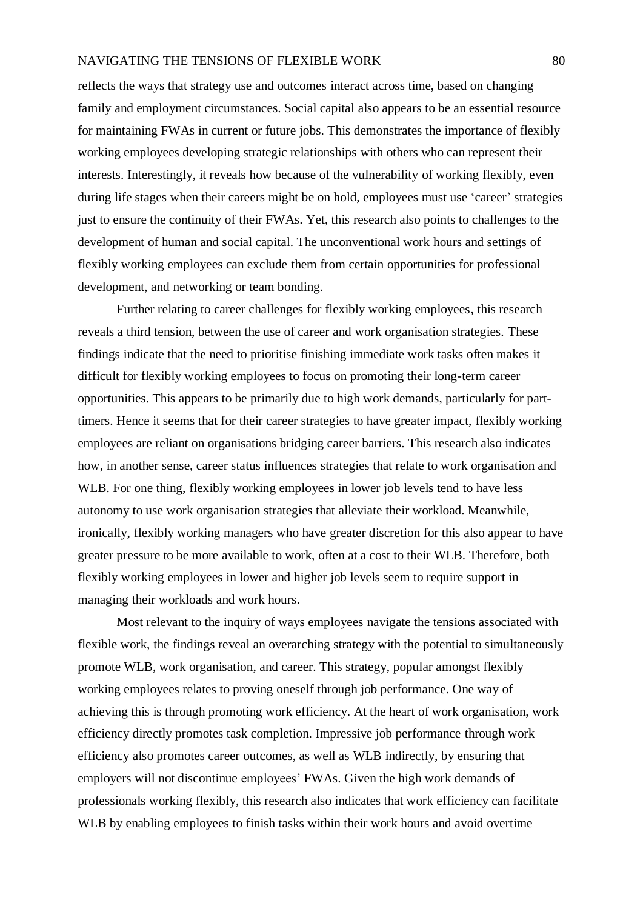reflects the ways that strategy use and outcomes interact across time, based on changing family and employment circumstances. Social capital also appears to be an essential resource for maintaining FWAs in current or future jobs. This demonstrates the importance of flexibly working employees developing strategic relationships with others who can represent their interests. Interestingly, it reveals how because of the vulnerability of working flexibly, even during life stages when their careers might be on hold, employees must use 'career' strategies just to ensure the continuity of their FWAs. Yet, this research also points to challenges to the development of human and social capital. The unconventional work hours and settings of flexibly working employees can exclude them from certain opportunities for professional development, and networking or team bonding.

Further relating to career challenges for flexibly working employees, this research reveals a third tension, between the use of career and work organisation strategies. These findings indicate that the need to prioritise finishing immediate work tasks often makes it difficult for flexibly working employees to focus on promoting their long-term career opportunities. This appears to be primarily due to high work demands, particularly for parttimers. Hence it seems that for their career strategies to have greater impact, flexibly working employees are reliant on organisations bridging career barriers. This research also indicates how, in another sense, career status influences strategies that relate to work organisation and WLB. For one thing, flexibly working employees in lower job levels tend to have less autonomy to use work organisation strategies that alleviate their workload. Meanwhile, ironically, flexibly working managers who have greater discretion for this also appear to have greater pressure to be more available to work, often at a cost to their WLB. Therefore, both flexibly working employees in lower and higher job levels seem to require support in managing their workloads and work hours.

Most relevant to the inquiry of ways employees navigate the tensions associated with flexible work, the findings reveal an overarching strategy with the potential to simultaneously promote WLB, work organisation, and career. This strategy, popular amongst flexibly working employees relates to proving oneself through job performance. One way of achieving this is through promoting work efficiency. At the heart of work organisation, work efficiency directly promotes task completion. Impressive job performance through work efficiency also promotes career outcomes, as well as WLB indirectly, by ensuring that employers will not discontinue employees' FWAs. Given the high work demands of professionals working flexibly, this research also indicates that work efficiency can facilitate WLB by enabling employees to finish tasks within their work hours and avoid overtime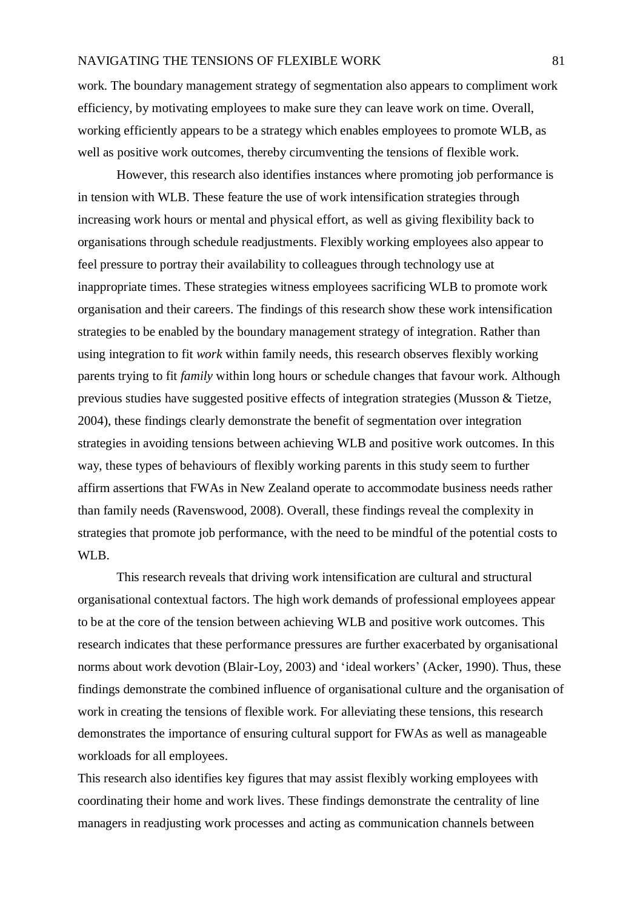work. The boundary management strategy of segmentation also appears to compliment work efficiency, by motivating employees to make sure they can leave work on time. Overall, working efficiently appears to be a strategy which enables employees to promote WLB, as well as positive work outcomes, thereby circumventing the tensions of flexible work.

However, this research also identifies instances where promoting job performance is in tension with WLB. These feature the use of work intensification strategies through increasing work hours or mental and physical effort, as well as giving flexibility back to organisations through schedule readjustments. Flexibly working employees also appear to feel pressure to portray their availability to colleagues through technology use at inappropriate times. These strategies witness employees sacrificing WLB to promote work organisation and their careers. The findings of this research show these work intensification strategies to be enabled by the boundary management strategy of integration. Rather than using integration to fit *work* within family needs, this research observes flexibly working parents trying to fit *family* within long hours or schedule changes that favour work. Although previous studies have suggested positive effects of integration strategies (Musson & Tietze, 2004), these findings clearly demonstrate the benefit of segmentation over integration strategies in avoiding tensions between achieving WLB and positive work outcomes. In this way, these types of behaviours of flexibly working parents in this study seem to further affirm assertions that FWAs in New Zealand operate to accommodate business needs rather than family needs (Ravenswood, 2008). Overall, these findings reveal the complexity in strategies that promote job performance, with the need to be mindful of the potential costs to WLB.

This research reveals that driving work intensification are cultural and structural organisational contextual factors. The high work demands of professional employees appear to be at the core of the tension between achieving WLB and positive work outcomes. This research indicates that these performance pressures are further exacerbated by organisational norms about work devotion (Blair-Loy, 2003) and 'ideal workers' (Acker, 1990). Thus, these findings demonstrate the combined influence of organisational culture and the organisation of work in creating the tensions of flexible work. For alleviating these tensions, this research demonstrates the importance of ensuring cultural support for FWAs as well as manageable workloads for all employees.

This research also identifies key figures that may assist flexibly working employees with coordinating their home and work lives. These findings demonstrate the centrality of line managers in readjusting work processes and acting as communication channels between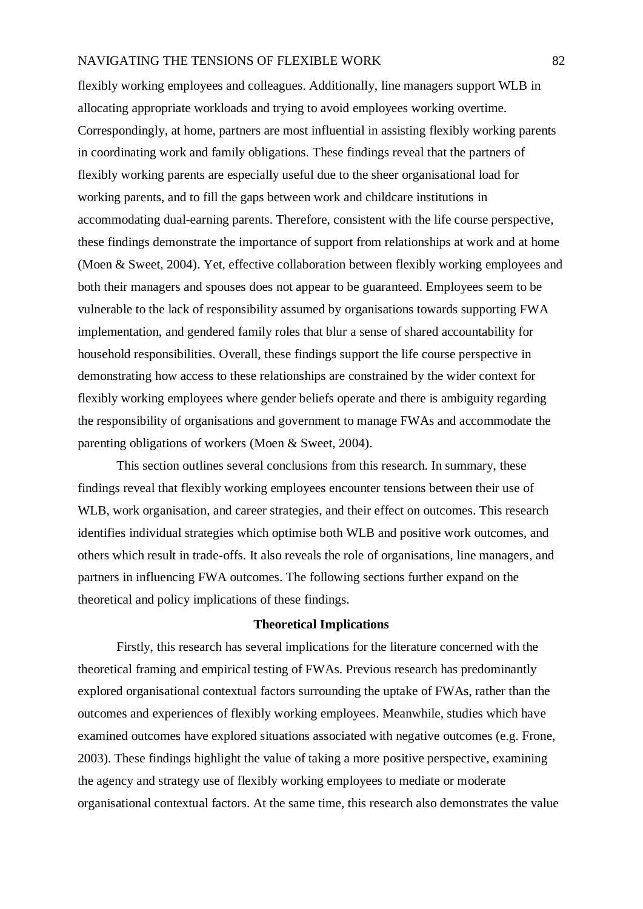flexibly working employees and colleagues. Additionally, line managers support WLB in allocating appropriate workloads and trying to avoid employees working overtime. Correspondingly, at home, partners are most influential in assisting flexibly working parents in coordinating work and family obligations. These findings reveal that the partners of flexibly working parents are especially useful due to the sheer organisational load for working parents, and to fill the gaps between work and childcare institutions in accommodating dual-earning parents. Therefore, consistent with the life course perspective, these findings demonstrate the importance of support from relationships at work and at home (Moen & Sweet, 2004). Yet, effective collaboration between flexibly working employees and both their managers and spouses does not appear to be guaranteed. Employees seem to be vulnerable to the lack of responsibility assumed by organisations towards supporting FWA implementation, and gendered family roles that blur a sense of shared accountability for household responsibilities. Overall, these findings support the life course perspective in demonstrating how access to these relationships are constrained by the wider context for flexibly working employees where gender beliefs operate and there is ambiguity regarding the responsibility of organisations and government to manage FWAs and accommodate the parenting obligations of workers (Moen & Sweet, 2004).

This section outlines several conclusions from this research. In summary, these findings reveal that flexibly working employees encounter tensions between their use of WLB, work organisation, and career strategies, and their effect on outcomes. This research identifies individual strategies which optimise both WLB and positive work outcomes, and others which result in trade-offs. It also reveals the role of organisations, line managers, and partners in influencing FWA outcomes. The following sections further expand on the theoretical and policy implications of these findings.

## **Theoretical Implications**

Firstly, this research has several implications for the literature concerned with the theoretical framing and empirical testing of FWAs. Previous research has predominantly explored organisational contextual factors surrounding the uptake of FWAs, rather than the outcomes and experiences of flexibly working employees. Meanwhile, studies which have examined outcomes have explored situations associated with negative outcomes (e.g. Frone, 2003). These findings highlight the value of taking a more positive perspective, examining the agency and strategy use of flexibly working employees to mediate or moderate organisational contextual factors. At the same time, this research also demonstrates the value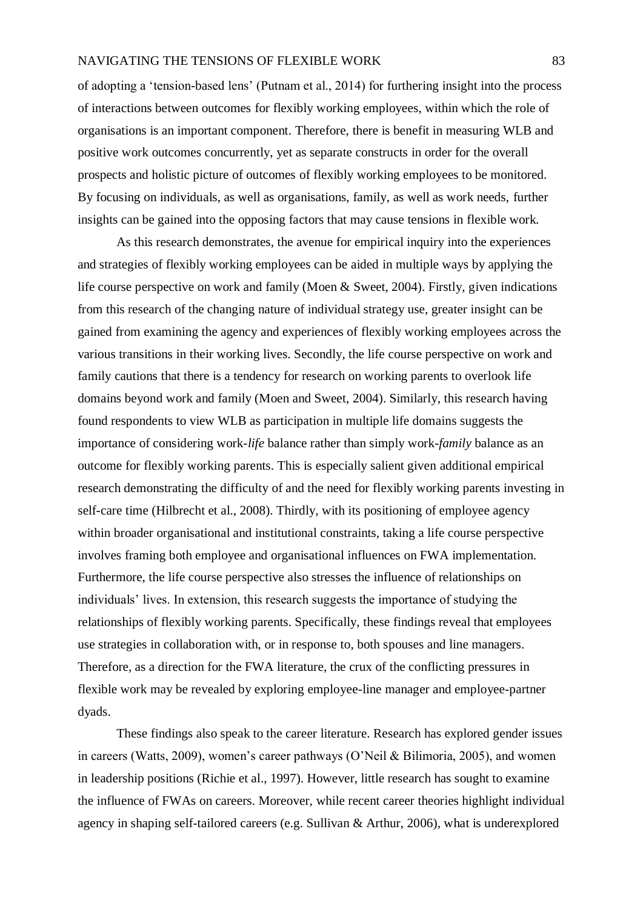of adopting a 'tension-based lens' (Putnam et al., 2014) for furthering insight into the process of interactions between outcomes for flexibly working employees, within which the role of organisations is an important component. Therefore, there is benefit in measuring WLB and positive work outcomes concurrently, yet as separate constructs in order for the overall prospects and holistic picture of outcomes of flexibly working employees to be monitored. By focusing on individuals, as well as organisations, family, as well as work needs, further insights can be gained into the opposing factors that may cause tensions in flexible work.

As this research demonstrates, the avenue for empirical inquiry into the experiences and strategies of flexibly working employees can be aided in multiple ways by applying the life course perspective on work and family (Moen & Sweet, 2004). Firstly, given indications from this research of the changing nature of individual strategy use, greater insight can be gained from examining the agency and experiences of flexibly working employees across the various transitions in their working lives. Secondly, the life course perspective on work and family cautions that there is a tendency for research on working parents to overlook life domains beyond work and family (Moen and Sweet, 2004). Similarly, this research having found respondents to view WLB as participation in multiple life domains suggests the importance of considering work-*life* balance rather than simply work-*family* balance as an outcome for flexibly working parents. This is especially salient given additional empirical research demonstrating the difficulty of and the need for flexibly working parents investing in self-care time (Hilbrecht et al., 2008). Thirdly, with its positioning of employee agency within broader organisational and institutional constraints, taking a life course perspective involves framing both employee and organisational influences on FWA implementation. Furthermore, the life course perspective also stresses the influence of relationships on individuals' lives. In extension, this research suggests the importance of studying the relationships of flexibly working parents. Specifically, these findings reveal that employees use strategies in collaboration with, or in response to, both spouses and line managers. Therefore, as a direction for the FWA literature, the crux of the conflicting pressures in flexible work may be revealed by exploring employee-line manager and employee-partner dyads.

These findings also speak to the career literature. Research has explored gender issues in careers (Watts, 2009), women's career pathways (O'Neil & Bilimoria, 2005), and women in leadership positions (Richie et al., 1997). However, little research has sought to examine the influence of FWAs on careers. Moreover, while recent career theories highlight individual agency in shaping self-tailored careers (e.g. Sullivan & Arthur, 2006), what is underexplored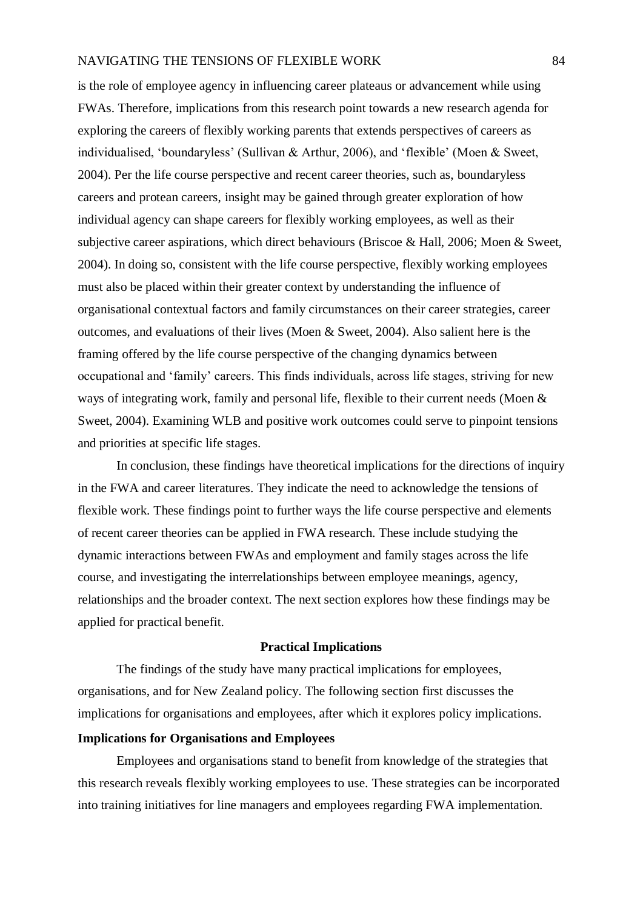is the role of employee agency in influencing career plateaus or advancement while using FWAs. Therefore, implications from this research point towards a new research agenda for exploring the careers of flexibly working parents that extends perspectives of careers as individualised, 'boundaryless' (Sullivan & Arthur, 2006), and 'flexible' (Moen & Sweet, 2004). Per the life course perspective and recent career theories, such as, boundaryless careers and protean careers, insight may be gained through greater exploration of how individual agency can shape careers for flexibly working employees, as well as their subjective career aspirations, which direct behaviours (Briscoe & Hall, 2006; Moen & Sweet, 2004). In doing so, consistent with the life course perspective, flexibly working employees must also be placed within their greater context by understanding the influence of organisational contextual factors and family circumstances on their career strategies, career outcomes, and evaluations of their lives (Moen & Sweet, 2004). Also salient here is the framing offered by the life course perspective of the changing dynamics between occupational and 'family' careers. This finds individuals, across life stages, striving for new ways of integrating work, family and personal life, flexible to their current needs (Moen & Sweet, 2004). Examining WLB and positive work outcomes could serve to pinpoint tensions and priorities at specific life stages.

In conclusion, these findings have theoretical implications for the directions of inquiry in the FWA and career literatures. They indicate the need to acknowledge the tensions of flexible work. These findings point to further ways the life course perspective and elements of recent career theories can be applied in FWA research. These include studying the dynamic interactions between FWAs and employment and family stages across the life course, and investigating the interrelationships between employee meanings, agency, relationships and the broader context. The next section explores how these findings may be applied for practical benefit.

### **Practical Implications**

The findings of the study have many practical implications for employees, organisations, and for New Zealand policy. The following section first discusses the implications for organisations and employees, after which it explores policy implications.

# **Implications for Organisations and Employees**

Employees and organisations stand to benefit from knowledge of the strategies that this research reveals flexibly working employees to use. These strategies can be incorporated into training initiatives for line managers and employees regarding FWA implementation.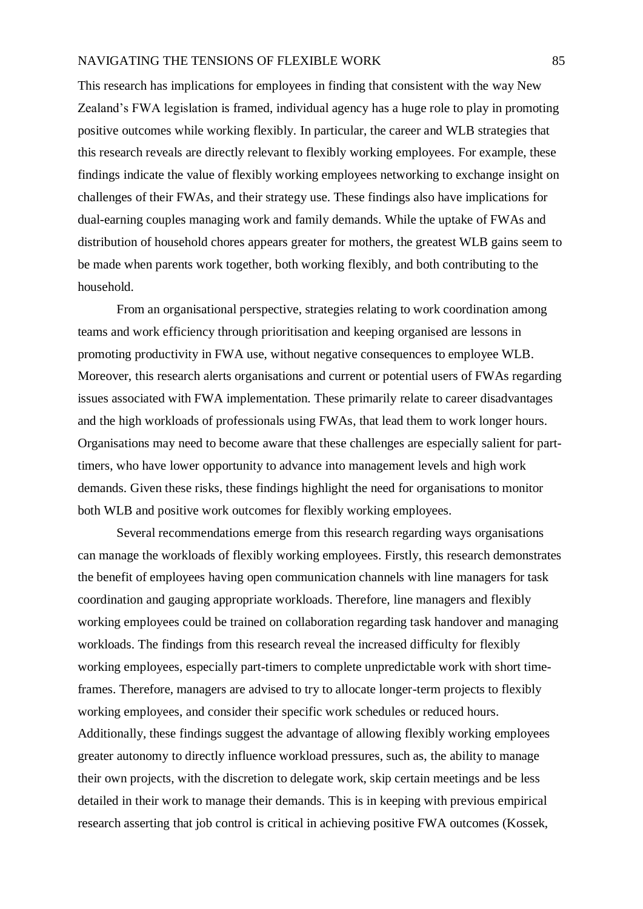This research has implications for employees in finding that consistent with the way New Zealand's FWA legislation is framed, individual agency has a huge role to play in promoting positive outcomes while working flexibly. In particular, the career and WLB strategies that this research reveals are directly relevant to flexibly working employees. For example, these findings indicate the value of flexibly working employees networking to exchange insight on challenges of their FWAs, and their strategy use. These findings also have implications for dual-earning couples managing work and family demands. While the uptake of FWAs and distribution of household chores appears greater for mothers, the greatest WLB gains seem to be made when parents work together, both working flexibly, and both contributing to the household.

From an organisational perspective, strategies relating to work coordination among teams and work efficiency through prioritisation and keeping organised are lessons in promoting productivity in FWA use, without negative consequences to employee WLB. Moreover, this research alerts organisations and current or potential users of FWAs regarding issues associated with FWA implementation. These primarily relate to career disadvantages and the high workloads of professionals using FWAs, that lead them to work longer hours. Organisations may need to become aware that these challenges are especially salient for parttimers, who have lower opportunity to advance into management levels and high work demands. Given these risks, these findings highlight the need for organisations to monitor both WLB and positive work outcomes for flexibly working employees.

Several recommendations emerge from this research regarding ways organisations can manage the workloads of flexibly working employees. Firstly, this research demonstrates the benefit of employees having open communication channels with line managers for task coordination and gauging appropriate workloads. Therefore, line managers and flexibly working employees could be trained on collaboration regarding task handover and managing workloads. The findings from this research reveal the increased difficulty for flexibly working employees, especially part-timers to complete unpredictable work with short timeframes. Therefore, managers are advised to try to allocate longer-term projects to flexibly working employees, and consider their specific work schedules or reduced hours. Additionally, these findings suggest the advantage of allowing flexibly working employees greater autonomy to directly influence workload pressures, such as, the ability to manage their own projects, with the discretion to delegate work, skip certain meetings and be less detailed in their work to manage their demands. This is in keeping with previous empirical research asserting that job control is critical in achieving positive FWA outcomes (Kossek,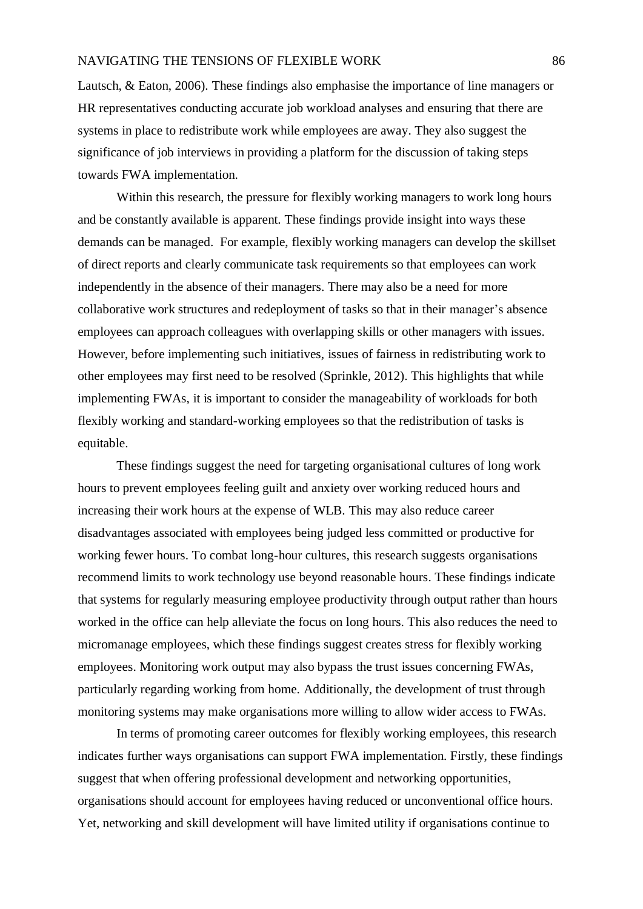Lautsch, & Eaton, 2006). These findings also emphasise the importance of line managers or HR representatives conducting accurate job workload analyses and ensuring that there are systems in place to redistribute work while employees are away. They also suggest the significance of job interviews in providing a platform for the discussion of taking steps towards FWA implementation.

Within this research, the pressure for flexibly working managers to work long hours and be constantly available is apparent. These findings provide insight into ways these demands can be managed. For example, flexibly working managers can develop the skillset of direct reports and clearly communicate task requirements so that employees can work independently in the absence of their managers. There may also be a need for more collaborative work structures and redeployment of tasks so that in their manager's absence employees can approach colleagues with overlapping skills or other managers with issues. However, before implementing such initiatives, issues of fairness in redistributing work to other employees may first need to be resolved (Sprinkle, 2012). This highlights that while implementing FWAs, it is important to consider the manageability of workloads for both flexibly working and standard-working employees so that the redistribution of tasks is equitable.

These findings suggest the need for targeting organisational cultures of long work hours to prevent employees feeling guilt and anxiety over working reduced hours and increasing their work hours at the expense of WLB. This may also reduce career disadvantages associated with employees being judged less committed or productive for working fewer hours. To combat long-hour cultures, this research suggests organisations recommend limits to work technology use beyond reasonable hours. These findings indicate that systems for regularly measuring employee productivity through output rather than hours worked in the office can help alleviate the focus on long hours. This also reduces the need to micromanage employees, which these findings suggest creates stress for flexibly working employees. Monitoring work output may also bypass the trust issues concerning FWAs, particularly regarding working from home. Additionally, the development of trust through monitoring systems may make organisations more willing to allow wider access to FWAs.

In terms of promoting career outcomes for flexibly working employees, this research indicates further ways organisations can support FWA implementation. Firstly, these findings suggest that when offering professional development and networking opportunities, organisations should account for employees having reduced or unconventional office hours. Yet, networking and skill development will have limited utility if organisations continue to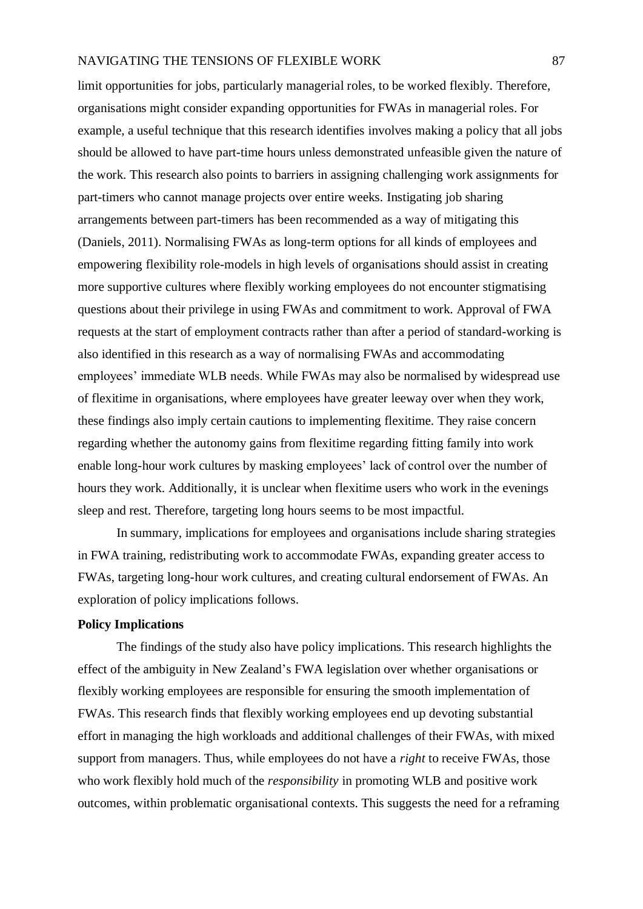limit opportunities for jobs, particularly managerial roles, to be worked flexibly. Therefore, organisations might consider expanding opportunities for FWAs in managerial roles. For example, a useful technique that this research identifies involves making a policy that all jobs should be allowed to have part-time hours unless demonstrated unfeasible given the nature of the work. This research also points to barriers in assigning challenging work assignments for part-timers who cannot manage projects over entire weeks. Instigating job sharing arrangements between part-timers has been recommended as a way of mitigating this (Daniels, 2011). Normalising FWAs as long-term options for all kinds of employees and empowering flexibility role-models in high levels of organisations should assist in creating more supportive cultures where flexibly working employees do not encounter stigmatising questions about their privilege in using FWAs and commitment to work. Approval of FWA requests at the start of employment contracts rather than after a period of standard-working is also identified in this research as a way of normalising FWAs and accommodating employees' immediate WLB needs. While FWAs may also be normalised by widespread use of flexitime in organisations, where employees have greater leeway over when they work, these findings also imply certain cautions to implementing flexitime. They raise concern regarding whether the autonomy gains from flexitime regarding fitting family into work enable long-hour work cultures by masking employees' lack of control over the number of hours they work. Additionally, it is unclear when flexitime users who work in the evenings sleep and rest. Therefore, targeting long hours seems to be most impactful.

In summary, implications for employees and organisations include sharing strategies in FWA training, redistributing work to accommodate FWAs, expanding greater access to FWAs, targeting long-hour work cultures, and creating cultural endorsement of FWAs. An exploration of policy implications follows.

## **Policy Implications**

The findings of the study also have policy implications. This research highlights the effect of the ambiguity in New Zealand's FWA legislation over whether organisations or flexibly working employees are responsible for ensuring the smooth implementation of FWAs. This research finds that flexibly working employees end up devoting substantial effort in managing the high workloads and additional challenges of their FWAs, with mixed support from managers. Thus, while employees do not have a *right* to receive FWAs, those who work flexibly hold much of the *responsibility* in promoting WLB and positive work outcomes, within problematic organisational contexts. This suggests the need for a reframing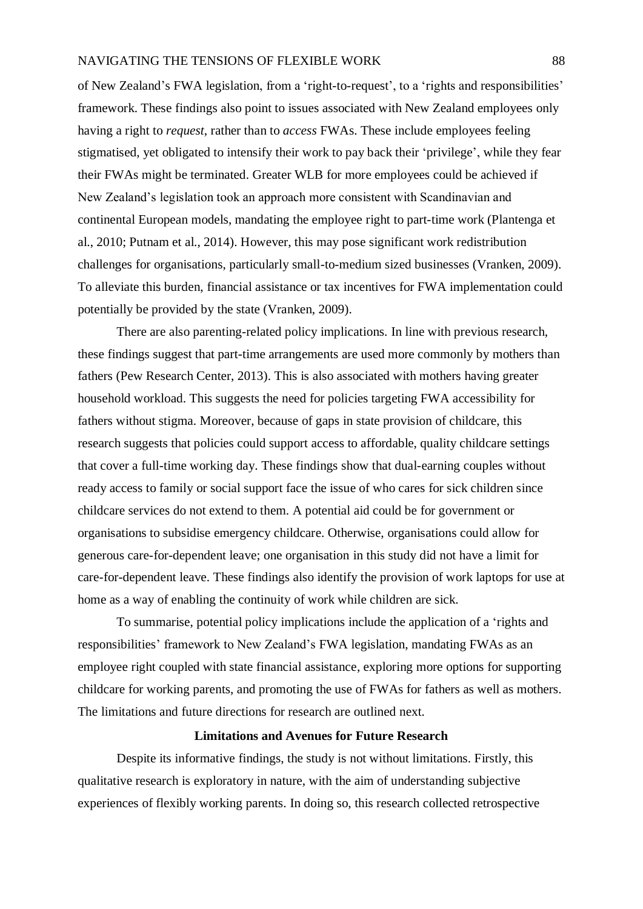of New Zealand's FWA legislation, from a 'right-to-request', to a 'rights and responsibilities' framework. These findings also point to issues associated with New Zealand employees only having a right to *request*, rather than to *access* FWAs. These include employees feeling stigmatised, yet obligated to intensify their work to pay back their 'privilege', while they fear their FWAs might be terminated. Greater WLB for more employees could be achieved if New Zealand's legislation took an approach more consistent with Scandinavian and continental European models, mandating the employee right to part-time work (Plantenga et al., 2010; Putnam et al., 2014). However, this may pose significant work redistribution challenges for organisations, particularly small-to-medium sized businesses (Vranken, 2009). To alleviate this burden, financial assistance or tax incentives for FWA implementation could potentially be provided by the state (Vranken, 2009).

There are also parenting-related policy implications. In line with previous research, these findings suggest that part-time arrangements are used more commonly by mothers than fathers (Pew Research Center, 2013). This is also associated with mothers having greater household workload. This suggests the need for policies targeting FWA accessibility for fathers without stigma. Moreover, because of gaps in state provision of childcare, this research suggests that policies could support access to affordable, quality childcare settings that cover a full-time working day. These findings show that dual-earning couples without ready access to family or social support face the issue of who cares for sick children since childcare services do not extend to them. A potential aid could be for government or organisations to subsidise emergency childcare. Otherwise, organisations could allow for generous care-for-dependent leave; one organisation in this study did not have a limit for care-for-dependent leave. These findings also identify the provision of work laptops for use at home as a way of enabling the continuity of work while children are sick.

To summarise, potential policy implications include the application of a 'rights and responsibilities' framework to New Zealand's FWA legislation, mandating FWAs as an employee right coupled with state financial assistance, exploring more options for supporting childcare for working parents, and promoting the use of FWAs for fathers as well as mothers. The limitations and future directions for research are outlined next.

#### **Limitations and Avenues for Future Research**

Despite its informative findings, the study is not without limitations. Firstly, this qualitative research is exploratory in nature, with the aim of understanding subjective experiences of flexibly working parents. In doing so, this research collected retrospective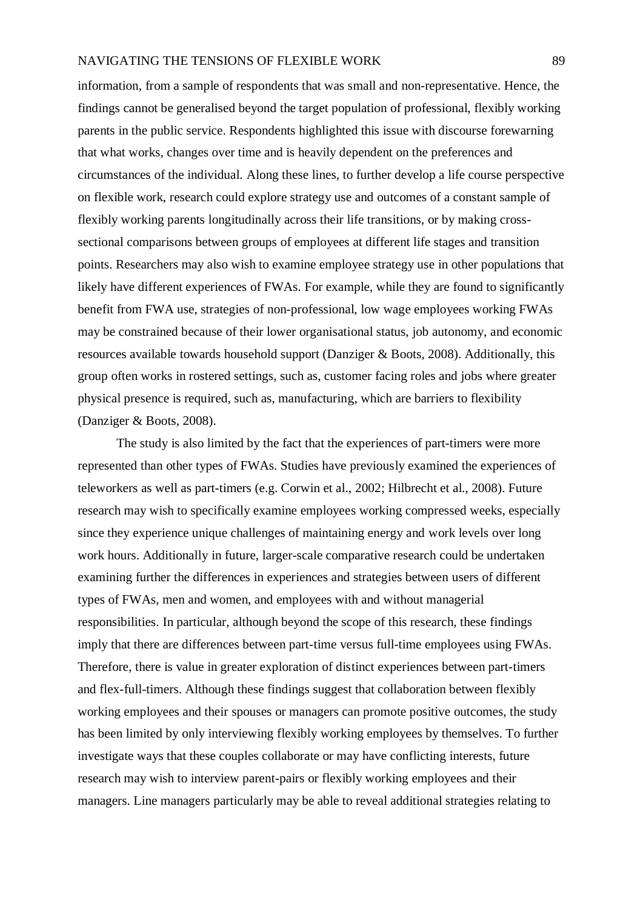information, from a sample of respondents that was small and non-representative. Hence, the findings cannot be generalised beyond the target population of professional, flexibly working parents in the public service. Respondents highlighted this issue with discourse forewarning that what works, changes over time and is heavily dependent on the preferences and circumstances of the individual. Along these lines, to further develop a life course perspective on flexible work, research could explore strategy use and outcomes of a constant sample of flexibly working parents longitudinally across their life transitions, or by making crosssectional comparisons between groups of employees at different life stages and transition points. Researchers may also wish to examine employee strategy use in other populations that likely have different experiences of FWAs. For example, while they are found to significantly benefit from FWA use, strategies of non-professional, low wage employees working FWAs may be constrained because of their lower organisational status, job autonomy, and economic resources available towards household support (Danziger & Boots, 2008). Additionally, this group often works in rostered settings, such as, customer facing roles and jobs where greater physical presence is required, such as, manufacturing, which are barriers to flexibility (Danziger & Boots, 2008).

The study is also limited by the fact that the experiences of part-timers were more represented than other types of FWAs. Studies have previously examined the experiences of teleworkers as well as part-timers (e.g. Corwin et al., 2002; Hilbrecht et al., 2008). Future research may wish to specifically examine employees working compressed weeks, especially since they experience unique challenges of maintaining energy and work levels over long work hours. Additionally in future, larger-scale comparative research could be undertaken examining further the differences in experiences and strategies between users of different types of FWAs, men and women, and employees with and without managerial responsibilities. In particular, although beyond the scope of this research, these findings imply that there are differences between part-time versus full-time employees using FWAs. Therefore, there is value in greater exploration of distinct experiences between part-timers and flex-full-timers. Although these findings suggest that collaboration between flexibly working employees and their spouses or managers can promote positive outcomes, the study has been limited by only interviewing flexibly working employees by themselves. To further investigate ways that these couples collaborate or may have conflicting interests, future research may wish to interview parent-pairs or flexibly working employees and their managers. Line managers particularly may be able to reveal additional strategies relating to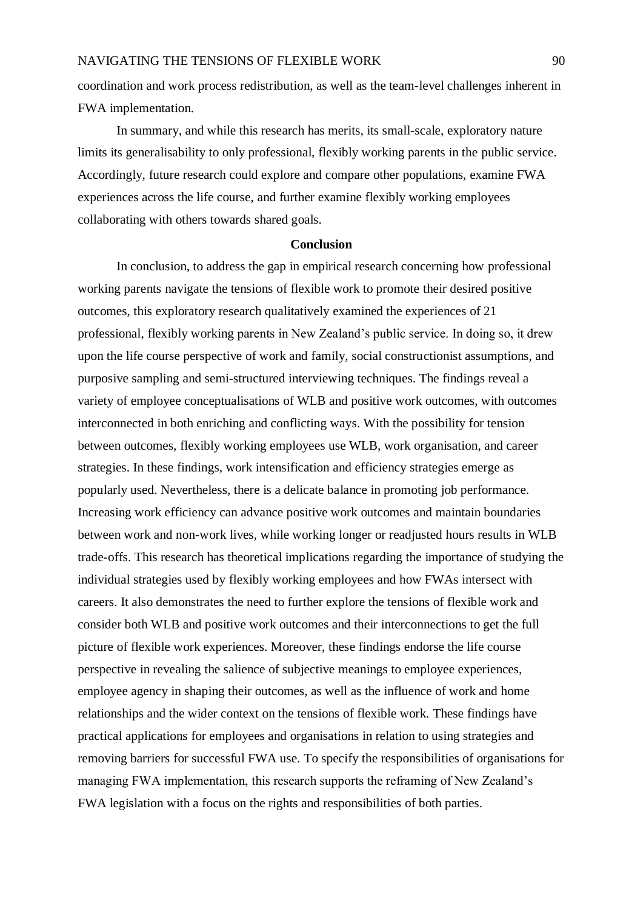coordination and work process redistribution, as well as the team-level challenges inherent in FWA implementation.

In summary, and while this research has merits, its small-scale, exploratory nature limits its generalisability to only professional, flexibly working parents in the public service. Accordingly, future research could explore and compare other populations, examine FWA experiences across the life course, and further examine flexibly working employees collaborating with others towards shared goals.

#### **Conclusion**

In conclusion, to address the gap in empirical research concerning how professional working parents navigate the tensions of flexible work to promote their desired positive outcomes, this exploratory research qualitatively examined the experiences of 21 professional, flexibly working parents in New Zealand's public service. In doing so, it drew upon the life course perspective of work and family, social constructionist assumptions, and purposive sampling and semi-structured interviewing techniques. The findings reveal a variety of employee conceptualisations of WLB and positive work outcomes, with outcomes interconnected in both enriching and conflicting ways. With the possibility for tension between outcomes, flexibly working employees use WLB, work organisation, and career strategies. In these findings, work intensification and efficiency strategies emerge as popularly used. Nevertheless, there is a delicate balance in promoting job performance. Increasing work efficiency can advance positive work outcomes and maintain boundaries between work and non-work lives, while working longer or readjusted hours results in WLB trade-offs. This research has theoretical implications regarding the importance of studying the individual strategies used by flexibly working employees and how FWAs intersect with careers. It also demonstrates the need to further explore the tensions of flexible work and consider both WLB and positive work outcomes and their interconnections to get the full picture of flexible work experiences. Moreover, these findings endorse the life course perspective in revealing the salience of subjective meanings to employee experiences, employee agency in shaping their outcomes, as well as the influence of work and home relationships and the wider context on the tensions of flexible work. These findings have practical applications for employees and organisations in relation to using strategies and removing barriers for successful FWA use. To specify the responsibilities of organisations for managing FWA implementation, this research supports the reframing of New Zealand's FWA legislation with a focus on the rights and responsibilities of both parties.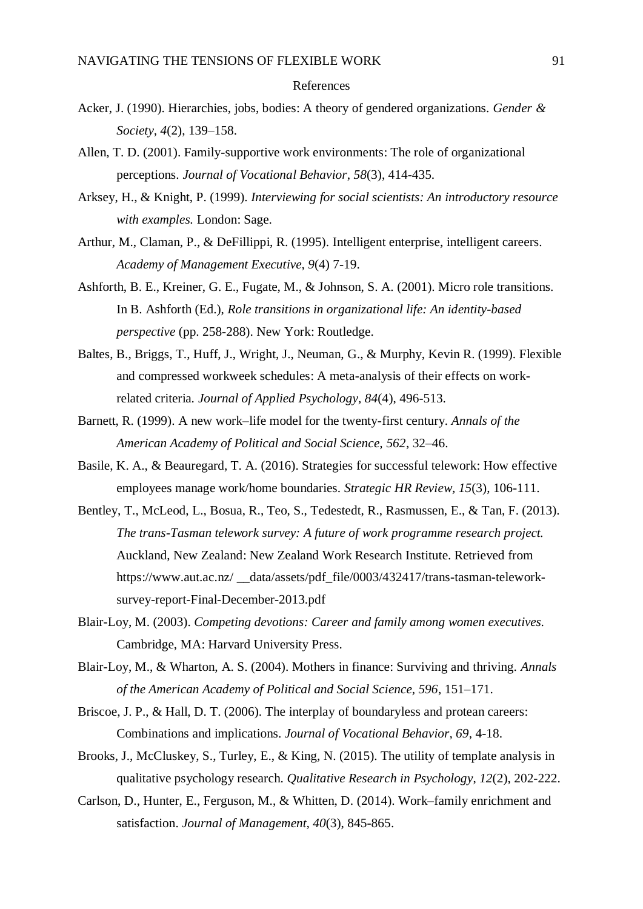#### References

- Acker, J. (1990). Hierarchies, jobs, bodies: A theory of gendered organizations. *Gender & Society, 4*(2), 139–158.
- Allen, T. D. (2001). Family-supportive work environments: The role of organizational perceptions. *Journal of Vocational Behavior*, *58*(3), 414-435.
- Arksey, H., & Knight, P. (1999). *Interviewing for social scientists: An introductory resource with examples.* London: Sage.
- Arthur, M., Claman, P., & DeFillippi, R. (1995). Intelligent enterprise, intelligent careers. *Academy of Management Executive, 9*(4) 7-19.
- Ashforth, B. E., Kreiner, G. E., Fugate, M., & Johnson, S. A. (2001). Micro role transitions. In B. Ashforth (Ed.), *Role transitions in organizational life: An identity-based perspective* (pp. 258-288). New York: Routledge.
- Baltes, B., Briggs, T., Huff, J., Wright, J., Neuman, G., & Murphy, Kevin R. (1999). Flexible and compressed workweek schedules: A meta-analysis of their effects on workrelated criteria. *Journal of Applied Psychology, 84*(4), 496-513.
- Barnett, R. (1999). A new work–life model for the twenty-first century*. Annals of the American Academy of Political and Social Science, 562*, 32–46.
- Basile, K. A., & Beauregard, T. A. (2016). Strategies for successful telework: How effective employees manage work/home boundaries. *Strategic HR Review, 15*(3), 106-111.
- Bentley, T., McLeod, L., Bosua, R., Teo, S., Tedestedt, R., Rasmussen, E., & Tan, F. (2013). *The trans-Tasman telework survey: A future of work programme research project.*  Auckland, New Zealand: New Zealand Work Research Institute. Retrieved from https://www.aut.ac.nz/ \_\_data/assets/pdf\_file/0003/432417/trans-tasman-teleworksurvey-report-Final-December-2013.pdf
- Blair-Loy, M. (2003). *Competing devotions: Career and family among women executives.* Cambridge, MA: Harvard University Press.
- Blair-Loy, M., & Wharton, A. S. (2004). Mothers in finance: Surviving and thriving. *Annals of the American Academy of Political and Social Science, 596*, 151–171.
- Briscoe, J. P., & Hall, D. T. (2006). The interplay of boundaryless and protean careers: Combinations and implications. *Journal of Vocational Behavior, 69*, 4-18.
- Brooks, J., McCluskey, S., Turley, E., & King, N. (2015). The utility of template analysis in qualitative psychology research. *Qualitative Research in Psychology*, *12*(2), 202-222.
- Carlson, D., Hunter, E., Ferguson, M., & Whitten, D. (2014). Work–family enrichment and satisfaction. *Journal of Management, 40*(3), 845-865.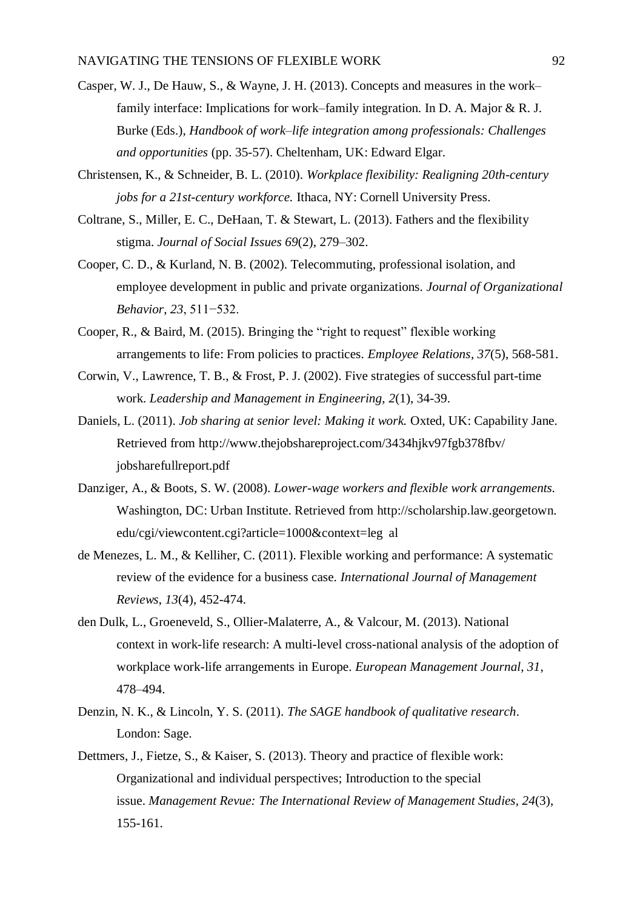- Casper, W. J., De Hauw, S., & Wayne, J. H. (2013). Concepts and measures in the work– family interface: Implications for work–family integration. In D. A. Major & R. J. Burke (Eds.), *Handbook of work–life integration among professionals: Challenges and opportunities* (pp. 35-57). Cheltenham, UK: Edward Elgar.
- Christensen, K., & Schneider, B. L. (2010). *Workplace flexibility: Realigning 20th-century jobs for a 21st-century workforce.* Ithaca, NY: Cornell University Press.
- Coltrane, S., Miller, E. C., DeHaan, T. & Stewart, L. (2013). Fathers and the flexibility stigma. *Journal of Social Issues 69*(2), 279–302.
- Cooper, C. D., & Kurland, N. B. (2002). Telecommuting, professional isolation, and employee development in public and private organizations. *Journal of Organizational Behavior, 23*, 511−532.
- Cooper, R., & Baird, M. (2015). Bringing the "right to request" flexible working arrangements to life: From policies to practices. *Employee Relations*, *37*(5), 568-581.
- Corwin, V., Lawrence, T. B., & Frost, P. J. (2002). Five strategies of successful part-time work. *Leadership and Management in Engineering*, *2*(1), 34-39.
- Daniels, L. (2011). *Job sharing at senior level: Making it work.* Oxted, UK: Capability Jane. Retrieved from<http://www.thejobshareproject.com/3434hjkv97fgb378fbv/> jobsharefullreport.pdf
- Danziger, A., & Boots, S. W. (2008). *Lower-wage workers and flexible work arrangements.* Washington, DC: Urban Institute. Retrieved from [http://scholarship.law.georgetown.](http://scholarship.law.georgetown/) edu/cgi/viewcontent.cgi?article=1000&context=leg al
- de Menezes, L. M., & Kelliher, C. (2011). Flexible working and performance: A systematic review of the evidence for a business case. *International Journal of Management Reviews*, *13*(4), 452-474.
- den Dulk, L., Groeneveld, S., Ollier-Malaterre, A., & Valcour, M. (2013). National context in work-life research: A multi-level cross-national analysis of the adoption of workplace work-life arrangements in Europe. *European Management Journal, 31*, 478–494.
- Denzin, N. K., & Lincoln, Y. S. (2011). *The SAGE handbook of qualitative research*. London: Sage.
- Dettmers, J., Fietze, S., & Kaiser, S. (2013). Theory and practice of flexible work: Organizational and individual perspectives; Introduction to the special issue. *Management Revue: The International Review of Management Studies, 24*(3), 155-161.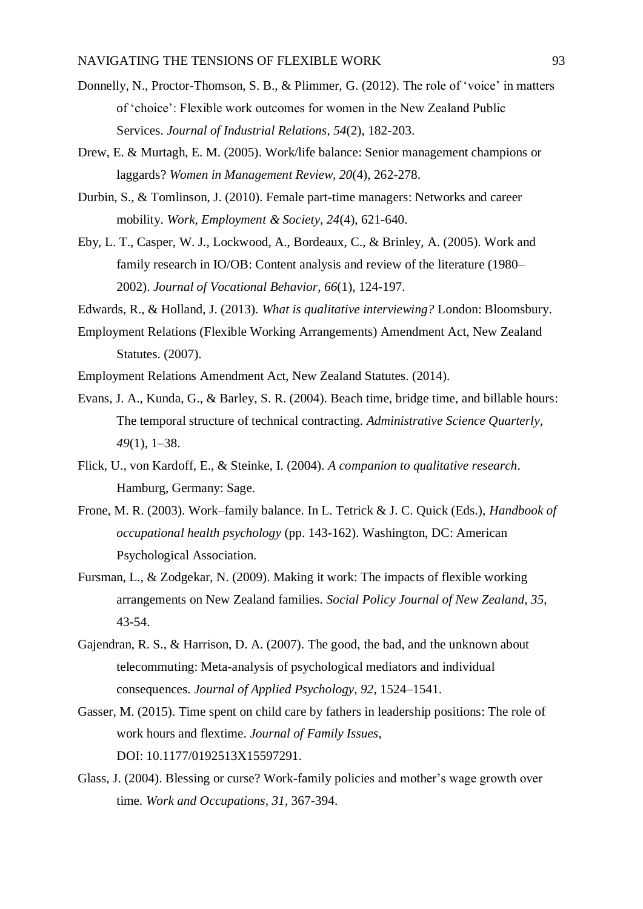- Donnelly, N., Proctor-Thomson, S. B., & Plimmer, G. (2012). The role of 'voice' in matters of 'choice': Flexible work outcomes for women in the New Zealand Public Services. *Journal of Industrial Relations*, *54*(2), 182-203.
- Drew, E. & Murtagh, E. M. (2005). Work/life balance: Senior management champions or laggards? *Women in Management Review, 20*(4), 262-278.
- Durbin, S., & Tomlinson, J. (2010). Female part-time managers: Networks and career mobility. *Work, Employment & Society, 24*(4), 621-640.
- Eby, L. T., Casper, W. J., Lockwood, A., Bordeaux, C., & Brinley, A. (2005). Work and family research in IO/OB: Content analysis and review of the literature (1980– 2002). *Journal of Vocational Behavior*, *66*(1), 124-197.
- Edwards, R., & Holland, J. (2013). *What is qualitative interviewing?* London: Bloomsbury.
- Employment Relations (Flexible Working Arrangements) Amendment Act, New Zealand Statutes. (2007).
- Employment Relations Amendment Act, New Zealand Statutes. (2014).
- Evans, J. A., Kunda, G., & Barley, S. R. (2004). Beach time, bridge time, and billable hours: The temporal structure of technical contracting. *Administrative Science Quarterly, 49*(1), 1–38.
- Flick, U., von Kardoff, E., & Steinke, I. (2004). *A companion to qualitative research*. Hamburg, Germany: Sage.
- Frone, M. R. (2003). Work–family balance. In L. Tetrick & J. C. Quick (Eds.), *Handbook of occupational health psychology* (pp. 143-162). Washington, DC: American Psychological Association.
- Fursman, L., & Zodgekar, N. (2009). Making it work: The impacts of flexible working arrangements on New Zealand families. *Social Policy Journal of New Zealand*, *35*, 43-54.
- Gajendran, R. S., & Harrison, D. A. (2007). The good, the bad, and the unknown about telecommuting: Meta-analysis of psychological mediators and individual consequences. *Journal of Applied Psychology, 92*, 1524–1541.
- Gasser, M. (2015). Time spent on child care by fathers in leadership positions: The role of work hours and flextime. *Journal of Family Issues*, DOI: 10.1177/0192513X15597291.
- Glass, J. (2004). Blessing or curse? Work-family policies and mother's wage growth over time. *Work and Occupations, 31*, 367-394.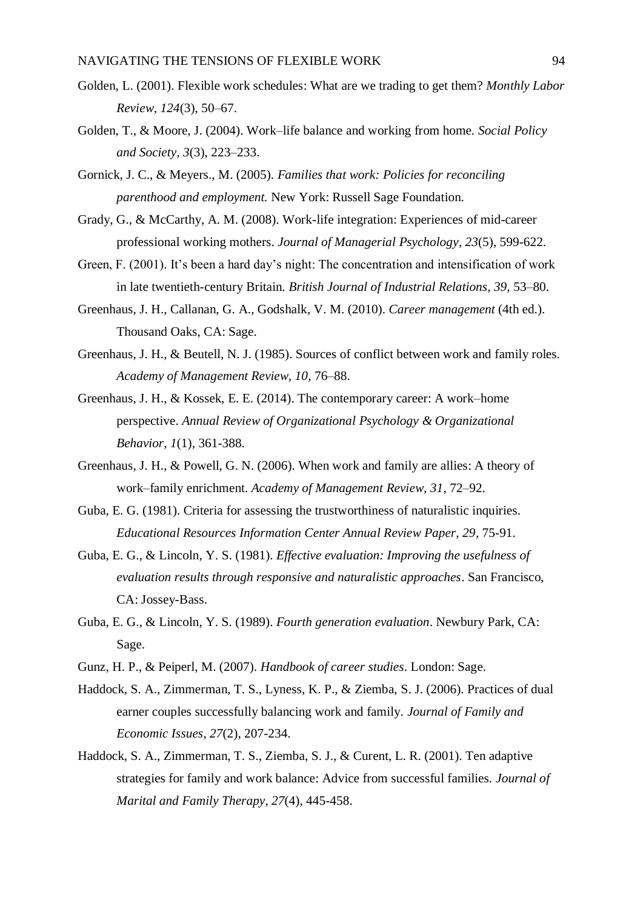- Golden, L. (2001). Flexible work schedules: What are we trading to get them? *Monthly Labor Review, 124*(3), 50–67.
- Golden, T., & Moore, J. (2004). Work–life balance and working from home. *Social Policy and Society, 3*(3), 223–233.
- Gornick, J. C., & Meyers., M. (2005). *Families that work: Policies for reconciling parenthood and employment.* New York: Russell Sage Foundation.
- Grady, G., & McCarthy, A. M. (2008). Work-life integration: Experiences of mid-career professional working mothers. *Journal of Managerial Psychology*, *23*(5), 599-622.
- Green, F. (2001). It's been a hard day's night: The concentration and intensification of work in late twentieth-century Britain. *British Journal of Industrial Relations, 39,* 53–80.
- Greenhaus, J. H., Callanan, G. A., Godshalk, V. M. (2010). *Career management* (4th ed.). Thousand Oaks, CA: Sage.
- Greenhaus, J. H., & Beutell, N. J. (1985). Sources of conflict between work and family roles. *Academy of Management Review, 10*, 76–88.
- Greenhaus, J. H., & Kossek, E. E. (2014). The contemporary career: A work–home perspective. *Annual Review of Organizational Psychology & Organizational Behavior, 1*(1), 361-388.
- Greenhaus, J. H., & Powell, G. N. (2006). When work and family are allies: A theory of work–family enrichment. *Academy of Management Review, 31*, 72–92.
- Guba, E. G. (1981). Criteria for assessing the trustworthiness of naturalistic inquiries. *Educational Resources Information Center Annual Review Paper, 29*, 75-91.
- Guba, E. G., & Lincoln, Y. S. (1981). *Effective evaluation: Improving the usefulness of evaluation results through responsive and naturalistic approaches*. San Francisco, CA: Jossey-Bass.
- Guba, E. G., & Lincoln, Y. S. (1989). *Fourth generation evaluation*. Newbury Park, CA: Sage.
- Gunz, H. P., & Peiperl, M. (2007). *Handbook of career studies*. London: Sage.
- Haddock, S. A., Zimmerman, T. S., Lyness, K. P., & Ziemba, S. J. (2006). Practices of dual earner couples successfully balancing work and family. *Journal of Family and Economic Issues*, *27*(2), 207-234.
- Haddock, S. A., Zimmerman, T. S., Ziemba, S. J., & Curent, L. R. (2001). Ten adaptive strategies for family and work balance: Advice from successful families. *Journal of Marital and Family Therapy*, *27*(4), 445-458.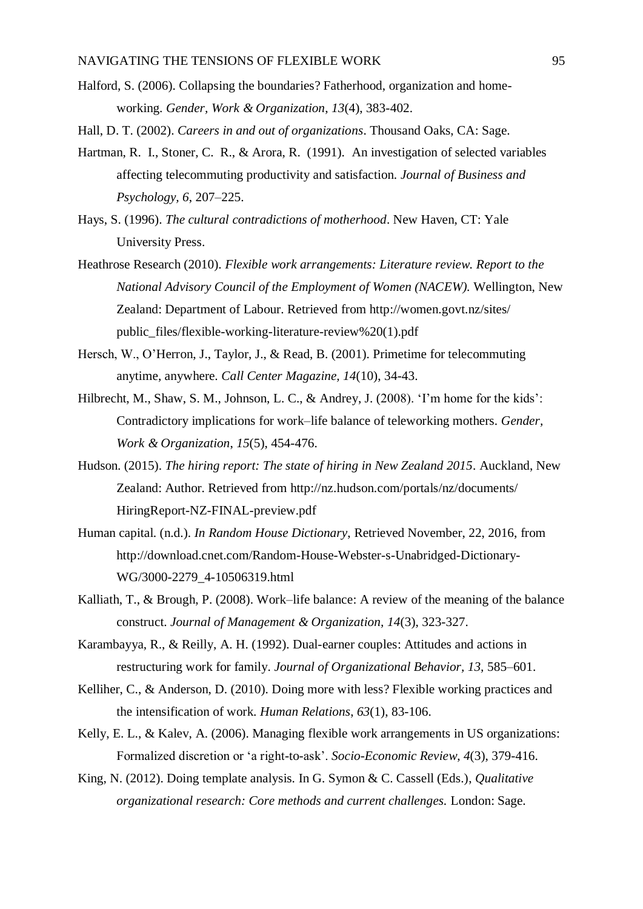- Halford, S. (2006). Collapsing the boundaries? Fatherhood, organization and homeworking. *Gender, Work & Organization*, *13*(4), 383-402.
- Hall, D. T. (2002). *Careers in and out of organizations*. Thousand Oaks, CA: Sage.
- Hartman, R. I., Stoner, C. R., & Arora, R. (1991). An investigation of selected variables affecting telecommuting productivity and satisfaction. *Journal of Business and Psychology, 6*, 207–225.
- Hays, S. (1996). *The cultural contradictions of motherhood*. New Haven, CT: Yale University Press.
- Heathrose Research (2010). *Flexible work arrangements: Literature review. Report to the National Advisory Council of the Employment of Women (NACEW).* Wellington, New Zealand: Department of Labour. Retrieved from <http://women.govt.nz/sites/> public\_files/flexible-working-literature-review%20(1).pdf
- Hersch, W., O'Herron, J., Taylor, J., & Read, B. (2001). Primetime for telecommuting anytime, anywhere. *Call Center Magazine, 14*(10), 34-43.
- Hilbrecht, M., Shaw, S. M., Johnson, L. C., & Andrey, J. (2008). 'I'm home for the kids': Contradictory implications for work–life balance of teleworking mothers. *Gender, Work & Organization*, *15*(5), 454-476.
- Hudson. (2015). *The hiring report: The state of hiring in New Zealand 2015*. Auckland, New Zealand: Author. Retrieved from [http://nz.hudson.com/portals/nz/d](http://nz.hudson.com/portals/nz/)ocuments/ HiringReport-NZ-FINAL-preview.pdf
- Human capital. (n.d.). *In Random House Dictionary*, Retrieved November, 22, 2016, from http://download.cnet.com/Random-House-Webster-s-Unabridged-Dictionary-WG/3000-2279\_4-10506319.html
- Kalliath, T., & Brough, P. (2008). Work–life balance: A review of the meaning of the balance construct. *Journal of Management & Organization, 14*(3), 323-327.
- Karambayya, R., & Reilly, A. H. (1992). Dual-earner couples: Attitudes and actions in restructuring work for family. *Journal of Organizational Behavior, 13,* 585–601.
- Kelliher, C., & Anderson, D. (2010). Doing more with less? Flexible working practices and the intensification of work. *Human Relations*, *63*(1), 83-106.
- Kelly, E. L., & Kalev, A. (2006). Managing flexible work arrangements in US organizations: Formalized discretion or 'a right-to-ask'. *Socio-Economic Review*, *4*(3), 379-416.
- King, N. (2012). Doing template analysis. In G. Symon & C. Cassell (Eds.), *Qualitative organizational research: Core methods and current challenges.* London: Sage.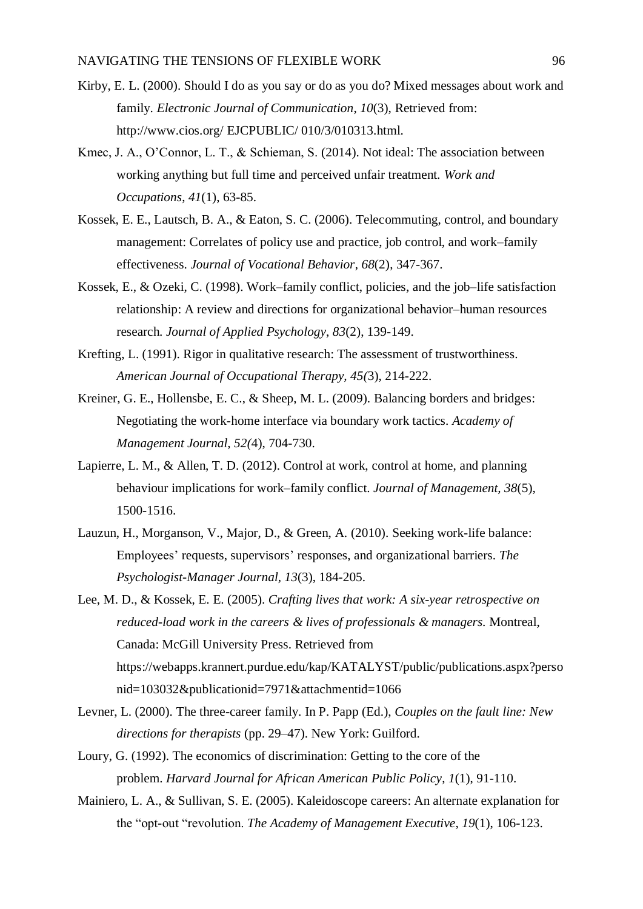- Kirby, E. L. (2000). Should I do as you say or do as you do? Mixed messages about work and family. *Electronic Journal of Communication*, *10*(3), Retrieved from: http://www.cios.org/ EJCPUBLIC/ 010/3/010313.html.
- Kmec, J. A., O'Connor, L. T., & Schieman, S. (2014). Not ideal: The association between working anything but full time and perceived unfair treatment. *Work and Occupations*, *41*(1), 63-85.
- Kossek, E. E., Lautsch, B. A., & Eaton, S. C. (2006). Telecommuting, control, and boundary management: Correlates of policy use and practice, job control, and work–family effectiveness. *Journal of Vocational Behavior*, *68*(2), 347-367.
- Kossek, E., & Ozeki, C. (1998). Work–family conflict, policies, and the job–life satisfaction relationship: A review and directions for organizational behavior–human resources research. *Journal of Applied Psychology*, *83*(2), 139-149.
- Krefting, L. (1991). Rigor in qualitative research: The assessment of trustworthiness. *American Journal of Occupational Therapy, 45(*3), 214-222.
- Kreiner, G. E., Hollensbe, E. C., & Sheep, M. L. (2009). Balancing borders and bridges: Negotiating the work-home interface via boundary work tactics. *Academy of Management Journal, 52(*4), 704-730.
- Lapierre, L. M., & Allen, T. D. (2012). Control at work, control at home, and planning behaviour implications for work–family conflict. *Journal of Management, 38*(5), 1500-1516.
- Lauzun, H., Morganson, V., Major, D., & Green, A. (2010). Seeking work-life balance: Employees' requests, supervisors' responses, and organizational barriers. *The Psychologist-Manager Journal, 13*(3), 184-205.
- Lee, M. D., & Kossek, E. E. (2005). *Crafting lives that work: A six-year retrospective on reduced-load work in the careers & lives of professionals & managers.* Montreal, Canada: McGill University Press. Retrieved from <https://webapps.krannert.purdue.edu/kap/KATALYST/public/publications.aspx?perso> nid=103032&publicationid=7971&attachmentid=1066
- Levner, L. (2000). The three-career family. In P. Papp (Ed.), *Couples on the fault line: New directions for therapists* (pp. 29–47). New York: Guilford.
- Loury, G. (1992). The economics of discrimination: Getting to the core of the problem. *Harvard Journal for African American Public Policy*, *1*(1), 91-110.
- Mainiero, L. A., & Sullivan, S. E. (2005). Kaleidoscope careers: An alternate explanation for the "opt-out "revolution. *The Academy of Management Executive*, *19*(1), 106-123.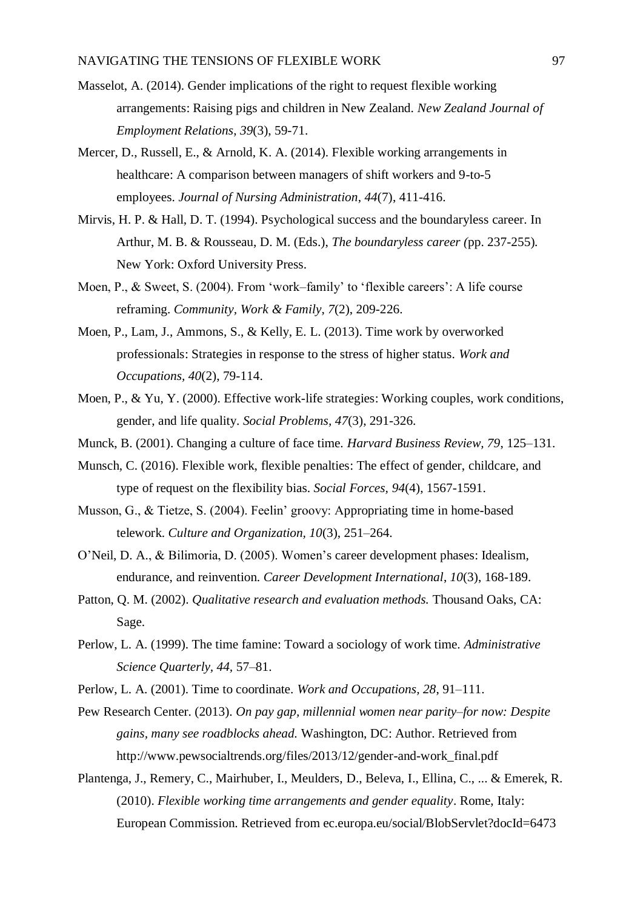- Masselot, A. (2014). Gender implications of the right to request flexible working arrangements: Raising pigs and children in New Zealand. *New Zealand Journal of Employment Relations*, *39*(3), 59-71.
- Mercer, D., Russell, E., & Arnold, K. A. (2014). Flexible working arrangements in healthcare: A comparison between managers of shift workers and 9-to-5 employees. *Journal of Nursing Administration*, *44*(7), 411-416.
- Mirvis, H. P. & Hall, D. T. (1994). Psychological success and the boundaryless career. In Arthur, M. B. & Rousseau, D. M. (Eds.), *The boundaryless career (*pp. 237-255)*.* New York: Oxford University Press.
- Moen, P., & Sweet, S. (2004). From 'work–family' to 'flexible careers': A life course reframing. *Community, Work & Family*, *7*(2), 209-226.
- Moen, P., Lam, J., Ammons, S., & Kelly, E. L. (2013). Time work by overworked professionals: Strategies in response to the stress of higher status. *Work and Occupations, 40*(2), 79-114.
- Moen, P., & Yu, Y. (2000). Effective work-life strategies: Working couples, work conditions, gender, and life quality. *Social Problems, 47*(3), 291-326.
- Munck, B. (2001). Changing a culture of face time. *Harvard Business Review, 79*, 125–131.
- Munsch, C. (2016). Flexible work, flexible penalties: The effect of gender, childcare, and type of request on the flexibility bias. *Social Forces, 94*(4), 1567-1591.
- Musson, G., & Tietze, S. (2004). Feelin' groovy: Appropriating time in home-based telework. *Culture and Organization, 10*(3), 251–264.
- O'Neil, D. A., & Bilimoria, D. (2005). Women's career development phases: Idealism, endurance, and reinvention. *Career Development International*, *10*(3), 168-189.
- Patton, Q. M. (2002). *Qualitative research and evaluation methods.* Thousand Oaks, CA: Sage.
- Perlow, L. A. (1999). The time famine: Toward a sociology of work time. *Administrative Science Quarterly, 44,* 57–81.
- Perlow, L. A. (2001). Time to coordinate. *Work and Occupations, 28*, 91–111.
- Pew Research Center. (2013). *On pay gap, millennial women near parity–for now: Despite gains, many see roadblocks ahead.* Washington, DC: Author. Retrieved from http://www.pewsocialtrends.org/files/2013/12/gender-and-work\_final.pdf
- Plantenga, J., Remery, C., Mairhuber, I., Meulders, D., Beleva, I., Ellina, C., ... & Emerek, R. (2010). *Flexible working time arrangements and gender equality*. Rome, Italy: European Commission. Retrieved from ec.europa.eu/social/BlobServlet?docId=6473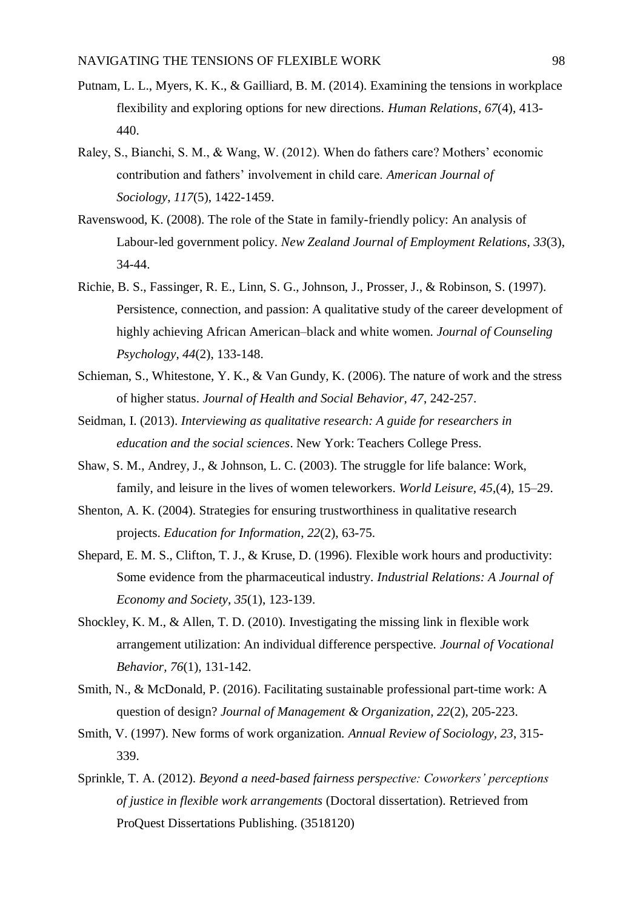- Putnam, L. L., Myers, K. K., & Gailliard, B. M. (2014). Examining the tensions in workplace flexibility and exploring options for new directions. *Human Relations*, *67*(4), 413- 440.
- Raley, S., Bianchi, S. M., & Wang, W. (2012). When do fathers care? Mothers' economic contribution and fathers' involvement in child care. *American Journal of Sociology*, *117*(5), 1422-1459.
- Ravenswood, K. (2008). The role of the State in family-friendly policy: An analysis of Labour-led government policy. *New Zealand Journal of Employment Relations*, *33*(3), 34-44.
- Richie, B. S., Fassinger, R. E., Linn, S. G., Johnson, J., Prosser, J., & Robinson, S. (1997). Persistence, connection, and passion: A qualitative study of the career development of highly achieving African American–black and white women. *Journal of Counseling Psychology*, *44*(2), 133-148.
- Schieman, S., Whitestone, Y. K., & Van Gundy, K. (2006). The nature of work and the stress of higher status. *Journal of Health and Social Behavior, 47*, 242-257.
- Seidman, I. (2013). *Interviewing as qualitative research: A guide for researchers in education and the social sciences*. New York: Teachers College Press.
- Shaw, S. M., Andrey, J., & Johnson, L. C. (2003). The struggle for life balance: Work, family, and leisure in the lives of women teleworkers. *World Leisure, 45*,(4), 15–29.
- Shenton, A. K. (2004). Strategies for ensuring trustworthiness in qualitative research projects. *Education for Information*, *22*(2), 63-75.
- Shepard, E. M. S., Clifton, T. J., & Kruse, D. (1996). Flexible work hours and productivity: Some evidence from the pharmaceutical industry. *Industrial Relations: A Journal of Economy and Society*, *35*(1), 123-139.
- Shockley, K. M., & Allen, T. D. (2010). Investigating the missing link in flexible work arrangement utilization: An individual difference perspective. *Journal of Vocational Behavior, 76*(1), 131-142.
- Smith, N., & McDonald, P. (2016). Facilitating sustainable professional part-time work: A question of design? *Journal of Management & Organization, 22*(2), 205-223.
- Smith, V. (1997). New forms of work organization. *Annual Review of Sociology, 23*, 315- 339.
- Sprinkle, T. A. (2012). *Beyond a need-based fairness perspective: Coworkers' perceptions of justice in flexible work arrangements* (Doctoral dissertation). Retrieved from ProQuest Dissertations Publishing. (3518120)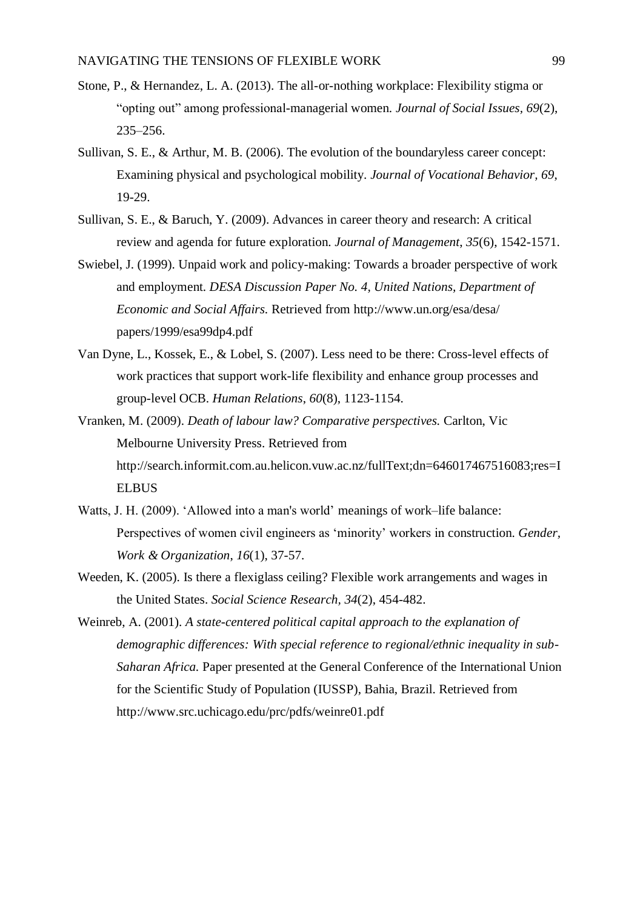- Stone, P., & Hernandez, L. A. (2013). The all-or-nothing workplace: Flexibility stigma or "opting out" among professional-managerial women. *Journal of Social Issues, 69*(2), 235–256.
- Sullivan, S. E., & Arthur, M. B. (2006). The evolution of the boundaryless career concept: Examining physical and psychological mobility. *Journal of Vocational Behavior, 69*, 19-29.
- Sullivan, S. E., & Baruch, Y. (2009). Advances in career theory and research: A critical review and agenda for future exploration. *Journal of Management*, *35*(6), 1542-1571.
- Swiebel, J. (1999). Unpaid work and policy-making: Towards a broader perspective of work and employment. *DESA Discussion Paper No. 4, United Nations, Department of Economic and Social Affairs.* Retrieved from http://www.un.org/esa/desa/ papers/1999/esa99dp4.pdf
- Van Dyne, L., Kossek, E., & Lobel, S. (2007). Less need to be there: Cross-level effects of work practices that support work-life flexibility and enhance group processes and group-level OCB. *Human Relations*, *60*(8), 1123-1154.
- Vranken, M. (2009). *Death of labour law? Comparative perspectives.* Carlton, Vic Melbourne University Press. Retrieved from http://search.informit.com.au.helicon.vuw.ac.nz/fullText;dn=646017467516083;res=I ELBUS
- Watts, J. H. (2009). 'Allowed into a man's world' meanings of work–life balance: Perspectives of women civil engineers as 'minority' workers in construction. *Gender, Work & Organization*, *16*(1), 37-57.
- Weeden, K. (2005). Is there a flexiglass ceiling? Flexible work arrangements and wages in the United States. *Social Science Research, 34*(2), 454-482.
- Weinreb, A. (2001). *A state-centered political capital approach to the explanation of demographic differences: With special reference to regional/ethnic inequality in sub-Saharan Africa.* Paper presented at the General Conference of the International Union for the Scientific Study of Population (IUSSP), Bahia, Brazil. Retrieved from http://www.src.uchicago.edu/prc/pdfs/weinre01.pdf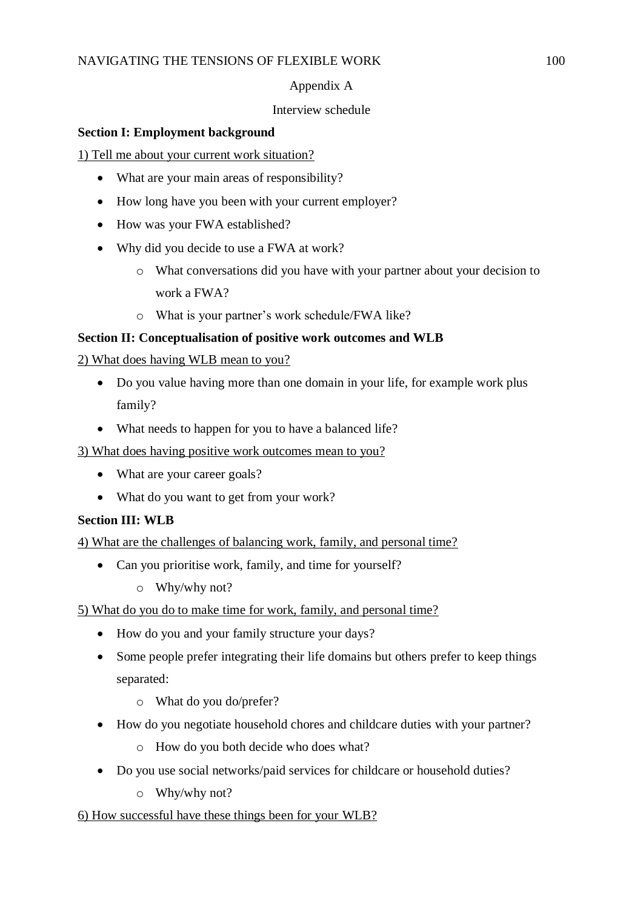# Appendix A

## Interview schedule

## **Section I: Employment background**

1) Tell me about your current work situation?

- What are your main areas of responsibility?
- How long have you been with your current employer?
- How was your FWA established?
- Why did you decide to use a FWA at work?
	- o What conversations did you have with your partner about your decision to work a FWA?
	- o What is your partner's work schedule/FWA like?

# **Section II: Conceptualisation of positive work outcomes and WLB**

# 2) What does having WLB mean to you?

- Do you value having more than one domain in your life, for example work plus family?
- What needs to happen for you to have a balanced life?

3) What does having positive work outcomes mean to you?

- What are your career goals?
- What do you want to get from your work?

# **Section III: WLB**

4) What are the challenges of balancing work, family, and personal time?

- Can you prioritise work, family, and time for yourself?
	- o Why/why not?

# 5) What do you do to make time for work, family, and personal time?

- How do you and your family structure your days?
- Some people prefer integrating their life domains but others prefer to keep things separated:
	- o What do you do/prefer?
- How do you negotiate household chores and childcare duties with your partner?
	- o How do you both decide who does what?
- Do you use social networks/paid services for childcare or household duties?
	- o Why/why not?

# 6) How successful have these things been for your WLB?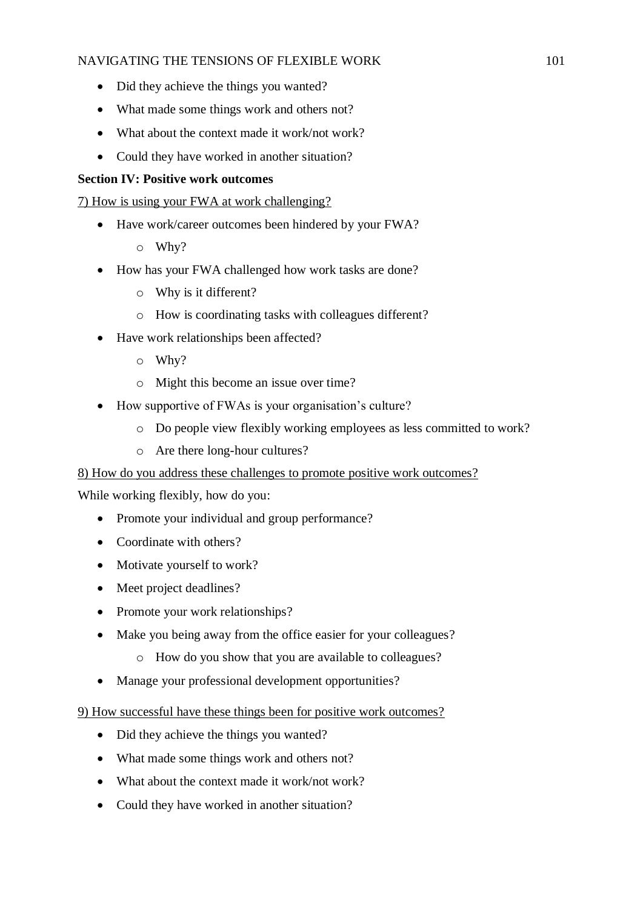- Did they achieve the things you wanted?
- What made some things work and others not?
- What about the context made it work/not work?
- Could they have worked in another situation?

## **Section IV: Positive work outcomes**

7) How is using your FWA at work challenging?

- Have work/career outcomes been hindered by your FWA?
	- o Why?
- How has your FWA challenged how work tasks are done?
	- o Why is it different?
	- o How is coordinating tasks with colleagues different?
- Have work relationships been affected?
	- o Why?
	- o Might this become an issue over time?
- How supportive of FWAs is your organisation's culture?
	- o Do people view flexibly working employees as less committed to work?
	- o Are there long-hour cultures?

## 8) How do you address these challenges to promote positive work outcomes?

While working flexibly, how do you:

- Promote your individual and group performance?
- Coordinate with others?
- Motivate yourself to work?
- Meet project deadlines?
- Promote your work relationships?
- Make you being away from the office easier for your colleagues?
	- o How do you show that you are available to colleagues?
- Manage your professional development opportunities?

## 9) How successful have these things been for positive work outcomes?

- Did they achieve the things you wanted?
- What made some things work and others not?
- What about the context made it work/not work?
- Could they have worked in another situation?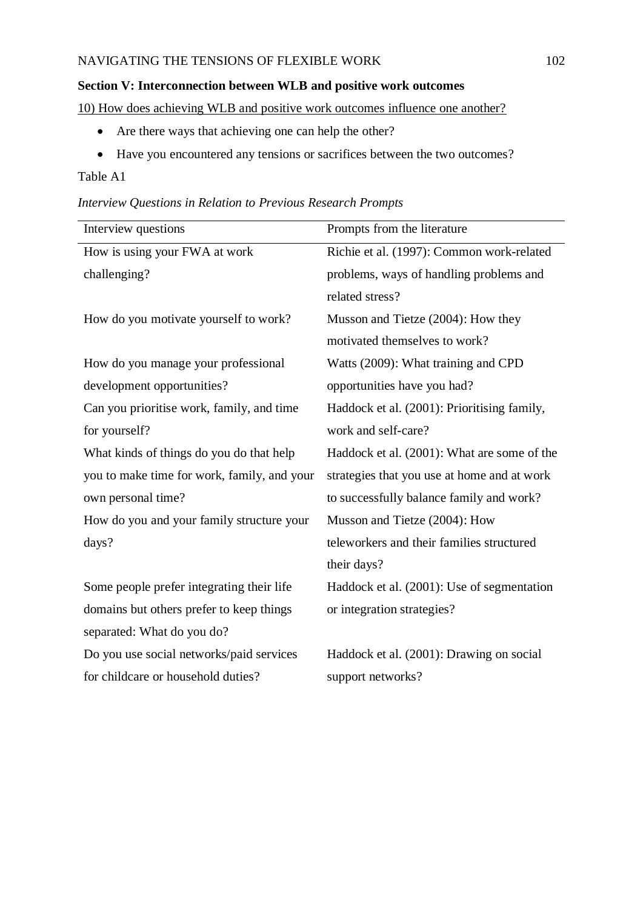## **Section V: Interconnection between WLB and positive work outcomes**

10) How does achieving WLB and positive work outcomes influence one another?

- Are there ways that achieving one can help the other?
- Have you encountered any tensions or sacrifices between the two outcomes?

## Table A1

| Interview Questions in Relation to Previous Research Prompts |  |
|--------------------------------------------------------------|--|
|--------------------------------------------------------------|--|

| Interview questions                         | Prompts from the literature                 |
|---------------------------------------------|---------------------------------------------|
| How is using your FWA at work               | Richie et al. (1997): Common work-related   |
| challenging?                                | problems, ways of handling problems and     |
|                                             | related stress?                             |
| How do you motivate yourself to work?       | Musson and Tietze (2004): How they          |
|                                             | motivated themselves to work?               |
| How do you manage your professional         | Watts (2009): What training and CPD         |
| development opportunities?                  | opportunities have you had?                 |
| Can you prioritise work, family, and time   | Haddock et al. (2001): Prioritising family, |
| for yourself?                               | work and self-care?                         |
| What kinds of things do you do that help    | Haddock et al. (2001): What are some of the |
| you to make time for work, family, and your | strategies that you use at home and at work |
| own personal time?                          | to successfully balance family and work?    |
| How do you and your family structure your   | Musson and Tietze (2004): How               |
| days?                                       | teleworkers and their families structured   |
|                                             | their days?                                 |
| Some people prefer integrating their life   | Haddock et al. (2001): Use of segmentation  |
| domains but others prefer to keep things    | or integration strategies?                  |
| separated: What do you do?                  |                                             |
| Do you use social networks/paid services    | Haddock et al. (2001): Drawing on social    |
| for childcare or household duties?          | support networks?                           |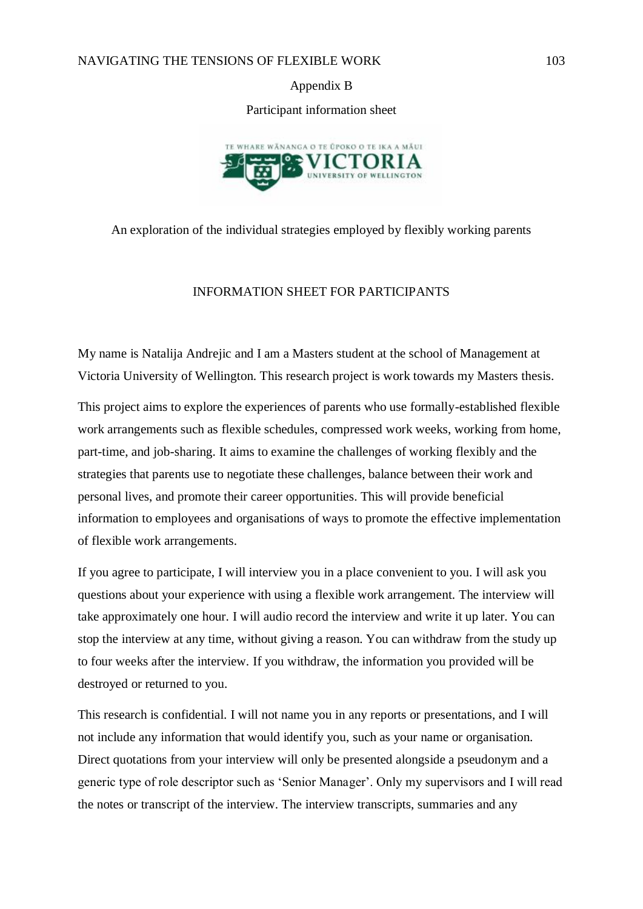Appendix B

Participant information sheet



An exploration of the individual strategies employed by flexibly working parents

### INFORMATION SHEET FOR PARTICIPANTS

My name is Natalija Andrejic and I am a Masters student at the school of Management at Victoria University of Wellington. This research project is work towards my Masters thesis.

This project aims to explore the experiences of parents who use formally-established flexible work arrangements such as flexible schedules, compressed work weeks, working from home, part-time, and job-sharing. It aims to examine the challenges of working flexibly and the strategies that parents use to negotiate these challenges, balance between their work and personal lives, and promote their career opportunities. This will provide beneficial information to employees and organisations of ways to promote the effective implementation of flexible work arrangements.

If you agree to participate, I will interview you in a place convenient to you. I will ask you questions about your experience with using a flexible work arrangement. The interview will take approximately one hour. I will audio record the interview and write it up later. You can stop the interview at any time, without giving a reason. You can withdraw from the study up to four weeks after the interview. If you withdraw, the information you provided will be destroyed or returned to you.

This research is confidential. I will not name you in any reports or presentations, and I will not include any information that would identify you, such as your name or organisation. Direct quotations from your interview will only be presented alongside a pseudonym and a generic type of role descriptor such as 'Senior Manager'. Only my supervisors and I will read the notes or transcript of the interview. The interview transcripts, summaries and any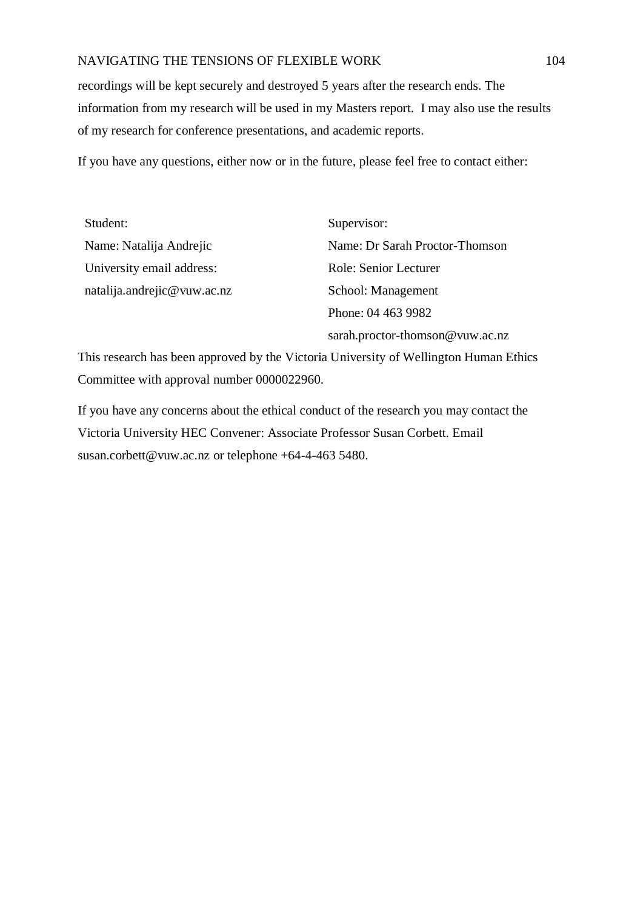recordings will be kept securely and destroyed 5 years after the research ends. The information from my research will be used in my Masters report. I may also use the results of my research for conference presentations, and academic reports.

If you have any questions, either now or in the future, please feel free to contact either:

| Student:                    | Supervisor:                     |
|-----------------------------|---------------------------------|
| Name: Natalija Andrejic     | Name: Dr Sarah Proctor-Thomson  |
| University email address:   | Role: Senior Lecturer           |
| natalija.andrejic@vuw.ac.nz | School: Management              |
|                             | Phone: 04 463 9982              |
|                             | sarah.proctor-thomson@vuw.ac.nz |

This research has been approved by the Victoria University of Wellington Human Ethics Committee with approval number 0000022960.

If you have any concerns about the ethical conduct of the research you may contact the Victoria University HEC Convener: Associate Professor Susan Corbett. Email [susan.corbett@vuw.ac.nz](mailto:susan.corbett@vuw.ac.nz) or telephone +64-4-463 5480.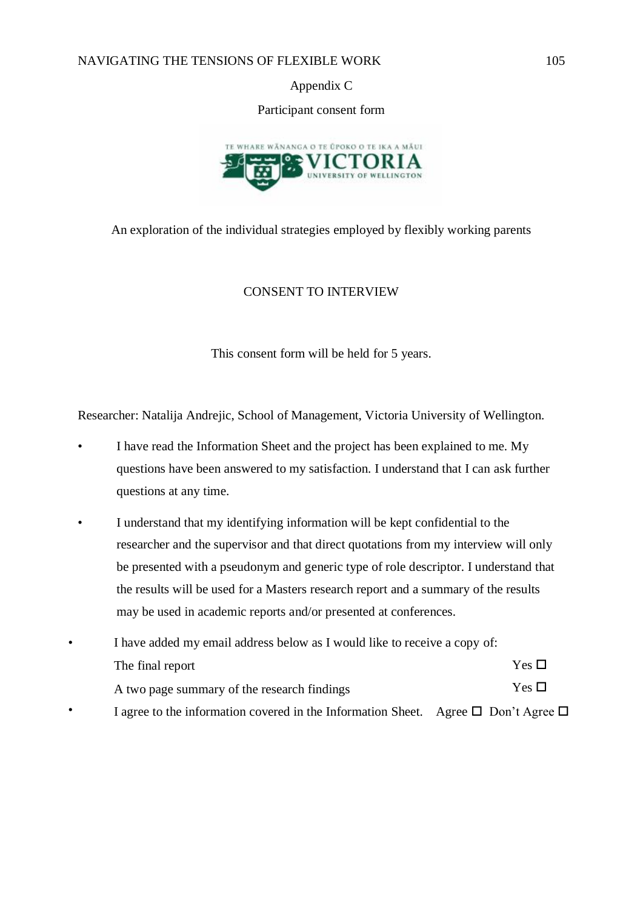Appendix C

Participant consent form



An exploration of the individual strategies employed by flexibly working parents

## CONSENT TO INTERVIEW

This consent form will be held for 5 years.

Researcher: Natalija Andrejic, School of Management, Victoria University of Wellington.

- I have read the Information Sheet and the project has been explained to me. My questions have been answered to my satisfaction. I understand that I can ask further questions at any time.
- I understand that my identifying information will be kept confidential to the researcher and the supervisor and that direct quotations from my interview will only be presented with a pseudonym and generic type of role descriptor. I understand that the results will be used for a Masters research report and a summary of the results may be used in academic reports and/or presented at conferences.
- I have added my email address below as I would like to receive a copy of: The final report • A two page summary of the research findings Yes  $\Box$ Yes  $\Box$ I agree to the information covered in the Information Sheet. Agree  $\square$  Don't Agree  $\square$

•

•